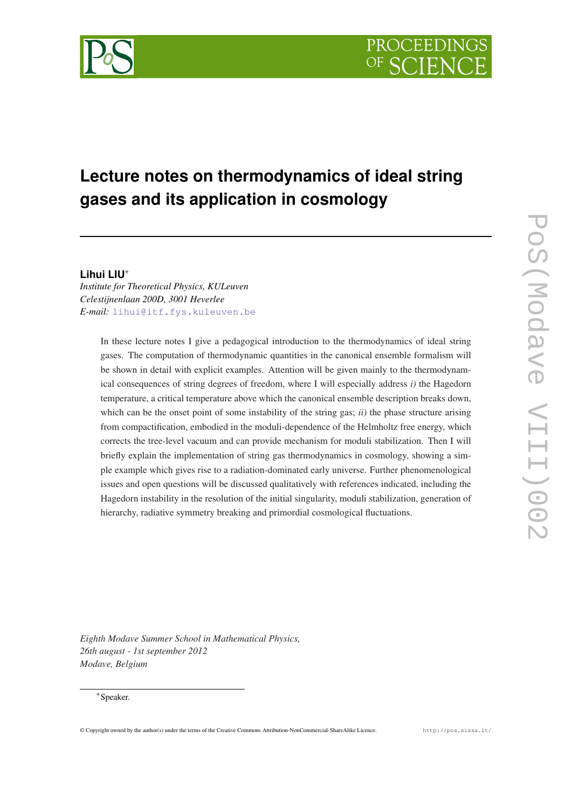# **Lecture notes on thermodynamics of ideal string gases and its application in cosmology**

# **Lihui LIU**∗

*Institute for Theoretical Physics, KULeuven Celestijnenlaan 200D, 3001 Heverlee E-mail:* [lihui@itf.fys.kuleuven.be](mailto:lihui@itf.fys.kuleuven.be)

> In these lecture notes I give a pedagogical introduction to the thermodynamics of ideal string gases. The computation of thermodynamic quantities in the canonical ensemble formalism will be shown in detail with explicit examples. Attention will be given mainly to the thermodynamical consequences of string degrees of freedom, where I will especially address *i)* the Hagedorn temperature, a critical temperature above which the canonical ensemble description breaks down, which can be the onset point of some instability of the string gas; *ii)* the phase structure arising from compactification, embodied in the moduli-dependence of the Helmholtz free energy, which corrects the tree-level vacuum and can provide mechanism for moduli stabilization. Then I will briefly explain the implementation of string gas thermodynamics in cosmology, showing a simple example which gives rise to a radiation-dominated early universe. Further phenomenological issues and open questions will be discussed qualitatively with references indicated, including the Hagedorn instability in the resolution of the initial singularity, moduli stabilization, generation of hierarchy, radiative symmetry breaking and primordial cosmological fluctuations.

*Eighth Modave Summer School in Mathematical Physics, 26th august - 1st september 2012 Modave, Belgium*

# ∗ Speaker.

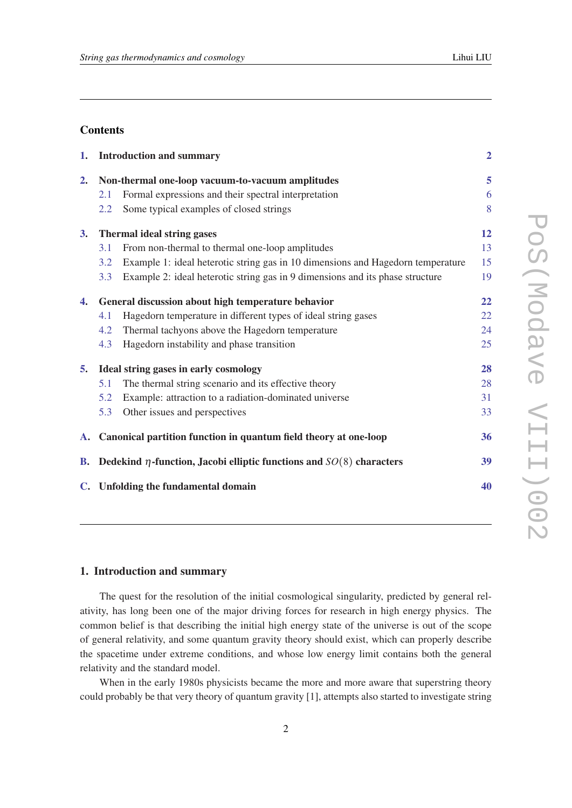# <span id="page-1-0"></span>**Contents**

| 1.             |                                                    | <b>Introduction and summary</b>                                                 | $\overline{2}$ |
|----------------|----------------------------------------------------|---------------------------------------------------------------------------------|----------------|
| 2.             | Non-thermal one-loop vacuum-to-vacuum amplitudes   |                                                                                 | 5              |
|                | 2.1                                                | Formal expressions and their spectral interpretation                            | 6              |
|                | 2.2                                                | Some typical examples of closed strings                                         | 8              |
| 3.             | <b>Thermal ideal string gases</b>                  |                                                                                 | 12             |
|                | 3.1                                                | From non-thermal to thermal one-loop amplitudes                                 | 13             |
|                | 3.2                                                | Example 1: ideal heterotic string gas in 10 dimensions and Hagedorn temperature | 15             |
|                | 3.3                                                | Example 2: ideal heterotic string gas in 9 dimensions and its phase structure   | 19             |
| 4.             | General discussion about high temperature behavior |                                                                                 | 22             |
|                | 4.1                                                | Hagedorn temperature in different types of ideal string gases                   | 22             |
|                | 4.2                                                | Thermal tachyons above the Hagedorn temperature                                 | 24             |
|                | 4.3                                                | Hagedorn instability and phase transition                                       | 25             |
| 5.             | Ideal string gases in early cosmology              |                                                                                 | 28             |
|                | 5.1                                                | The thermal string scenario and its effective theory                            | 28             |
|                | 5.2                                                | Example: attraction to a radiation-dominated universe                           | 31             |
|                | 5.3                                                | Other issues and perspectives                                                   | 33             |
|                |                                                    | A. Canonical partition function in quantum field theory at one-loop             | 36             |
| <b>B.</b>      |                                                    | Dedekind $\eta$ -function, Jacobi elliptic functions and $SO(8)$ characters     | 39             |
| $\mathbf{C}$ . |                                                    | <b>Unfolding the fundamental domain</b>                                         | 40             |
|                |                                                    |                                                                                 |                |

# 1. Introduction and summary

The quest for the resolution of the initial cosmological singularity, predicted by general relativity, has long been one of the major driving forces for research in high energy physics. The common belief is that describing the initial high energy state of the universe is out of the scope of general relativity, and some quantum gravity theory should exist, which can properly describe the spacetime under extreme conditions, and whose low energy limit contains both the general relativity and the standard model.

When in the early 1980s physicists became the more and more aware that superstring theory could probably be that very theory of quantum gravity [1], attempts also started to investigate string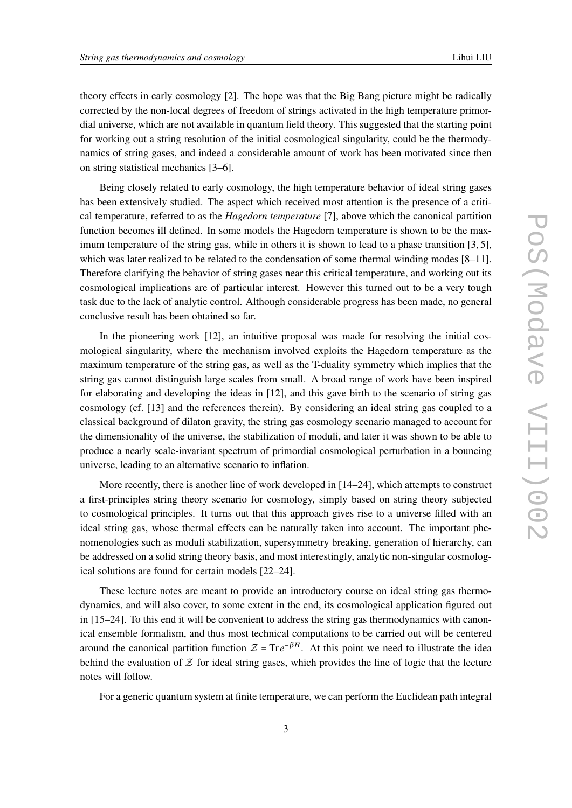theory effects in early cosmology [2]. The hope was that the Big Bang picture might be radically corrected by the non-local degrees of freedom of strings activated in the high temperature primordial universe, which are not available in quantum field theory. This suggested that the starting point for working out a string resolution of the initial cosmological singularity, could be the thermodynamics of string gases, and indeed a considerable amount of work has been motivated since then on string statistical mechanics [3–6].

Being closely related to early cosmology, the high temperature behavior of ideal string gases has been extensively studied. The aspect which received most attention is the presence of a critical temperature, referred to as the *Hagedorn temperature* [7], above which the canonical partition function becomes ill defined. In some models the Hagedorn temperature is shown to be the maximum temperature of the string gas, while in others it is shown to lead to a phase transition [3, 5], which was later realized to be related to the condensation of some thermal winding modes [8–11]. Therefore clarifying the behavior of string gases near this critical temperature, and working out its cosmological implications are of particular interest. However this turned out to be a very tough task due to the lack of analytic control. Although considerable progress has been made, no general conclusive result has been obtained so far.

In the pioneering work [12], an intuitive proposal was made for resolving the initial cosmological singularity, where the mechanism involved exploits the Hagedorn temperature as the maximum temperature of the string gas, as well as the T-duality symmetry which implies that the string gas cannot distinguish large scales from small. A broad range of work have been inspired for elaborating and developing the ideas in [12], and this gave birth to the scenario of string gas cosmology (cf. [13] and the references therein). By considering an ideal string gas coupled to a classical background of dilaton gravity, the string gas cosmology scenario managed to account for the dimensionality of the universe, the stabilization of moduli, and later it was shown to be able to produce a nearly scale-invariant spectrum of primordial cosmological perturbation in a bouncing universe, leading to an alternative scenario to inflation.

More recently, there is another line of work developed in [14–24], which attempts to construct a first-principles string theory scenario for cosmology, simply based on string theory subjected to cosmological principles. It turns out that this approach gives rise to a universe filled with an ideal string gas, whose thermal effects can be naturally taken into account. The important phenomenologies such as moduli stabilization, supersymmetry breaking, generation of hierarchy, can be addressed on a solid string theory basis, and most interestingly, analytic non-singular cosmological solutions are found for certain models [22–24].

These lecture notes are meant to provide an introductory course on ideal string gas thermodynamics, and will also cover, to some extent in the end, its cosmological application figured out in [15–24]. To this end it will be convenient to address the string gas thermodynamics with canonical ensemble formalism, and thus most technical computations to be carried out will be centered around the canonical partition function  $\mathcal{Z} = \text{Tr}e^{-\beta H}$ . At this point we need to illustrate the idea behind the evaluation of  $Z$  for ideal string gases, which provides the line of logic that the lecture notes will follow.

For a generic quantum system at finite temperature, we can perform the Euclidean path integral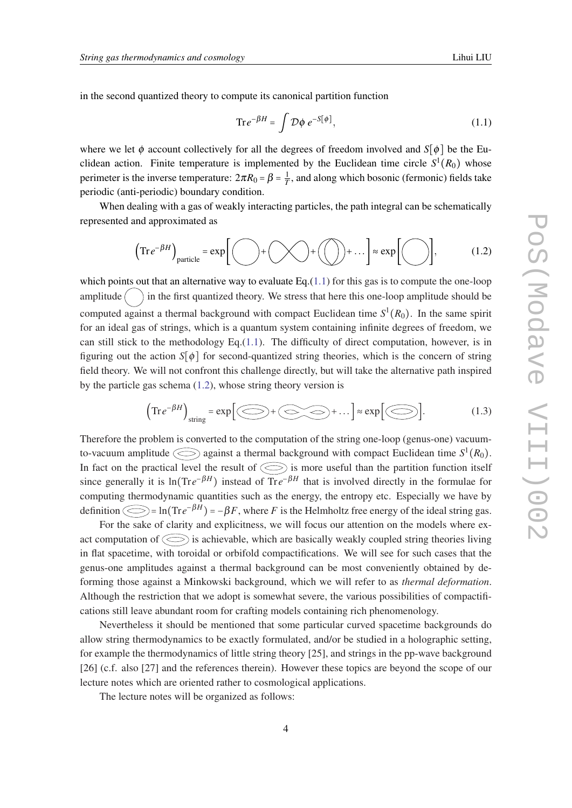<span id="page-3-0"></span>in the second quantized theory to compute its canonical partition function

$$
\mathrm{Tr} \, e^{-\beta H} = \int \mathcal{D}\phi \, e^{-S[\phi]},\tag{1.1}
$$

where we let  $\phi$  account collectively for all the degrees of freedom involved and *S*[ $\phi$ ] be the Euclidean action. Finite temperature is implemented by the Euclidean time circle  $S^1(R_0)$  whose perimeter is the inverse temperature:  $2\pi R_0 = \beta = \frac{1}{7}$  $\frac{1}{T}$ , and along which bosonic (fermonic) fields take periodic (anti-periodic) boundary condition.

When dealing with a gas of weakly interacting particles, the path integral can be schematically represented and approximated as

$$
\left(\text{Tr}\,e^{-\beta H}\right)_{\text{particle}} = \exp\bigg[\bigodot + \bigodot + \bigodot + \bigodot + \dots\bigg] \approx \exp\bigg[\bigodot\bigg],\tag{1.2}
$$

which points out that an alternative way to evaluate Eq. $(1.1)$  for this gas is to compute the one-loop amplitude  $\left(\quad\right)$  in the first quantized theory. We stress that here this one-loop amplitude should be computed against a thermal background with compact Euclidean time  $S^1(R_0)$ . In the same spirit for an ideal gas of strings, which is a quantum system containing infinite degrees of freedom, we can still stick to the methodology  $Eq.(1.1)$ . The difficulty of direct computation, however, is in figuring out the action  $S[\phi]$  for second-quantized string theories, which is the concern of string field theory. We will not confront this challenge directly, but will take the alternative path inspired by the particle gas schema (1.2), whose string theory version is

$$
\left(\text{Tr}\,e^{-\beta H}\right)_{\text{string}} = \exp\Big[\bigotimes + \bigotimes + \bigotimes + \dots\Big] \approx \exp\Big[\bigotimes\Big].\tag{1.3}
$$

Therefore the problem is converted to the computation of the string one-loop (genus-one) vacuumto-vacuum amplitude  $\bigcirc$  against a thermal background with compact Euclidean time  $S^1(R_0)$ . In fact on the practical level the result of  $\bigodot$  is more useful than the partition function itself since generally it is  $\ln(\text{Tr}e^{-\beta H})$  instead of  $\text{Tr}e^{-\beta H}$  that is involved directly in the formulae for computing thermodynamic quantities such as the energy, the entropy etc. Especially we have by definition  $\bigcirc$  = ln(Tr $e^{-\beta H}$ ) =  $-\beta F$ , where *F* is the Helmholtz free energy of the ideal string gas.

For the sake of clarity and explicitness, we will focus our attention on the models where exact computation of  $\bigodot$  is achievable, which are basically weakly coupled string theories living in flat spacetime, with toroidal or orbifold compactifications. We will see for such cases that the genus-one amplitudes against a thermal background can be most conveniently obtained by deforming those against a Minkowski background, which we will refer to as *thermal deformation*. Although the restriction that we adopt is somewhat severe, the various possibilities of compactifications still leave abundant room for crafting models containing rich phenomenology.

Nevertheless it should be mentioned that some particular curved spacetime backgrounds do allow string thermodynamics to be exactly formulated, and/or be studied in a holographic setting, for example the thermodynamics of little string theory [25], and strings in the pp-wave background [26] (c.f. also [27] and the references therein). However these topics are beyond the scope of our lecture notes which are oriented rather to cosmological applications.

The lecture notes will be organized as follows: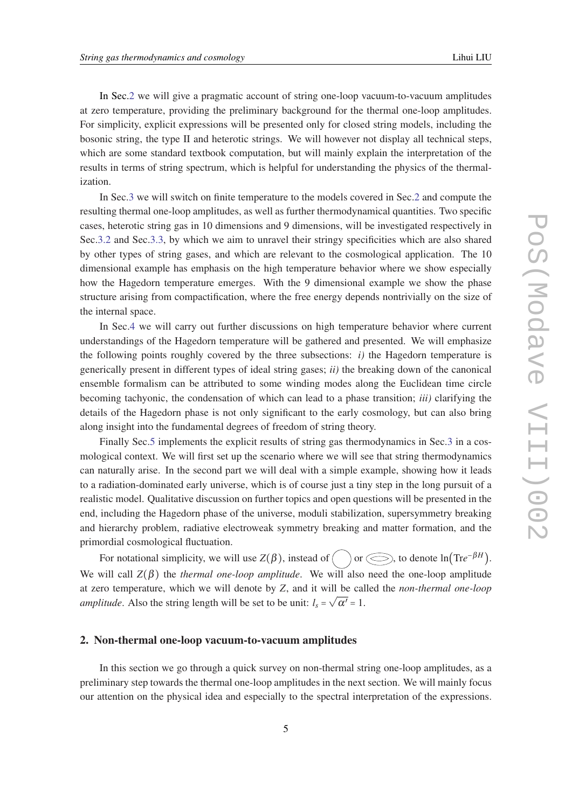<span id="page-4-0"></span>In Sec.2 we will give a pragmatic account of string one-loop vacuum-to-vacuum amplitudes at zero temperature, providing the preliminary background for the thermal one-loop amplitudes. For simplicity, explicit expressions will be presented only for closed string models, including the bosonic string, the type II and heterotic strings. We will however not display all technical steps, which are some standard textbook computation, but will mainly explain the interpretation of the results in terms of string spectrum, which is helpful for understanding the physics of the thermalization.

In Sec[.3](#page-11-0) we will switch on finite temperature to the models covered in Sec.2 and compute the resulting thermal one-loop amplitudes, as well as further thermodynamical quantities. Two specific cases, heterotic string gas in 10 dimensions and 9 dimensions, will be investigated respectively in Sec.[3.2](#page-14-0) and Sec[.3.3](#page-18-0), by which we aim to unravel their stringy specificities which are also shared by other types of string gases, and which are relevant to the cosmological application. The 10 dimensional example has emphasis on the high temperature behavior where we show especially how the Hagedorn temperature emerges. With the 9 dimensional example we show the phase structure arising from compactification, where the free energy depends nontrivially on the size of the internal space.

In Sec[.4](#page-21-0) we will carry out further discussions on high temperature behavior where current understandings of the Hagedorn temperature will be gathered and presented. We will emphasize the following points roughly covered by the three subsections: *i)* the Hagedorn temperature is generically present in different types of ideal string gases; *ii)* the breaking down of the canonical ensemble formalism can be attributed to some winding modes along the Euclidean time circle becoming tachyonic, the condensation of which can lead to a phase transition; *iii)* clarifying the details of the Hagedorn phase is not only significant to the early cosmology, but can also bring along insight into the fundamental degrees of freedom of string theory.

Finally Sec[.5](#page-27-0) implements the explicit results of string gas thermodynamics in Sec.[3](#page-11-0) in a cosmological context. We will first set up the scenario where we will see that string thermodynamics can naturally arise. In the second part we will deal with a simple example, showing how it leads to a radiation-dominated early universe, which is of course just a tiny step in the long pursuit of a realistic model. Qualitative discussion on further topics and open questions will be presented in the end, including the Hagedorn phase of the universe, moduli stabilization, supersymmetry breaking and hierarchy problem, radiative electroweak symmetry breaking and matter formation, and the primordial cosmological fluctuation.

For notational simplicity, we will use  $Z(\beta)$ , instead of  $\bigcirc$  or  $\bigcirc$ , to denote ln $(\text{Tr}e^{-\beta H})$ . We will call  $Z(\beta)$  the *thermal one-loop amplitude*. We will also need the one-loop amplitude at zero temperature, which we will denote by  $Z$ , and it will be called the *non-thermal one-loop amplitude*. Also the string length will be set to be unit:  $l_s = \sqrt{\alpha'} = 1$ .

# 2. Non-thermal one-loop vacuum-to-vacuum amplitudes

In this section we go through a quick survey on non-thermal string one-loop amplitudes, as a preliminary step towards the thermal one-loop amplitudes in the next section. We will mainly focus our attention on the physical idea and especially to the spectral interpretation of the expressions.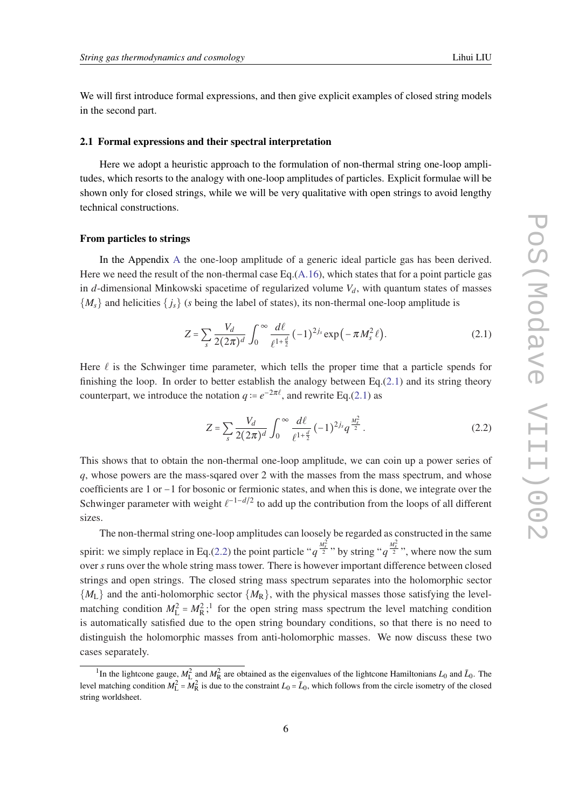<span id="page-5-0"></span>We will first introduce formal expressions, and then give explicit examples of closed string models in the second part.

#### 2.1 Formal expressions and their spectral interpretation

Here we adopt a heuristic approach to the formulation of non-thermal string one-loop amplitudes, which resorts to the analogy with one-loop amplitudes of particles. Explicit formulae will be shown only for closed strings, while we will be very qualitative with open strings to avoid lengthy technical constructions.

#### From particles to strings

In the Appendix [A](#page-35-0) the one-loop amplitude of a generic ideal particle gas has been derived. Here we need the result of the non-thermal case Eq. $(A.16)$ , which states that for a point particle gas in *d*-dimensional Minkowski spacetime of regularized volume  $V_d$ , with quantum states of masses  ${M_s}$  and helicities  ${j_s}$  (*s* being the label of states), its non-thermal one-loop amplitude is

$$
Z = \sum_{s} \frac{V_d}{2(2\pi)^d} \int_0^{\infty} \frac{d\ell}{\ell^{1+\frac{d}{2}}} (-1)^{2j_s} \exp(-\pi M_s^2 \ell).
$$
 (2.1)

Here  $\ell$  is the Schwinger time parameter, which tells the proper time that a particle spends for finishing the loop. In order to better establish the analogy between  $Eq.(2.1)$  and its string theory counterpart, we introduce the notation  $q = e^{-2\pi l}$ , and rewrite Eq.(2.1) as

$$
Z = \sum_{s} \frac{V_d}{2(2\pi)^d} \int_0^\infty \frac{d\ell}{\ell^{1+\frac{d}{2}}} (-1)^{2j_s} q^{\frac{M_s^2}{2}}.
$$
 (2.2)

This shows that to obtain the non-thermal one-loop amplitude, we can coin up a power series of *q*, whose powers are the mass-sqared over 2 with the masses from the mass spectrum, and whose coefficients are 1 or −1 for bosonic or fermionic states, and when this is done, we integrate over the Schwinger parameter with weight  $\ell^{-1-d/2}$  to add up the contribution from the loops of all different sizes.

The non-thermal string one-loop amplitudes can loosely be regarded as constructed in the same spirit: we simply replace in Eq.(2.2) the point particle " $q^{\frac{M_s^2}{2}}$ " by string " $q^{\frac{M_s^2}{2}}$ ", where now the sum over *s* runs over the whole string mass tower. There is however important difference between closed strings and open strings. The closed string mass spectrum separates into the holomorphic sector  ${M_{\rm L}}$  and the anti-holomorphic sector  ${M_{\rm R}}$ , with the physical masses those satisfying the levelmatching condition  $M_L^2 = M_R^2$ ;<sup>1</sup> for the open string mass spectrum the level matching condition is automatically satisfied due to the open string boundary conditions, so that there is no need to distinguish the holomorphic masses from anti-holomorphic masses. We now discuss these two cases separately.

<sup>&</sup>lt;sup>1</sup>In the lightcone gauge,  $M_L^2$  and  $M_R^2$  are obtained as the eigenvalues of the lightcone Hamiltonians  $L_0$  and  $\bar{L}_0$ . The level matching condition  $M_L^2 = M_R^2$  is due to the constraint  $L_0 = \bar{L}_0$ , which follows from the circle isometry of the closed string worldsheet.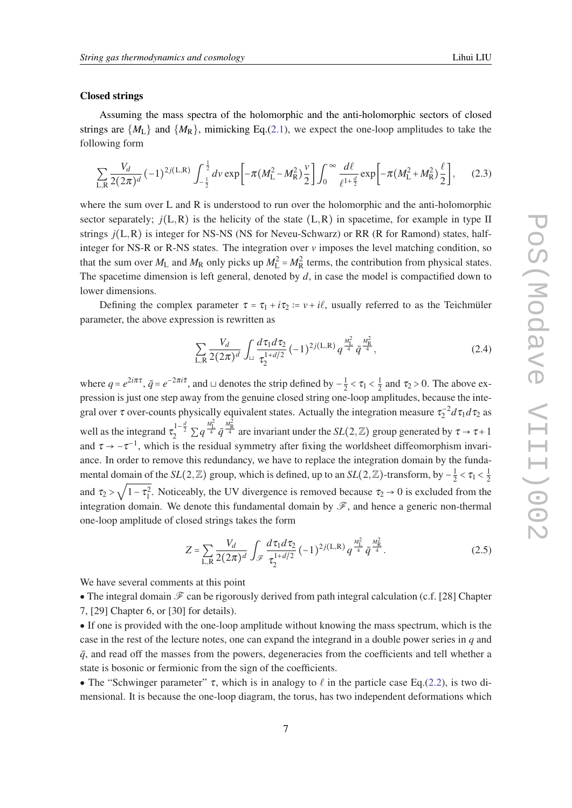#### <span id="page-6-0"></span>Closed strings

Assuming the mass spectra of the holomorphic and the anti-holomorphic sectors of closed strings are  $\{M_L\}$  and  $\{M_R\}$ , mimicking Eq.[\(2.1\)](#page-5-0), we expect the one-loop amplitudes to take the following form

$$
\sum_{\text{L,R}} \frac{V_d}{2(2\pi)^d} \, (-1)^{2j(\text{L,R})} \int_{-\frac{1}{2}}^{\frac{1}{2}} dv \exp\left[ -\pi (M_{\text{L}}^2 - M_{\text{R}}^2) \frac{v}{2} \right] \int_0^\infty \frac{d\ell}{\ell^{1+\frac{d}{2}}} \exp\left[ -\pi (M_{\text{L}}^2 + M_{\text{R}}^2) \frac{\ell}{2} \right],\tag{2.3}
$$

where the sum over L and R is understood to run over the holomorphic and the anti-holomorphic sector separately;  $j(L,R)$  is the helicity of the state  $(L,R)$  in spacetime, for example in type II strings *j*(L,R) is integer for NS-NS (NS for Neveu-Schwarz) or RR (R for Ramond) states, halfinteger for NS-R or R-NS states. The integration over  $\nu$  imposes the level matching condition, so that the sum over  $M_L$  and  $M_R$  only picks up  $M_L^2 = M_R^2$  terms, the contribution from physical states. The spacetime dimension is left general, denoted by *d*, in case the model is compactified down to lower dimensions.

Defining the complex parameter  $\tau = \tau_1 + i\tau_2 = v + i\ell$ , usually referred to as the Teichmüler parameter, the above expression is rewritten as

$$
\sum_{\text{L,R}} \frac{V_d}{2(2\pi)^d} \int_{\sqcup} \frac{d\,\tau_1 d\,\tau_2}{\tau_2^{1+d/2}} \, (-1)^{2j(\text{L,R})} \, q^{\frac{M_{\text{L}}^2}{4}} \, \bar{q}^{\frac{M_{\text{R}}^2}{4}},\tag{2.4}
$$

where  $q = e^{2i\pi\tau}$ ,  $\bar{q} = e^{-2\pi i \bar{\tau}}$ , and  $\sqcup$  denotes the strip defined by  $-\frac{1}{2}$  $\frac{1}{2} < \tau_1 < \frac{1}{2}$  $\frac{1}{2}$  and  $\tau_2 > 0$ . The above expression is just one step away from the genuine closed string one-loop amplitudes, because the integral over  $\tau$  over-counts physically equivalent states. Actually the integration measure  $\tau_2^{-2} d\tau_1 d\tau_2$  as well as the integrand  $\tau_2^{1-\frac{d}{2}} \sum q^{\frac{M_{\rm L}^2}{4}} \bar{q}^{\frac{M_{\rm R}^2}{4}}$  are invariant under the  $SL(2,\mathbb{Z})$  group generated by  $\tau \to \tau + 1$ and  $\tau \rightarrow -\tau^{-1}$ , which is the residual symmetry after fixing the worldsheet diffeomorphism invariance. In order to remove this redundancy, we have to replace the integration domain by the fundamental domain of the  $SL(2,\mathbb{Z})$  group, which is defined, up to an  $SL(2,\mathbb{Z})$ -transform, by  $-\frac{1}{2}$  $\frac{1}{2} < \tau_1 < \frac{1}{2}$  $\frac{1}{2} \times (1) \times (2)$  group, which is defined, up to an  $\frac{1}{2}$   $(2, \frac{\pi}{2})$ -transform, by  $\frac{1}{2} \times (1) \times (2)$ and  $\tau_2 > \sqrt{1-\tau_1^2}$ . Noticeably, the UV divergence is removed because  $\tau_2 \to 0$  is excluded from the integration domain. We denote this fundamental domain by  $\mathscr{F}$ , and hence a generic non-thermal one-loop amplitude of closed strings takes the form

$$
Z = \sum_{\text{L,R}} \frac{V_d}{2(2\pi)^d} \int_{\mathscr{F}} \frac{d\tau_1 d\tau_2}{\tau_2^{1+d/2}} (-1)^{2j(\text{L,R})} q^{\frac{M_{\text{L}}^2}{4}} \bar{q}^{\frac{M_{\text{R}}^2}{4}}.
$$
 (2.5)

We have several comments at this point

• The integral domain  $\mathscr F$  can be rigorously derived from path integral calculation (c.f. [28] Chapter 7, [29] Chapter 6, or [30] for details).

• If one is provided with the one-loop amplitude without knowing the mass spectrum, which is the case in the rest of the lecture notes, one can expand the integrand in a double power series in *q* and  $\bar{q}$ , and read off the masses from the powers, degeneracies from the coefficients and tell whether a state is bosonic or fermionic from the sign of the coefficients.

• The "Schwinger parameter"  $\tau$ , which is in analogy to  $\ell$  in the particle case Eq.[\(2.2\)](#page-5-0), is two dimensional. It is because the one-loop diagram, the torus, has two independent deformations which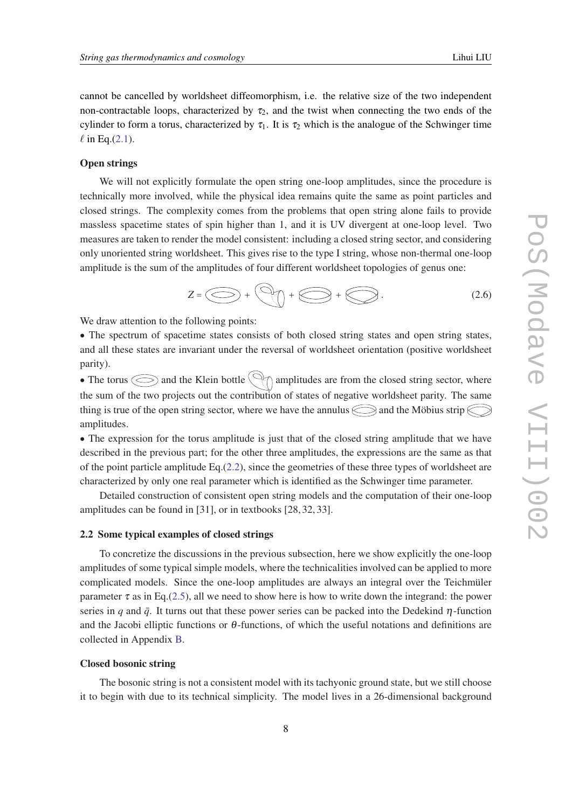<span id="page-7-0"></span>cannot be cancelled by worldsheet diffeomorphism, i.e. the relative size of the two independent non-contractable loops, characterized by  $\tau_2$ , and the twist when connecting the two ends of the cylinder to form a torus, characterized by  $\tau_1$ . It is  $\tau_2$  which is the analogue of the Schwinger time  $\ell$  in Eq.[\(2.1\)](#page-5-0).

# Open strings

We will not explicitly formulate the open string one-loop amplitudes, since the procedure is technically more involved, while the physical idea remains quite the same as point particles and closed strings. The complexity comes from the problems that open string alone fails to provide massless spacetime states of spin higher than 1, and it is UV divergent at one-loop level. Two measures are taken to render the model consistent: including a closed string sector, and considering only unoriented string worldsheet. This gives rise to the type I string, whose non-thermal one-loop amplitude is the sum of the amplitudes of four different worldsheet topologies of genus one:

$$
Z = \bigodot + \bigodot + \bigodot + \bigodot.
$$
 (2.6)

We draw attention to the following points:

• The spectrum of spacetime states consists of both closed string states and open string states, and all these states are invariant under the reversal of worldsheet orientation (positive worldsheet parity).

• The torus  $\bigodot$  and the Klein bottle  $\bigcirc$  amplitudes are from the closed string sector, where the sum of the two projects out the contribution of states of negative worldsheet parity. The same thing is true of the open string sector, where we have the annulus  $\bigcirc$  and the Möbius strip  $\bigcirc$ amplitudes.

• The expression for the torus amplitude is just that of the closed string amplitude that we have described in the previous part; for the other three amplitudes, the expressions are the same as that of the point particle amplitude Eq.([2.2\)](#page-5-0), since the geometries of these three types of worldsheet are characterized by only one real parameter which is identified as the Schwinger time parameter.

Detailed construction of consistent open string models and the computation of their one-loop amplitudes can be found in [31], or in textbooks [28, 32, 33].

# 2.2 Some typical examples of closed strings

To concretize the discussions in the previous subsection, here we show explicitly the one-loop amplitudes of some typical simple models, where the technicalities involved can be applied to more complicated models. Since the one-loop amplitudes are always an integral over the Teichmüler parameter  $\tau$  as in Eq.[\(2.5\)](#page-6-0), all we need to show here is how to write down the integrand: the power series in *q* and  $\bar{q}$ . It turns out that these power series can be packed into the Dedekind  $\eta$ -function and the Jacobi elliptic functions or  $\theta$ -functions, of which the useful notations and definitions are collected in Appendix [B.](#page-38-0)

#### Closed bosonic string

The bosonic string is not a consistent model with its tachyonic ground state, but we still choose it to begin with due to its technical simplicity. The model lives in a 26-dimensional background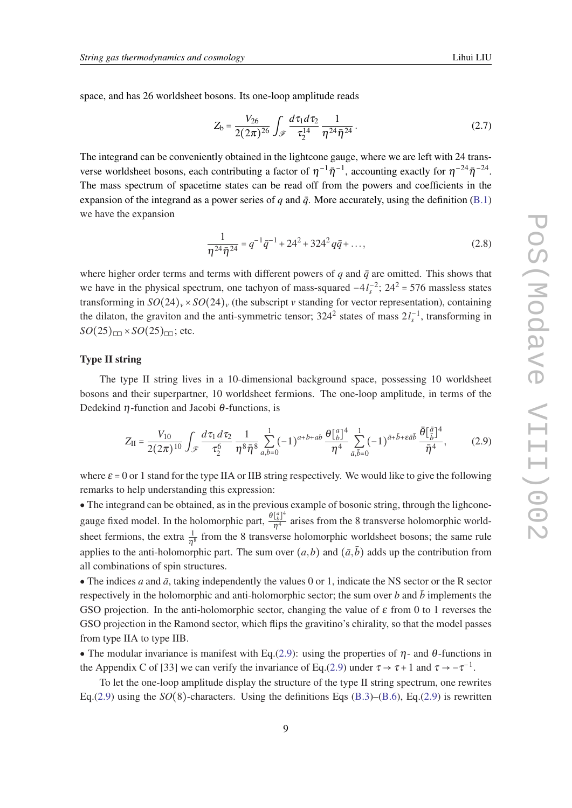<span id="page-8-0"></span>space, and has 26 worldsheet bosons. Its one-loop amplitude reads

$$
Z_{b} = \frac{V_{26}}{2(2\pi)^{26}} \int_{\mathscr{F}} \frac{d\tau_{1}d\tau_{2}}{\tau_{2}^{14}} \frac{1}{\eta^{24}\bar{\eta}^{24}}.
$$
 (2.7)

The integrand can be conveniently obtained in the lightcone gauge, where we are left with 24 transverse worldsheet bosons, each contributing a factor of  $\eta^{-1}\bar{\eta}^{-1}$ , accounting exactly for  $\eta^{-24}\bar{\eta}^{-24}$ . The mass spectrum of spacetime states can be read off from the powers and coefficients in the expansion of the integrand as a power series of  $q$  and  $\bar{q}$ . More accurately, using the definition ([B.1](#page-38-0)) we have the expansion

$$
\frac{1}{\eta^{24}\bar{\eta}^{24}} = q^{-1}\bar{q}^{-1} + 24^2 + 324^2 q\bar{q} + \dots,
$$
\n(2.8)

where higher order terms and terms with different powers of  $q$  and  $\bar{q}$  are omitted. This shows that we have in the physical spectrum, one tachyon of mass-squared  $-4l_s^{-2}$ ;  $24^2 = 576$  massless states transforming in  $SO(24)_v \times SO(24)_v$  (the subscript *v* standing for vector representation), containing the dilaton, the graviton and the anti-symmetric tensor;  $324^2$  states of mass  $2l_s^{-1}$ , transforming in  $SO(25)$ <sub>□□</sub> ×  $SO(25)$ <sub>□□</sub>; etc.

# Type II string

The type II string lives in a 10-dimensional background space, possessing 10 worldsheet bosons and their superpartner, 10 worldsheet fermions. The one-loop amplitude, in terms of the Dedekind  $\eta$ -function and Jacobi  $\theta$ -functions, is

$$
Z_{II} = \frac{V_{10}}{2(2\pi)^{10}} \int_{\mathscr{F}} \frac{d\,\tau_1 \,d\,\tau_2}{\tau_2^6} \frac{1}{\eta^8 \bar{\eta}^8} \sum_{a,b=0}^1 (-1)^{a+b+ab} \frac{\theta \begin{bmatrix} a \\ b \end{bmatrix}^4}{\eta^4} \sum_{\bar{a},\bar{b}=0}^1 (-1)^{\bar{a}+\bar{b}+\epsilon \bar{a}\bar{b}} \frac{\bar{\theta} \begin{bmatrix} \bar{a} \\ \bar{b} \end{bmatrix}^4}{\bar{\eta}^4},\tag{2.9}
$$

where  $\varepsilon = 0$  or 1 stand for the type IIA or IIB string respectively. We would like to give the following remarks to help understanding this expression:

• The integrand can be obtained, as in the previous example of bosonic string, through the lighconegauge fixed model. In the holomorphic part,  $\frac{\theta_{\beta}^{[2]}^4}{\eta^4}$  arises from the 8 transverse holomorphic worldsheet fermions, the extra  $\frac{1}{\eta^8}$  from the 8 transverse holomorphic worldsheet bosons; the same rule applies to the anti-holomorphic part. The sum over  $(a,b)$  and  $(\bar{a},\bar{b})$  adds up the contribution from all combinations of spin structures.

• The indices *a* and  $\bar{a}$ , taking independently the values 0 or 1, indicate the NS sector or the R sector respectively in the holomorphic and anti-holomorphic sector; the sum over *b* and  $\bar{b}$  implements the GSO projection. In the anti-holomorphic sector, changing the value of  $\varepsilon$  from 0 to 1 reverses the GSO projection in the Ramond sector, which flips the gravitino's chirality, so that the model passes from type IIA to type IIB.

• The modular invariance is manifest with Eq.(2.9): using the properties of  $\eta$ - and  $\theta$ -functions in the Appendix C of [33] we can verify the invariance of Eq.(2.9) under  $\tau \to \tau + 1$  and  $\tau \to -\tau^{-1}$ .

To let the one-loop amplitude display the structure of the type II string spectrum, one rewrites Eq.(2.9) using the *SO*(8)-characters. Using the definitions Eqs ([B.3](#page-39-0))–([B.6](#page-39-0)), Eq.(2.9) is rewritten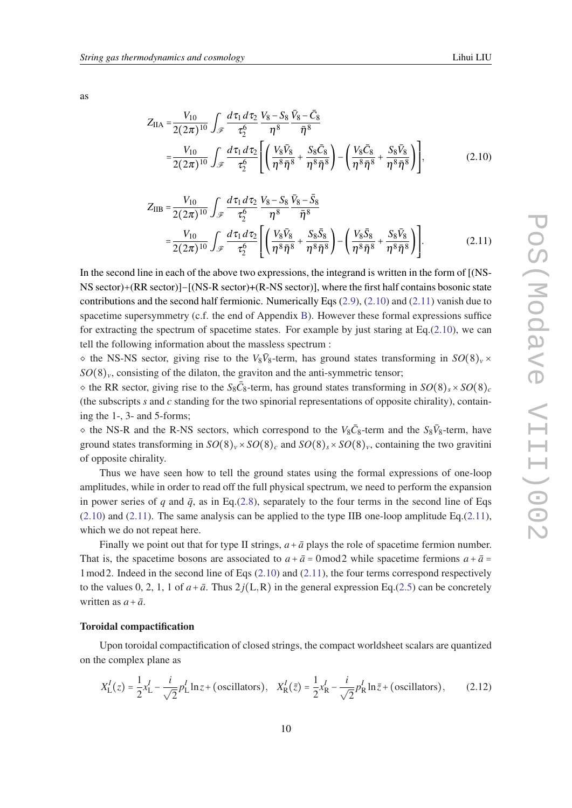<span id="page-9-0"></span>as

$$
Z_{\text{IIA}} = \frac{V_{10}}{2(2\pi)^{10}} \int_{\mathscr{F}} \frac{d\tau_1 d\tau_2}{\tau_2^6} \frac{V_8 - S_8}{\eta^8} \frac{\bar{V}_8 - \bar{C}_8}{\bar{\eta}^8} = \frac{V_{10}}{2(2\pi)^{10}} \int_{\mathscr{F}} \frac{d\tau_1 d\tau_2}{\tau_2^6} \left[ \left( \frac{V_8 \bar{V}_8}{\eta^8 \bar{\eta}^8} + \frac{S_8 \bar{C}_8}{\eta^8 \bar{\eta}^8} \right) - \left( \frac{V_8 \bar{C}_8}{\eta^8 \bar{\eta}^8} + \frac{S_8 \bar{V}_8}{\eta^8 \bar{\eta}^8} \right) \right],
$$
(2.10)

$$
Z_{\rm IIB} = \frac{V_{10}}{2(2\pi)^{10}} \int_{\mathscr{F}} \frac{d\tau_1 d\tau_2}{\tau_2^6} \frac{V_8 - S_8}{\eta^8} \frac{\bar{V}_8 - \bar{S}_8}{\bar{\eta}^8} = \frac{V_{10}}{2(2\pi)^{10}} \int_{\mathscr{F}} \frac{d\tau_1 d\tau_2}{\tau_2^6} \left[ \left( \frac{V_8 \bar{V}_8}{\eta^8 \bar{\eta}^8} + \frac{S_8 \bar{S}_8}{\eta^8 \bar{\eta}^8} \right) - \left( \frac{V_8 \bar{S}_8}{\eta^8 \bar{\eta}^8} + \frac{S_8 \bar{V}_8}{\eta^8 \bar{\eta}^8} \right) \right].
$$
 (2.11)

In the second line in each of the above two expressions, the integrand is written in the form of [(NS-NS sector)+(RR sector)]−[(NS-R sector)+(R-NS sector)], where the first half contains bosonic state contributions and the second half fermionic. Numerically Eqs  $(2.9)$  $(2.9)$  $(2.9)$ ,  $(2.10)$  and  $(2.11)$  vanish due to spacetime supersymmetry (c.f. the end of Appendix [B\)](#page-38-0). However these formal expressions suffice for extracting the spectrum of spacetime states. For example by just staring at Eq.(2.10), we can tell the following information about the massless spectrum :

 $\circ$  the NS-NS sector, giving rise to the  $V_8\bar{V}_8$ -term, has ground states transforming in  $SO(8)_v \times$  $SO(8)_v$ , consisting of the dilaton, the graviton and the anti-symmetric tensor;

 $\sim$  the RR sector, giving rise to the  $S_8\bar{C}_8$ -term, has ground states transforming in  $SO(8)_s \times SO(8)_c$ (the subscripts *s* and *c* standing for the two spinorial representations of opposite chirality), containing the 1-, 3- and 5-forms;

 $\circ$  the NS-R and the R-NS sectors, which correspond to the *V*<sub>8</sub> $\bar{C}_8$ -term and the *S*<sub>8</sub> $\bar{V}_8$ -term, have ground states transforming in  $SO(8)_v \times SO(8)_c$  and  $SO(8)_s \times SO(8)_v$ , containing the two gravitini of opposite chirality.

Thus we have seen how to tell the ground states using the formal expressions of one-loop amplitudes, while in order to read off the full physical spectrum, we need to perform the expansion in power series of *q* and  $\bar{q}$ , as in Eq.[\(2.8\)](#page-8-0), separately to the four terms in the second line of Eqs  $(2.10)$  and  $(2.11)$ . The same analysis can be applied to the type IIB one-loop amplitude Eq. $(2.11)$ , which we do not repeat here.

Finally we point out that for type II strings,  $a + \bar{a}$  plays the role of spacetime fermion number. That is, the spacetime bosons are associated to  $a + \bar{a} = 0$  mod 2 while spacetime fermions  $a + \bar{a} = 0$  $1 \text{ mod } 2$ . Indeed in the second line of Eqs (2.10) and (2.11), the four terms correspond respectively to the values 0, 2, 1, 1 of  $a + \bar{a}$ . Thus  $2j(L, R)$  in the general expression Eq.([2.5](#page-6-0)) can be concretely written as  $a + \bar{a}$ .

## Toroidal compactification

Upon toroidal compactification of closed strings, the compact worldsheet scalars are quantized on the complex plane as

$$
X_{\rm L}^{I}(z) = \frac{1}{2}x_{\rm L}^{I} - \frac{i}{\sqrt{2}}p_{\rm L}^{I}\ln z + \text{(oscillators)}, \quad X_{\rm R}^{I}(\bar{z}) = \frac{1}{2}x_{\rm R}^{I} - \frac{i}{\sqrt{2}}p_{\rm R}^{I}\ln \bar{z} + \text{(oscillators)},\tag{2.12}
$$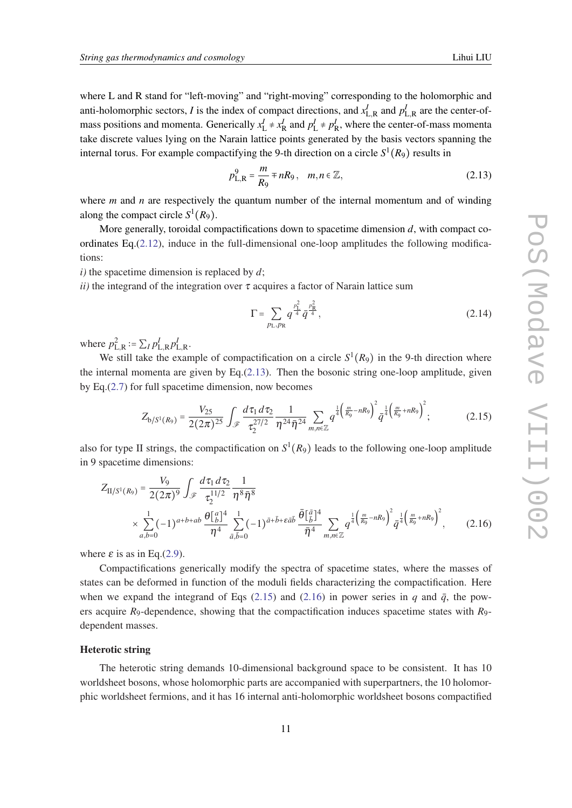<span id="page-10-0"></span>where L and R stand for "left-moving" and "right-moving" corresponding to the holomorphic and anti-holomorphic sectors, *I* is the index of compact directions, and  $x_{L,R}^I$  and  $p_{L,R}^I$  are the center-ofmass positions and momenta. Generically  $x_L^I \neq x_R^I$  and  $p_L^I \neq p_R^I$ , where the center-of-mass momenta take discrete values lying on the Narain lattice points generated by the basis vectors spanning the internal torus. For example compactifying the 9-th direction on a circle  $S^1(R_9)$  results in

$$
p_{L,R}^9 = \frac{m}{R_9} \mp nR_9, \quad m, n \in \mathbb{Z},
$$
 (2.13)

where *m* and *n* are respectively the quantum number of the internal momentum and of winding along the compact circle  $S^1(R_9)$ .

More generally, toroidal compactifications down to spacetime dimension *d*, with compact coordinates Eq. $(2.12)$  $(2.12)$ , induce in the full-dimensional one-loop amplitudes the following modifications:

*i)* the spacetime dimension is replaced by *d*;

*ii*) the integrand of the integration over  $\tau$  acquires a factor of Narain lattice sum

$$
\Gamma = \sum_{p_{\text{L}}, p_{\text{R}}} q^{\frac{p_{\text{L}}^2}{4}} \bar{q}^{\frac{p_{\text{R}}^2}{4}}, \tag{2.14}
$$

where  $p_{\text{L},\text{R}}^2 \coloneqq \sum_{I} p_{\text{L},\text{R}}^I p_{\text{L},\text{R}}^I$ .

We still take the example of compactification on a circle  $S^1(R_9)$  in the 9-th direction where the internal momenta are given by Eq.(2.13). Then the bosonic string one-loop amplitude, given by Eq.[\(2.7](#page-8-0)) for full spacetime dimension, now becomes

$$
Z_{\text{b}/S^{1}(R_{9})} = \frac{V_{25}}{2(2\pi)^{25}} \int_{\mathscr{F}} \frac{d\,\tau_{1}\,d\,\tau_{2}}{\tau_{2}^{27/2}} \frac{1}{\eta^{24}\bar{\eta}^{24}} \sum_{m,n\in\mathbb{Z}} q^{\frac{1}{4}\left(\frac{m}{R_{9}}-nR_{9}\right)^{2}} \bar{q}^{\frac{1}{4}\left(\frac{m}{R_{9}}+nR_{9}\right)^{2}};
$$
(2.15)

also for type II strings, the compactification on  $S^1(R_9)$  leads to the following one-loop amplitude in 9 spacetime dimensions:

$$
Z_{\Pi/S^{1}(R_{9})} = \frac{V_{9}}{2(2\pi)^{9}} \int_{\mathscr{F}} \frac{d\tau_{1} d\tau_{2}}{\tau_{2}^{11/2}} \frac{1}{\eta^{8} \bar{\eta}^{8}} \times \sum_{a,b=0}^{1} (-1)^{a+b+ab} \frac{\theta \binom{n}{b}^{4}}{\eta^{4}} \sum_{\bar{a},\bar{b}=0}^{1} (-1)^{\bar{a}+\bar{b}+\bar{c}\bar{a}\bar{b}} \frac{\bar{\theta} \binom{\bar{a}}{\bar{b}}^{4}}{\bar{\eta}^{4}} \sum_{m,n\in\mathbb{Z}} q^{\frac{1}{4} \left(\frac{m}{R_{9}}-nR_{9}\right)^{2}} \bar{q}^{\frac{1}{4} \left(\frac{m}{R_{9}}+nR_{9}\right)^{2}}, \quad (2.16)
$$

where  $\varepsilon$  is as in Eq.([2.9](#page-8-0)).

Compactifications generically modify the spectra of spacetime states, where the masses of states can be deformed in function of the moduli fields characterizing the compactification. Here when we expand the integrand of Eqs (2.15) and (2.16) in power series in *q* and  $\bar{q}$ , the powers acquire *R*9-dependence, showing that the compactification induces spacetime states with *R*9 dependent masses.

## Heterotic string

The heterotic string demands 10-dimensional background space to be consistent. It has 10 worldsheet bosons, whose holomorphic parts are accompanied with superpartners, the 10 holomorphic worldsheet fermions, and it has 16 internal anti-holomorphic worldsheet bosons compactified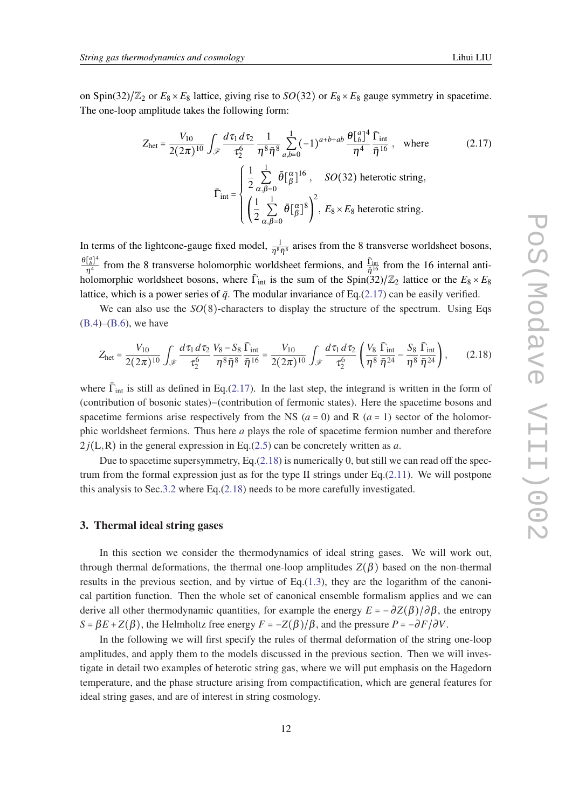<span id="page-11-0"></span>on Spin(32)/ $\mathbb{Z}_2$  or  $E_8 \times E_8$  lattice, giving rise to *SO*(32) or  $E_8 \times E_8$  gauge symmetry in spacetime. The one-loop amplitude takes the following form:

$$
Z_{\text{het}} = \frac{V_{10}}{2(2\pi)^{10}} \int_{\mathscr{F}} \frac{d\tau_1 d\tau_2}{\tau_2^6} \frac{1}{\eta^8 \bar{\eta}^8} \sum_{a,b=0}^1 (-1)^{a+b+ab} \frac{\theta_{b}^{a}}{\eta^4} \frac{\bar{\Gamma}_{\text{int}}}{\bar{\eta}^{16}}, \quad \text{where}
$$
\n
$$
\bar{\Gamma}_{\text{int}} = \begin{cases}\n\frac{1}{2} \sum_{\alpha,\beta=0}^1 \bar{\theta} \left[ \frac{\alpha}{\beta} \right]^{16}, & SO(32) \text{ heterotic string}, \\
\left( \frac{1}{2} \sum_{\alpha,\beta=0}^1 \bar{\theta} \left[ \frac{\alpha}{\beta} \right]^{8} \right)^2, & E_8 \times E_8 \text{ heterotic string}.\n\end{cases}
$$
\n(2.17)

In terms of the lightcone-gauge fixed model,  $\frac{1}{\eta^8 \bar{\eta}^8}$  arises from the 8 transverse worldsheet bosons,  $\frac{\theta \left[ a \right]^4}{a}$  $\frac{[\frac{a}{b}]^4}{\eta^4}$  from the 8 transverse holomorphic worldsheet fermions, and  $\frac{\bar{\Gamma}_{int}}{\bar{\eta}^{16}}$  from the 16 internal antiholomorphic worldsheet bosons, where  $\bar{\Gamma}_{int}$  is the sum of the Spin(32)/ $\mathbb{Z}_2$  lattice or the  $E_8 \times E_8$ lattice, which is a power series of  $\bar{q}$ . The modular invariance of Eq.(2.17) can be easily verified.

We can also use the *SO*(8)-characters to display the structure of the spectrum. Using Eqs  $(B.4)$  $(B.4)$  $(B.4)$ – $(B.6)$ , we have

$$
Z_{\text{het}} = \frac{V_{10}}{2(2\pi)^{10}} \int_{\mathscr{F}} \frac{d\tau_1 d\tau_2}{\tau_2^6} \frac{V_8 - S_8}{\eta^8 \bar{\eta}^8} \frac{\bar{\Gamma}_{\text{int}}}{\bar{\eta}^{16}} = \frac{V_{10}}{2(2\pi)^{10}} \int_{\mathscr{F}} \frac{d\tau_1 d\tau_2}{\tau_2^6} \left(\frac{V_8}{\eta^8} \frac{\bar{\Gamma}_{\text{int}}}{\bar{\eta}^{24}} - \frac{S_8}{\eta^8} \frac{\bar{\Gamma}_{\text{int}}}{\bar{\eta}^{24}}\right),\tag{2.18}
$$

where  $\bar{\Gamma}_{int}$  is still as defined in Eq.(2.17). In the last step, the integrand is written in the form of (contribution of bosonic states)−(contribution of fermonic states). Here the spacetime bosons and spacetime fermions arise respectively from the NS ( $a = 0$ ) and R ( $a = 1$ ) sector of the holomorphic worldsheet fermions. Thus here *a* plays the role of spacetime fermion number and therefore  $2j(L,R)$  in the general expression in Eq.[\(2.5\)](#page-6-0) can be concretely written as *a*.

Due to spacetime supersymmetry, Eq.(2.18) is numerically 0, but still we can read off the spectrum from the formal expression just as for the type II strings under Eq. $(2.11)$  $(2.11)$ . We will postpone this analysis to Sec[.3.2](#page-14-0) where Eq.(2.18) needs to be more carefully investigated.

## 3. Thermal ideal string gases

In this section we consider the thermodynamics of ideal string gases. We will work out, through thermal deformations, the thermal one-loop amplitudes  $Z(\beta)$  based on the non-thermal results in the previous section, and by virtue of Eq. $(1.3)$  $(1.3)$  $(1.3)$ , they are the logarithm of the canonical partition function. Then the whole set of canonical ensemble formalism applies and we can derive all other thermodynamic quantities, for example the energy  $E = -\frac{\partial Z(\beta)}{\partial \beta}$ , the entropy *S* =  $βE + Z(β)$ , the Helmholtz free energy  $F = -Z(β)/β$ , and the pressure  $P = -∂F/∂V$ .

In the following we will first specify the rules of thermal deformation of the string one-loop amplitudes, and apply them to the models discussed in the previous section. Then we will investigate in detail two examples of heterotic string gas, where we will put emphasis on the Hagedorn temperature, and the phase structure arising from compactification, which are general features for ideal string gases, and are of interest in string cosmology.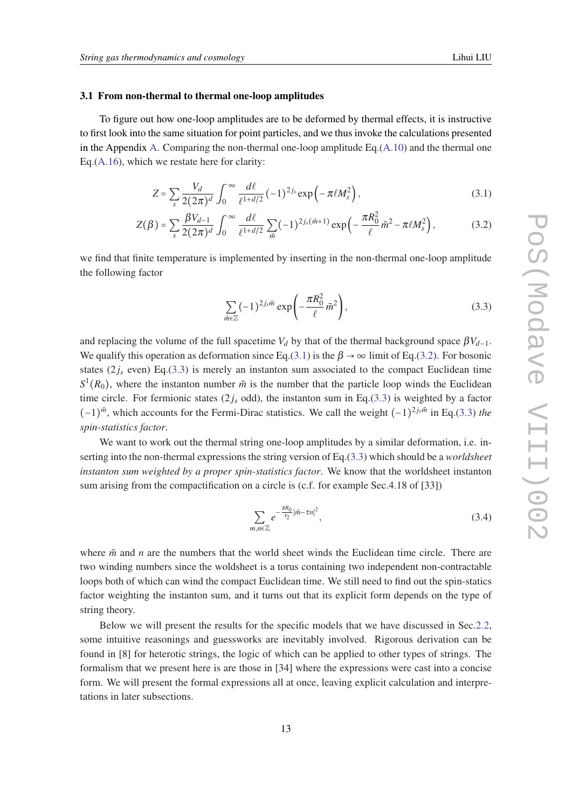#### <span id="page-12-0"></span>3.1 From non-thermal to thermal one-loop amplitudes

To figure out how one-loop amplitudes are to be deformed by thermal effects, it is instructive to first look into the same situation for point particles, and we thus invoke the calculations presented in the Appendix [A.](#page-35-0) Comparing the non-thermal one-loop amplitude Eq.([A.10](#page-37-0)) and the thermal one Eq.([A.16](#page-38-0)), which we restate here for clarity:

$$
Z = \sum_{s} \frac{V_d}{2(2\pi)^d} \int_0^{\infty} \frac{d\ell}{\ell^{1+d/2}} (-1)^{2j_s} \exp\left(-\pi \ell M_s^2\right),\tag{3.1}
$$

$$
Z(\beta) = \sum_{s} \frac{\beta V_{d-1}}{2(2\pi)^d} \int_0^{\infty} \frac{d\ell}{\ell^{1+d/2}} \sum_{\tilde{m}} (-1)^{2j_s(\tilde{m}+1)} \exp\left(-\frac{\pi R_0^2}{\ell} \tilde{m}^2 - \pi \ell M_s^2\right),\tag{3.2}
$$

we find that finite temperature is implemented by inserting in the non-thermal one-loop amplitude the following factor

$$
\sum_{\tilde{m}\in\mathbb{Z}}(-1)^{2j_s\tilde{m}}\exp\left(-\frac{\pi R_0^2}{\ell}\tilde{m}^2\right),\tag{3.3}
$$

and replacing the volume of the full spacetime *V<sub>d</sub>* by that of the thermal background space  $\beta V_{d-1}$ . We qualify this operation as deformation since Eq.(3.1) is the  $\beta \rightarrow \infty$  limit of Eq.(3.2). For bosonic states  $(2j_s$  even) Eq.(3.3) is merely an instanton sum associated to the compact Euclidean time  $S^1(R_0)$ , where the instanton number  $\tilde{m}$  is the number that the particle loop winds the Euclidean time circle. For fermionic states  $(2j_s \text{ odd})$ , the instanton sum in Eq.(3.3) is weighted by a factor  $(-1)^{\tilde{m}}$ , which accounts for the Fermi-Dirac statistics. We call the weight  $(-1)^{2j_s\tilde{m}}$  in Eq.(3.3) *the spin-statistics factor*.

We want to work out the thermal string one-loop amplitudes by a similar deformation, i.e. inserting into the non-thermal expressions the string version of Eq.(3.3) which should be a *worldsheet instanton sum weighted by a proper spin-statistics factor*. We know that the worldsheet instanton sum arising from the compactification on a circle is (c.f. for example Sec.4.18 of [33])

$$
\sum_{m,n\in\mathbb{Z}}e^{-\frac{\pi R_0}{\tau_2}|\tilde{m}-\tau n|^2},\tag{3.4}
$$

where  $\tilde{m}$  and *n* are the numbers that the world sheet winds the Euclidean time circle. There are two winding numbers since the woldsheet is a torus containing two independent non-contractable loops both of which can wind the compact Euclidean time. We still need to find out the spin-statics factor weighting the instanton sum, and it turns out that its explicit form depends on the type of string theory.

Below we will present the results for the specific models that we have discussed in Sec.[2.2](#page-7-0), some intuitive reasonings and guessworks are inevitably involved. Rigorous derivation can be found in [8] for heterotic strings, the logic of which can be applied to other types of strings. The formalism that we present here is are those in [34] where the expressions were cast into a concise form. We will present the formal expressions all at once, leaving explicit calculation and interpretations in later subsections.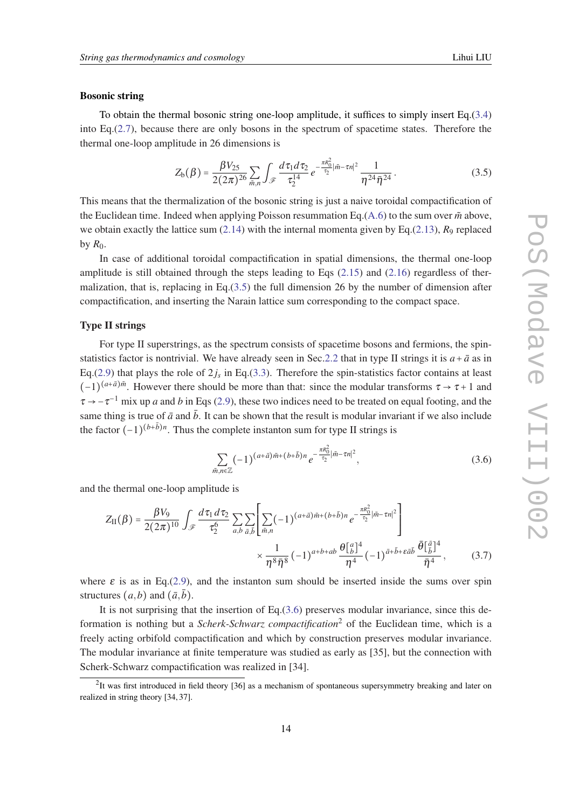#### <span id="page-13-0"></span>Bosonic string

To obtain the thermal bosonic string one-loop amplitude, it suffices to simply insert Eq.([3.4](#page-12-0)) into Eq.([2.7](#page-8-0)), because there are only bosons in the spectrum of spacetime states. Therefore the thermal one-loop amplitude in 26 dimensions is

$$
Z_{b}(\beta) = \frac{\beta V_{25}}{2(2\pi)^{26}} \sum_{\tilde{m},n} \int_{\mathscr{F}} \frac{d\tau_1 d\tau_2}{\tau_2^{14}} e^{-\frac{\pi R_0^2}{\tau_2} |\tilde{m} - \tau n|^2} \frac{1}{\eta^{24} \bar{\eta}^{24}}.
$$
 (3.5)

This means that the thermalization of the bosonic string is just a naive toroidal compactification of the Euclidean time. Indeed when applying Poisson resummation Eq.( $A.6$ ) to the sum over  $\tilde{m}$  above, we obtain exactly the lattice sum  $(2.14)$  $(2.14)$  with the internal momenta given by Eq.[\(2.13](#page-10-0)),  $R_9$  replaced by  $R_0$ .

In case of additional toroidal compactification in spatial dimensions, the thermal one-loop amplitude is still obtained through the steps leading to Eqs [\(2.15](#page-10-0)) and ([2.16\)](#page-10-0) regardless of thermalization, that is, replacing in Eq. $(3.5)$  the full dimension 26 by the number of dimension after compactification, and inserting the Narain lattice sum corresponding to the compact space.

#### Type II strings

For type II superstrings, as the spectrum consists of spacetime bosons and fermions, the spin-statistics factor is nontrivial. We have already seen in Sec[.2.2](#page-7-0) that in type II strings it is  $a + \bar{a}$  as in Eq.([2.9](#page-8-0)) that plays the role of  $2j_s$  in Eq.[\(3.3](#page-12-0)). Therefore the spin-statistics factor contains at least  $(-1)^{(a+\bar{a})\tilde{m}}$ . However there should be more than that: since the modular transforms  $\tau \to \tau + 1$  and  $\tau \to -\tau^{-1}$  mix up *a* and *b* in Eqs [\(2.9\)](#page-8-0), these two indices need to be treated on equal footing, and the same thing is true of  $\bar{a}$  and  $\bar{b}$ . It can be shown that the result is modular invariant if we also include the factor  $(-1)^{(b+\bar{b})n}$ . Thus the complete instanton sum for type II strings is

$$
\sum_{\tilde{m},n\in\mathbb{Z}} (-1)^{(a+\bar{a})\tilde{m}+(b+\bar{b})n} e^{-\frac{\pi R_0^2}{\tau_2}|\tilde{m}-\tau n|^2},\tag{3.6}
$$

and the thermal one-loop amplitude is

$$
Z_{II}(\beta) = \frac{\beta V_9}{2(2\pi)^{10}} \int_{\mathscr{F}} \frac{d\tau_1 d\tau_2}{\tau_2^6} \sum_{a,b} \sum_{\bar{a},\bar{b}} \left[ \sum_{\tilde{m},n} (-1)^{(a+\bar{a})\tilde{m}+(b+\bar{b})n} e^{-\frac{\pi R_0^2}{\tau_2}|\tilde{m}-\tau n|^2} \right] \times \frac{1}{\eta^8 \bar{\eta}^8} (-1)^{a+b+ab} \frac{\theta[\bar{a}]^4}{\eta^4} (-1)^{\bar{a}+\bar{b}+\epsilon \bar{a}\bar{b}} \frac{\bar{\theta}[\bar{a}]^4}{\bar{\eta}^4}, \qquad (3.7)
$$

where  $\varepsilon$  is as in Eq.[\(2.9\)](#page-8-0), and the instanton sum should be inserted inside the sums over spin structures  $(a,b)$  and  $(\bar{a},\bar{b})$ .

It is not surprising that the insertion of Eq. $(3.6)$  preserves modular invariance, since this deformation is nothing but a *Scherk-Schwarz compactification*<sup>2</sup> of the Euclidean time, which is a freely acting orbifold compactification and which by construction preserves modular invariance. The modular invariance at finite temperature was studied as early as [35], but the connection with Scherk-Schwarz compactification was realized in [34].

 $2$ It was first introduced in field theory [36] as a mechanism of spontaneous supersymmetry breaking and later on realized in string theory [34, 37].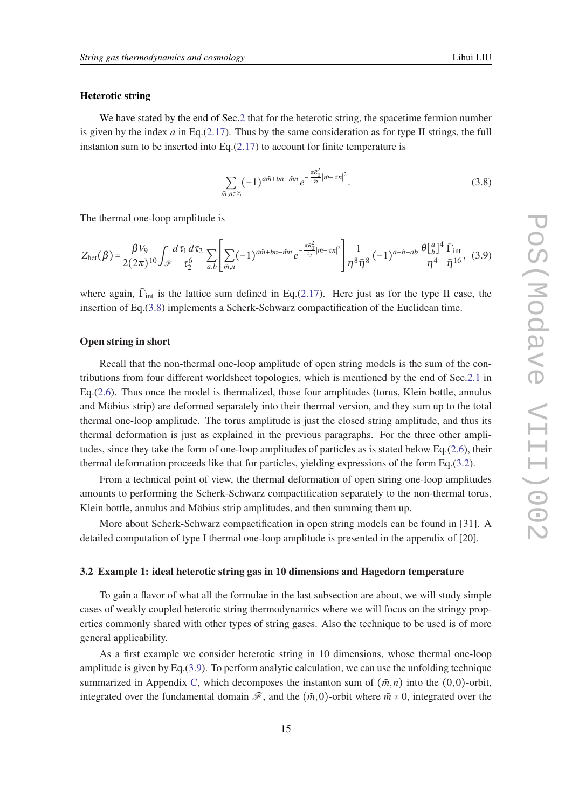#### <span id="page-14-0"></span>Heterotic string

We have stated by the end of Sec.[2](#page-4-0) that for the heterotic string, the spacetime fermion number is given by the index  $a$  in Eq.[\(2.17](#page-11-0)). Thus by the same consideration as for type II strings, the full instanton sum to be inserted into Eq. $(2.17)$  $(2.17)$  to account for finite temperature is

$$
\sum_{\tilde{m},n\in\mathbb{Z}}(-1)^{a\tilde{m}+bn+\tilde{m}n}e^{-\frac{\pi R_0^2}{\tau_2}|\tilde{m}-\tau n|^2}.
$$
\n(3.8)

The thermal one-loop amplitude is

$$
Z_{\text{het}}(\beta) = \frac{\beta V_9}{2(2\pi)^{10}} \int_{\mathscr{F}} \frac{d\tau_1 d\tau_2}{\tau_2^6} \sum_{a,b} \left[ \sum_{\tilde{m},n} (-1)^{a\tilde{m} + bn + \tilde{m}n} e^{-\frac{\pi R_0^2}{\tau_2} |\tilde{m} - \tau n|^2} \right] \frac{1}{\eta^8 \bar{\eta}^8} (-1)^{a+b+ab} \frac{\theta \left[ \frac{a}{b} \right]^4}{\eta^4} \frac{\bar{\Gamma}_{\text{int}}}{\bar{\eta}^{16}}, \quad (3.9)
$$

where again,  $\bar{\Gamma}_{int}$  is the lattice sum defined in Eq.[\(2.17](#page-11-0)). Here just as for the type II case, the insertion of Eq.(3.8) implements a Scherk-Schwarz compactification of the Euclidean time.

## Open string in short

Recall that the non-thermal one-loop amplitude of open string models is the sum of the contributions from four different worldsheet topologies, which is mentioned by the end of Sec.[2.1](#page-5-0) in Eq.([2.6](#page-7-0)). Thus once the model is thermalized, those four amplitudes (torus, Klein bottle, annulus and Möbius strip) are deformed separately into their thermal version, and they sum up to the total thermal one-loop amplitude. The torus amplitude is just the closed string amplitude, and thus its thermal deformation is just as explained in the previous paragraphs. For the three other amplitudes, since they take the form of one-loop amplitudes of particles as is stated below Eq.[\(2.6](#page-7-0)), their thermal deformation proceeds like that for particles, yielding expressions of the form Eq.[\(3.2\)](#page-12-0).

From a technical point of view, the thermal deformation of open string one-loop amplitudes amounts to performing the Scherk-Schwarz compactification separately to the non-thermal torus, Klein bottle, annulus and Möbius strip amplitudes, and then summing them up.

More about Scherk-Schwarz compactification in open string models can be found in [31]. A detailed computation of type I thermal one-loop amplitude is presented in the appendix of [20].

#### 3.2 Example 1: ideal heterotic string gas in 10 dimensions and Hagedorn temperature

To gain a flavor of what all the formulae in the last subsection are about, we will study simple cases of weakly coupled heterotic string thermodynamics where we will focus on the stringy properties commonly shared with other types of string gases. Also the technique to be used is of more general applicability.

As a first example we consider heterotic string in 10 dimensions, whose thermal one-loop amplitude is given by Eq.(3.9). To perform analytic calculation, we can use the unfolding technique summarized in Appendix [C,](#page-39-0) which decomposes the instanton sum of  $(\tilde{m}, n)$  into the  $(0,0)$ -orbit, integrated over the fundamental domain  $\mathscr{F}$ , and the  $(\tilde{m},0)$ -orbit where  $\tilde{m} \neq 0$ , integrated over the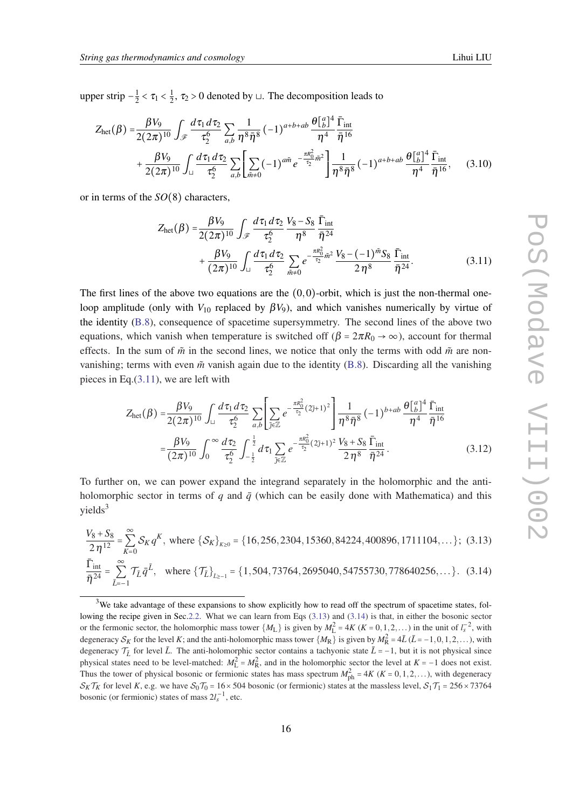<span id="page-15-0"></span>upper strip  $-\frac{1}{2}$  $\frac{1}{2} < \tau_1 < \frac{1}{2}$  $\frac{1}{2}$ ,  $\tau_2 > 0$  denoted by  $\sqcup$ . The decomposition leads to

$$
Z_{\text{het}}(\beta) = \frac{\beta V_9}{2(2\pi)^{10}} \int_{\mathscr{F}} \frac{d\tau_1 d\tau_2}{\tau_2^6} \sum_{a,b} \frac{1}{\eta^8 \bar{\eta}^8} (-1)^{a+b+ab} \frac{\theta \left[ \frac{a}{b} \right]^4}{\eta^4} \frac{\bar{\Gamma}_{\text{int}}}{\bar{\eta}^{16}} + \frac{\beta V_9}{2(2\pi)^{10}} \int_{\sqcup} \frac{d\tau_1 d\tau_2}{\tau_2^6} \sum_{a,b} \left[ \sum_{\tilde{m}\neq 0} (-1)^{a\tilde{m}} e^{-\frac{\pi R_0^2}{\tau_2} \tilde{m}^2} \right] \frac{1}{\eta^8 \bar{\eta}^8} (-1)^{a+b+ab} \frac{\theta \left[ \frac{a}{b} \right]^4}{\eta^4} \frac{\bar{\Gamma}_{\text{int}}}{\bar{\eta}^{16}},
$$
(3.10)

or in terms of the *SO*(8) characters,

$$
Z_{\text{het}}(\beta) = \frac{\beta V_9}{2(2\pi)^{10}} \int_{\mathscr{F}} \frac{d\tau_1 d\tau_2}{\tau_2^6} \frac{V_8 - S_8}{\eta^8} \frac{\bar{\Gamma}_{\text{int}}}{\bar{\eta}^{24}} + \frac{\beta V_9}{(2\pi)^{10}} \int_{\square} \frac{d\tau_1 d\tau_2}{\tau_2^6} \sum_{\tilde{m}\neq 0} e^{-\frac{\pi R_0^2}{\tau_2} \tilde{m}^2} \frac{V_8 - (-1)^{\tilde{m}} S_8}{2\eta^8} \frac{\bar{\Gamma}_{\text{int}}}{\bar{\eta}^{24}}.
$$
 (3.11)

The first lines of the above two equations are the  $(0,0)$ -orbit, which is just the non-thermal oneloop amplitude (only with  $V_{10}$  replaced by  $\beta V_9$ ), and which vanishes numerically by virtue of the identity [\(B.8\)](#page-39-0), consequence of spacetime supersymmetry. The second lines of the above two equations, which vanish when temperature is switched off ( $\beta = 2\pi R_0 \rightarrow \infty$ ), account for thermal effects. In the sum of  $\tilde{m}$  in the second lines, we notice that only the terms with odd  $\tilde{m}$  are nonvanishing; terms with even  $\tilde{m}$  vanish again due to the identity ([B.8](#page-39-0)). Discarding all the vanishing pieces in Eq.(3.11), we are left with

$$
Z_{\text{het}}(\beta) = \frac{\beta V_9}{2(2\pi)^{10}} \int_{\square} \frac{d\tau_1 d\tau_2}{\tau_2^6} \sum_{a,b} \left[ \sum_{\tilde{j} \in \mathbb{Z}} e^{-\frac{\pi R_0^2}{\tau_2} (2\tilde{j}+1)^2} \right] \frac{1}{\eta^8 \bar{\eta}^8} (-1)^{b+ab} \frac{\theta \Big[ \Big[ \Big[ \Big] \Big]^4}{\eta^4} \frac{\bar{\Gamma}_{\text{int}}}{\bar{\eta}^{16}} = \frac{\beta V_9}{(2\pi)^{10}} \int_0^\infty \frac{d\tau_2}{\tau_2^6} \int_{-\frac{1}{2}}^{\frac{1}{2}} d\tau_1 \sum_{\tilde{j} \in \mathbb{Z}} e^{-\frac{\pi R_0^2}{\tau_2} (2\tilde{j}+1)^2} \frac{V_8 + S_8}{2\eta^8} \frac{\bar{\Gamma}_{\text{int}}}{\bar{\eta}^{24}}.
$$
 (3.12)

To further on, we can power expand the integrand separately in the holomorphic and the antiholomorphic sector in terms of  $q$  and  $\bar{q}$  (which can be easily done with Mathematica) and this  $yields<sup>3</sup>$ 

$$
\frac{V_8 + S_8}{2\eta^{12}} = \sum_{K=0}^{\infty} S_K q^K
$$
, where  $\{S_K\}_{K\geq 0} = \{16, 256, 2304, 15360, 84224, 400896, 1711104, \dots\};$  (3.13)  

$$
\frac{\bar{\Gamma}_{int}}{\bar{\eta}^{24}} = \sum_{\bar{L}=-1}^{\infty} T_{\bar{L}} \bar{q}^{\bar{L}},
$$
 where  $\{T_{\bar{L}}\}_{L\geq -1} = \{1, 504, 73764, 2695040, 54755730, 778640256, \dots\}.$  (3.14)

<sup>&</sup>lt;sup>3</sup>We take advantage of these expansions to show explicitly how to read off the spectrum of spacetime states, fol-lowing the recipe given in Sec[.2.2.](#page-7-0) What we can learn from Eqs (3.13) and (3.14) is that, in either the bosonic sector or the fermonic sector, the holomorphic mass tower  $\{M_L\}$  is given by  $M_L^2 = 4K$  ( $K = 0, 1, 2, ...$ ) in the unit of  $l_s^{-2}$ , with degeneracy  $S_K$  for the level K; and the anti-holomorphic mass tower  $\{M_R\}$  is given by  $M_R^2 = 4\bar{L}(\bar{L} = -1, 0, 1, 2, \dots)$ , with degeneracy  $\mathcal{T}_L$  for level  $\bar{L}$ . The anti-holomorphic sector contains a tachyonic state  $\bar{L}$  = −1, but it is not physical since physical states need to be level-matched:  $M_L^2 = M_R^2$ , and in the holomorphic sector the level at  $K = -1$  does not exist. Thus the tower of physical bosonic or fermionic states has mass spectrum  $M_{ph}^2 = 4K$  ( $K = 0, 1, 2, ...$ ), with degeneracy  $S_K \mathcal{T}_K$  for level *K*, e.g. we have  $S_0 \mathcal{T}_0 = 16 \times 504$  bosonic (or fermionic) states at the massless level,  $S_1 \mathcal{T}_1 = 256 \times 73764$ bosonic (or fermionic) states of mass  $2l_s^{-1}$ , etc.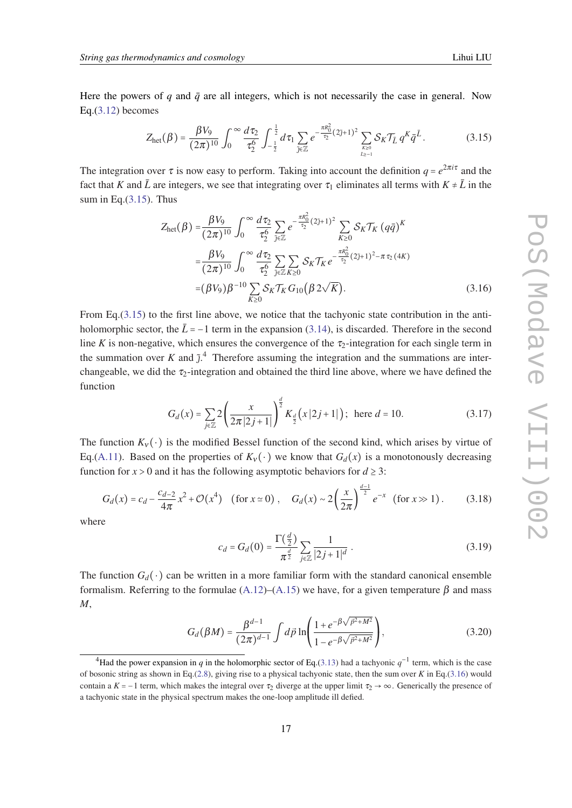<span id="page-16-0"></span>Here the powers of *q* and  $\bar{q}$  are all integers, which is not necessarily the case in general. Now Eq.([3.12\)](#page-15-0) becomes

$$
Z_{\text{het}}(\beta) = \frac{\beta V_9}{(2\pi)^{10}} \int_0^\infty \frac{d\tau_2}{\tau_2^6} \int_{-\frac{1}{2}}^{\frac{1}{2}} d\tau_1 \sum_{j \in \mathbb{Z}} e^{-\frac{\pi R_0^2}{\tau_2} (2j+1)^2} \sum_{\chi \geq 0 \atop l \geq -1} \mathcal{S}_K \mathcal{T}_{\bar{L}} q^K \bar{q}^{\bar{L}}.
$$
 (3.15)

The integration over  $\tau$  is now easy to perform. Taking into account the definition  $q = e^{2\pi i \tau}$  and the fact that *K* and  $\bar{L}$  are integers, we see that integrating over  $\tau_1$  eliminates all terms with  $K \neq \bar{L}$  in the sum in Eq.(3.15). Thus

$$
Z_{\text{het}}(\beta) = \frac{\beta V_9}{(2\pi)^{10}} \int_0^\infty \frac{d\tau_2}{\tau_2^6} \sum_{\tilde{j} \in \mathbb{Z}} e^{-\frac{\pi R_0^2}{\tau_2}(2\tilde{j}+1)^2} \sum_{K \ge 0} \mathcal{S}_K \mathcal{T}_K (q\bar{q})^K
$$
  

$$
= \frac{\beta V_9}{(2\pi)^{10}} \int_0^\infty \frac{d\tau_2}{\tau_2^6} \sum_{\tilde{j} \in \mathbb{Z}} \sum_{K \ge 0} \mathcal{S}_K \mathcal{T}_K e^{-\frac{\pi R_0^2}{\tau_2}(2\tilde{j}+1)^2 - \pi \tau_2(4K)}
$$
  

$$
= (\beta V_9) \beta^{-10} \sum_{K \ge 0} \mathcal{S}_K \mathcal{T}_K G_{10} (\beta 2\sqrt{K}).
$$
 (3.16)

From Eq.  $(3.15)$  to the first line above, we notice that the tachyonic state contribution in the antiholomorphic sector, the  $\bar{L}$  = −1 term in the expansion ([3.14\)](#page-15-0), is discarded. Therefore in the second line *K* is non-negative, which ensures the convergence of the  $\tau_2$ -integration for each single term in the summation over *K* and  $\tilde{j}$ <sup>4</sup>. Therefore assuming the integration and the summations are interchangeable, we did the  $\tau_2$ -integration and obtained the third line above, where we have defined the function

$$
G_d(x) = \sum_{j \in \mathbb{Z}} 2 \left( \frac{x}{2\pi |2j+1|} \right)^{\frac{d}{2}} K_{\frac{d}{2}}(x|2j+1|) \, ; \text{ here } d = 10. \tag{3.17}
$$

The function  $K_v(\cdot)$  is the modified Bessel function of the second kind, which arises by virtue of Eq.([A.11](#page-37-0)). Based on the properties of  $K_v(\cdot)$  we know that  $G_d(x)$  is a monotonously decreasing function for  $x > 0$  and it has the following asymptotic behaviors for  $d \geq 3$ :

$$
G_d(x) = c_d - \frac{c_{d-2}}{4\pi} x^2 + \mathcal{O}(x^4) \quad \text{(for } x \simeq 0\text{)}, \quad G_d(x) \sim 2\left(\frac{x}{2\pi}\right)^{\frac{d-1}{2}} e^{-x} \quad \text{(for } x \gg 1\text{)}.
$$
 (3.18)

where

$$
c_d = G_d(0) = \frac{\Gamma(\frac{d}{2})}{\pi^{\frac{d}{2}}} \sum_{j \in \mathbb{Z}} \frac{1}{|2j+1|^d} \,. \tag{3.19}
$$

The function  $G_d(\cdot)$  can be written in a more familiar form with the standard canonical ensemble formalism. Referring to the formulae  $(A.12)$  $(A.12)$  $(A.12)$ – $(A.15)$  $(A.15)$  we have, for a given temperature  $\beta$  and mass *M*,

$$
G_d(\beta M) = \frac{\beta^{d-1}}{(2\pi)^{d-1}} \int d\vec{p} \ln\left(\frac{1 + e^{-\beta\sqrt{\vec{p}^2 + M^2}}}{1 - e^{-\beta\sqrt{\vec{p}^2 + M^2}}}\right),\tag{3.20}
$$

<sup>&</sup>lt;sup>4</sup>Had the power expansion in *q* in the holomorphic sector of Eq.([3.13](#page-15-0)) had a tachyonic  $q^{-1}$  term, which is the case of bosonic string as shown in Eq.[\(2.8\)](#page-8-0), giving rise to a physical tachyonic state, then the sum over *K* in Eq.(3.16) would contain a *K* = −1 term, which makes the integral over  $\tau_2$  diverge at the upper limit  $\tau_2 \rightarrow \infty$ . Generically the presence of a tachyonic state in the physical spectrum makes the one-loop amplitude ill defied.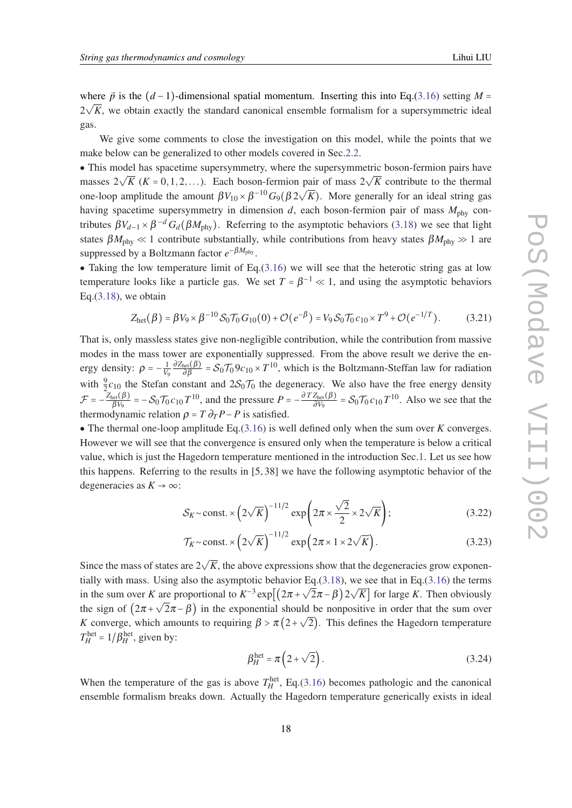<span id="page-17-0"></span>where  $\vec{p}$  is the  $(d-1)$ -dimensional spatial momentum. Inserting this into Eq.([3.16\)](#page-16-0) setting *M* =  $2\sqrt{K}$ , we obtain exactly the standard canonical ensemble formalism for a supersymmetric ideal gas.

We give some comments to close the investigation on this model, while the points that we make below can be generalized to other models covered in Sec.[2.2](#page-7-0).

● This model has spacetime supersymmetry, where the supersymmetric boson-fermion pairs have  $\sim$  1 ms model has spacetime supersymmetry, where the supersymmetric boson-fermion pairs have masses  $2\sqrt{K}$  ( $K = 0, 1, 2, ...$ ). Each boson-fermion pair of mass  $2\sqrt{K}$  contribute to the thermal one-loop amplitude the amount  $βV_{10} \times β^{-10}G_9(β2\sqrt{})$ *K*). More generally for an ideal string gas having spacetime supersymmetry in dimension  $d$ , each boson-fermion pair of mass  $M_{\text{phy}}$  contributes  $\beta V_{d-1} \times \beta^{-d} G_d(\beta M_{phy})$ . Referring to the asymptotic behaviors [\(3.18](#page-16-0)) we see that light states  $\beta M_{\text{phy}} \ll 1$  contribute substantially, while contributions from heavy states  $\beta M_{\text{phy}} \gg 1$  are suppressed by a Boltzmann factor *e*<sup>−βM<sub>phy</sub></sup>.

• Taking the low temperature limit of Eq. $(3.16)$  $(3.16)$  we will see that the heterotic string gas at low temperature looks like a particle gas. We set  $T = \beta^{-1} \ll 1$ , and using the asymptotic behaviors Eq. $(3.18)$  $(3.18)$ , we obtain

$$
Z_{\text{het}}(\beta) = \beta V_9 \times \beta^{-10} \mathcal{S}_0 \mathcal{T}_0 G_{10}(0) + \mathcal{O}(e^{-\beta}) = V_9 \mathcal{S}_0 \mathcal{T}_0 c_{10} \times T^9 + \mathcal{O}(e^{-1/T}). \tag{3.21}
$$

That is, only massless states give non-negligible contribution, while the contribution from massive modes in the mass tower are exponentially suppressed. From the above result we derive the energy density:  $\rho = -\frac{1}{V_0}$  $\frac{1}{v_9} \frac{\partial Z_{\text{het}}(\beta)}{\partial \beta} = S_0 \mathcal{T}_0 9c_{10} \times T^{10}$ , which is the Boltzmann-Steffan law for radiation with  $\frac{9}{2}c_{10}$  the Stefan constant and  $2\mathcal{S}_0\mathcal{T}_0$  the degeneracy. We also have the free energy density  $\mathcal{F} = -\frac{Z_{\text{het}}(\beta)}{\beta V_9} = -\mathcal{S}_0 \mathcal{T}_0 c_{10} T^{10}$ , and the pressure  $P = -\frac{\partial T Z_{\text{het}}(\beta)}{\partial V_9} = \mathcal{S}_0 \mathcal{T}_0 c_{10} T^{10}$ . Also we see that the thermodynamic relation  $\rho = T \partial_T P - P$  is satisfied.

• The thermal one-loop amplitude Eq. $(3.16)$  $(3.16)$  is well defined only when the sum over *K* converges. However we will see that the convergence is ensured only when the temperature is below a critical value, which is just the Hagedorn temperature mentioned in the introduction Sec.[1](#page-1-0). Let us see how this happens. Referring to the results in [5, 38] we have the following asymptotic behavior of the degeneracies as  $K \rightarrow \infty$ :

$$
S_K \sim \text{const.} \times \left(2\sqrt{K}\right)^{-11/2} \exp\left(2\pi \times \frac{\sqrt{2}}{2} \times 2\sqrt{K}\right);\tag{3.22}
$$

$$
\mathcal{T}_K \sim \text{const.} \times \left(2\sqrt{K}\right)^{-11/2} \exp\left(2\pi \times 1 \times 2\sqrt{K}\right). \tag{3.23}
$$

Since the mass of states are  $2\sqrt{K}$ , the above expressions show that the degeneracies grow exponen-tially with mass. Using also the asymptotic behavior Eq.([3.18\)](#page-16-0), we see that in Eq.([3.16\)](#page-16-0) the terms in the sum over *K* are proportional to  $K^{-3}$  exp $\left[\left(2\pi + \sqrt{2}\pi - \beta\right)2\right]$ √ are proportional to  $K^{-3} \exp[(2\pi + \sqrt{2\pi - \beta})2\sqrt{K}]$  for large *K*. Then obviously the sign of  $(2\pi + \sqrt{2\pi - \beta})$  in the exponential should be nonpositive in order that the sum over *K* converge, which amounts to requiring  $\beta > \pi(2+\sqrt{2})$ . This defines the Hagedorn temperature  $T_H^{\text{het}} = 1/\beta_H^{\text{het}}$ , given by:

$$
\beta_H^{\text{het}} = \pi \left( 2 + \sqrt{2} \right). \tag{3.24}
$$

When the temperature of the gas is above  $T_H^{\text{het}}$ , Eq.[\(3.16](#page-16-0)) becomes pathologic and the canonical ensemble formalism breaks down. Actually the Hagedorn temperature generically exists in ideal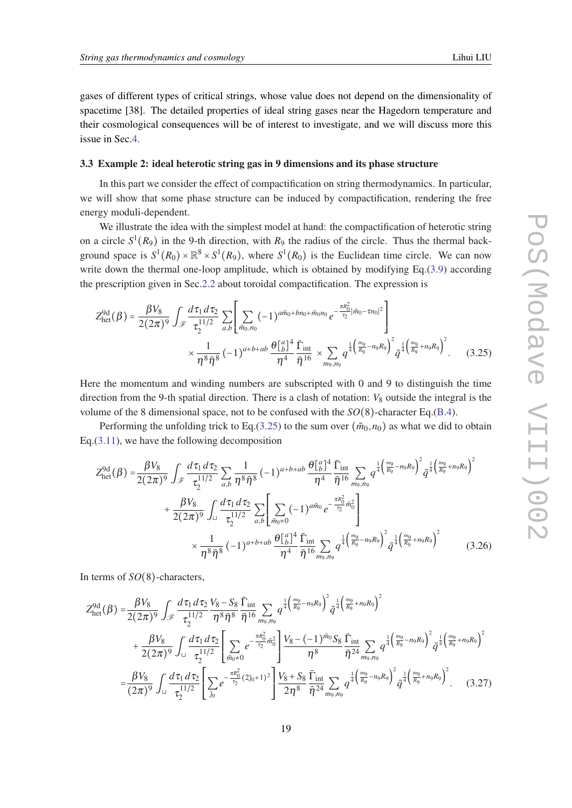<span id="page-18-0"></span>gases of different types of critical strings, whose value does not depend on the dimensionality of spacetime [38]. The detailed properties of ideal string gases near the Hagedorn temperature and their cosmological consequences will be of interest to investigate, and we will discuss more this issue in Sec.[4](#page-21-0).

## 3.3 Example 2: ideal heterotic string gas in 9 dimensions and its phase structure

In this part we consider the effect of compactification on string thermodynamics. In particular, we will show that some phase structure can be induced by compactification, rendering the free energy moduli-dependent.

We illustrate the idea with the simplest model at hand: the compactification of heterotic string on a circle  $S^1(R_9)$  in the 9-th direction, with  $R_9$  the radius of the circle. Thus the thermal background space is  $S^1(R_0) \times \mathbb{R}^8 \times S^1(R_9)$ , where  $S^1(R_0)$  is the Euclidean time circle. We can now write down the thermal one-loop amplitude, which is obtained by modifying Eq.[\(3.9\)](#page-14-0) according the prescription given in Sec[.2.2](#page-7-0) about toroidal compactification. The expression is

$$
Z_{\text{het}}^{9d}(\beta) = \frac{\beta V_8}{2(2\pi)^9} \int_{\mathscr{F}} \frac{d\tau_1 d\tau_2}{\tau_2^{11/2}} \sum_{a,b} \left[ \sum_{\tilde{m}_0, n_0} (-1)^{a\tilde{m}_0 + b n_0 + \tilde{m}_0 n_0} e^{-\frac{\pi R_0^2}{\tau_2} |\tilde{m}_0 - \tau n_0|^2} \right] \times \frac{1}{\eta^8 \bar{\eta}^8} (-1)^{a+b+ab} \frac{\theta \left[ \frac{a}{b} \right]^4}{\eta^4} \frac{\bar{\Gamma}_{\text{int}}}{\bar{\eta}^{16}} \times \sum_{m_9, n_9} q^{\frac{1}{4} \left( \frac{m_9}{R_9} - n_9 R_9 \right)^2} \bar{q}^{\frac{1}{4} \left( \frac{m_9}{R_9} + n_9 R_9 \right)^2}.
$$
 (3.25)

Here the momentum and winding numbers are subscripted with 0 and 9 to distinguish the time direction from the 9-th spatial direction. There is a clash of notation:  $V_8$  outside the integral is the volume of the 8 dimensional space, not to be confused with the *SO*(8)-character Eq.([B.4](#page-39-0)).

Performing the unfolding trick to Eq.(3.25) to the sum over  $(\tilde{m}_0, n_0)$  as what we did to obtain Eq.([3.11\)](#page-15-0), we have the following decomposition

$$
Z_{\text{het}}^{9d}(\beta) = \frac{\beta V_8}{2(2\pi)^9} \int_{\mathscr{F}} \frac{d\tau_1 d\tau_2}{\tau_2^{11/2}} \sum_{a,b} \frac{1}{\eta^8 \bar{\eta}^8} (-1)^{a+b+ab} \frac{\theta \left[ \frac{a}{b} \right]^4}{\eta^4} \frac{\bar{\Gamma}_{\text{int}}}{\bar{\eta}^{16}} \sum_{m_9,n_9} q^{\frac{1}{4} \left( \frac{m_9}{R_9} - n_9 R_9 \right)^2} \bar{q}^{\frac{1}{4} \left( \frac{m_9}{R_9} + n_9 R_9 \right)^2} + \frac{\beta V_8}{2(2\pi)^9} \int_{\square} \frac{d\tau_1 d\tau_2}{\tau_2^{11/2}} \sum_{a,b} \left[ \sum_{\bar{m}_0 \neq 0} (-1)^{a\tilde{m}_0} e^{-\frac{\pi R_0^2}{\tau_2} \tilde{m}_0^2} \right] \times \frac{1}{\eta^8 \bar{\eta}^8} (-1)^{a+b+ab} \frac{\theta \left[ \frac{a}{b} \right]^4}{\eta^4} \frac{\bar{\Gamma}_{\text{int}}}{\bar{\eta}^{16}} \sum_{m_9,n_9} q^{\frac{1}{4} \left( \frac{m_9}{R_9} - n_9 R_9 \right)^2} \bar{q}^{\frac{1}{4} \left( \frac{m_9}{R_9} + n_9 R_9 \right)^2} \tag{3.26}
$$

In terms of *SO*(8)-characters,

$$
Z_{\text{het}}^{9d}(\beta) = \frac{\beta V_8}{2(2\pi)^9} \int_{\mathscr{F}} \frac{d\tau_1 d\tau_2}{\tau_2^{11/2}} \frac{V_8 - S_8}{\eta^8 \bar{\eta}^8} \frac{\bar{\Gamma}_{\text{int}}}{\bar{\eta}^{16}} \sum_{m_9, n_9} q^{\frac{1}{4} \left(\frac{m_9}{R_9} - n_9 R_9\right)^2} \bar{q}^{\frac{1}{4} \left(\frac{m_9}{R_9} + n_9 R_9\right)^2} + \frac{\beta V_8}{2(2\pi)^9} \int_{\sqcup} \frac{d\tau_1 d\tau_2}{\tau_2^{11/2}} \left[ \sum_{\tilde{m}_0 \neq 0} e^{-\frac{\pi R_0^2}{\tau_2} \tilde{m}_0^2} \frac{\bar{\eta}^8}{\eta^8} \frac{V_8 - (-1)^{\tilde{m}_0} S_8}{\eta^8} \frac{\bar{\Gamma}_{\text{int}}}{\bar{\eta}^{24} \, m_{9, n_9}} q^{\frac{1}{4} \left(\frac{m_9}{R_9} - n_9 R_9\right)^2} \bar{q}^{\frac{1}{4} \left(\frac{m_9}{R_9} + n_9 R_9\right)^2} \right]
$$

$$
= \frac{\beta V_8}{(2\pi)^9} \int_{\sqcup} \frac{d\tau_1 d\tau_2}{\tau_2^{11/2}} \left[ \sum_{\tilde{j}_0} e^{-\frac{\pi R_0^2}{\tau_2} (2\tilde{j}_0 + 1)^2} \right] \frac{V_8 + S_8}{2\eta^8} \frac{\bar{\Gamma}_{\text{int}}}{\bar{\eta}^{24} \, m_{9, n_9}} \sum_{n_9, n_9} q^{\frac{1}{4} \left(\frac{m_9}{R_9} - n_9 R_9\right)^2} \bar{q}^{\frac{1}{4} \left(\frac{m_9}{R_9} + n_9 R_9\right)^2} . \tag{3.27}
$$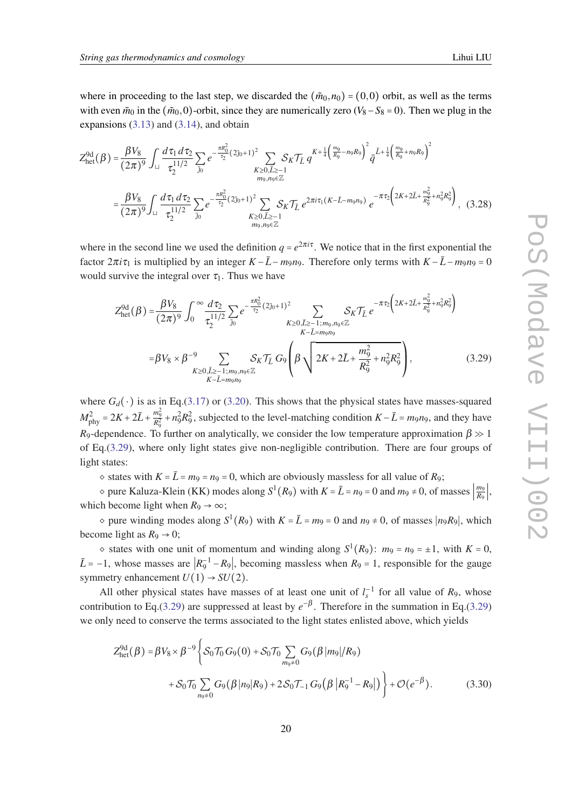<span id="page-19-0"></span>where in proceeding to the last step, we discarded the  $(\tilde{m}_0, n_0) = (0,0)$  orbit, as well as the terms with even  $\tilde{m}_0$  in the  $(\tilde{m}_0, 0)$ -orbit, since they are numerically zero ( $V_8 - S_8 = 0$ ). Then we plug in the expansions  $(3.13)$  $(3.13)$  and  $(3.14)$  $(3.14)$ , and obtain

$$
Z_{\text{het}}^{9d}(\beta) = \frac{\beta V_8}{(2\pi)^9} \int_{\square} \frac{d\tau_1 d\tau_2}{\tau_2^{11/2}} \sum_{j_0} e^{-\frac{\pi R_0^2}{\tau_2} (2j_0 + 1)^2} \sum_{\substack{K \ge 0, \bar{L} \ge -1 \\ m_9, n_9 \in \mathbb{Z}}} \mathcal{S}_K \mathcal{T}_{\bar{L}} q^{K + \frac{1}{4} \left(\frac{m_9}{R_9} - n_9 R_9\right)^2} \bar{q}^{\bar{L} + \frac{1}{4} \left(\frac{m_9}{R_9} + n_9 R_9\right)^2}
$$

$$
= \frac{\beta V_8}{(2\pi)^9} \int_{\square} \frac{d\tau_1 d\tau_2}{\tau_2^{11/2}} \sum_{j_0} e^{-\frac{\pi R_0^2}{\tau_2} (2j_0 + 1)^2} \sum_{\substack{K \ge 0, \bar{L} \ge -1 \\ K \ge 0, \bar{L} \ge -1}} \mathcal{S}_K \mathcal{T}_{\bar{L}} e^{2\pi i \tau_1 (K - \bar{L} - m_9 n_9)} e^{-\pi \tau_2 \left( 2K + 2\bar{L} + \frac{m_9^2}{R_9^2} + n_9^2 R_9^2 \right)},
$$
(3.28)

where in the second line we used the definition  $q = e^{2\pi i \tau}$ . We notice that in the first exponential the factor  $2\pi i \tau_1$  is multiplied by an integer  $K - \bar{L} - m_9 n_9$ . Therefore only terms with  $K - \bar{L} - m_9 n_9 = 0$ would survive the integral over  $\tau_1$ . Thus we have

$$
Z_{\text{het}}^{9d}(\beta) = \frac{\beta V_8}{(2\pi)^9} \int_0^\infty \frac{d\tau_2}{\tau_2^{11/2}} \sum_{\tilde{j}_0} e^{-\frac{\pi R_0^2}{\tau_2} (2\tilde{j}_0 + 1)^2} \sum_{\substack{K \ge 0, \tilde{L} \ge -1; m_9, n_9 \in \mathbb{Z} \\ K - \tilde{L} = m_9 n_9}} S_K \mathcal{T}_{\tilde{L}} e^{-\pi \tau_2 \left( 2K + 2\tilde{L} + \frac{m_9^2}{R_9^2} + n_9^2 R_9^2 \right)}
$$

$$
= \beta V_8 \times \beta^{-9} \sum_{\substack{K \ge 0, \tilde{L} \ge -1; m_9, n_9 \in \mathbb{Z} \\ K - \tilde{L} = m_9 n_9}} S_K \mathcal{T}_{\tilde{L}} G_9 \left( \beta \sqrt{2K + 2\tilde{L} + \frac{m_9^2}{R_9^2} + n_9^2 R_9^2} \right), \tag{3.29}
$$

where  $G_d(\cdot)$  is as in Eq.[\(3.17](#page-16-0)) or [\(3.20\)](#page-16-0). This shows that the physical states have masses-squared  $M_{\text{phy}}^2 = 2K + 2\bar{L} + \frac{m_9^2}{R_9^2} + n_9^2 R_9^2$ , subjected to the level-matching condition  $K - \bar{L} = m_9 n_9$ , and they have  $R_9$ -dependence. To further on analytically, we consider the low temperature approximation  $\beta \gg 1$ of Eq.(3.29), where only light states give non-negligible contribution. There are four groups of light states:

 $\circ$  states with  $K = \overline{L} = m_9 = n_9 = 0$ , which are obviously massless for all value of *R*<sub>9</sub>;

 $\infty$  pure Kaluza-Klein (KK) modes along  $S^1(R_9)$  with  $K = \bar{L} = n_9 = 0$  and  $m_9 \neq 0$ , of masses  $\frac{m_9}{R_9}$  $\frac{m_9}{R_9}$ |, which become light when  $R_9 \rightarrow \infty$ ;

 $\circ$  pure winding modes along  $S^1(R_9)$  with  $K = \overline{L} = m_9 = 0$  and  $n_9 \neq 0$ , of masses  $|n_9R_9|$ , which become light as  $R_9 \rightarrow 0$ ;

 $\circ$  states with one unit of momentum and winding along  $S^1(R_9)$ :  $m_9 = n_9 = \pm 1$ , with  $K = 0$ ,  $\bar{L}$  = −1, whose masses are  $|R_9^{-1} - R_9|$ , becoming massless when  $R_9 = 1$ , responsible for the gauge symmetry enhancement  $U(1) \rightarrow SU(2)$ .

All other physical states have masses of at least one unit of  $l_s^{-1}$  for all value of  $R_9$ , whose contribution to Eq.(3.29) are suppressed at least by  $e^{-\beta}$ . Therefore in the summation in Eq.(3.29) we only need to conserve the terms associated to the light states enlisted above, which yields

$$
Z_{\text{het}}^{9d}(\beta) = \beta V_8 \times \beta^{-9} \left\{ S_0 \mathcal{T}_0 G_9(0) + S_0 \mathcal{T}_0 \sum_{m_9 \neq 0} G_9(\beta | m_9| / R_9) + S_0 \mathcal{T}_0 \sum_{n_9 \neq 0} G_9(\beta | n_9| R_9) + 2 S_0 \mathcal{T}_{-1} G_9(\beta | R_9^{-1} - R_9|) \right\} + \mathcal{O}(e^{-\beta}). \tag{3.30}
$$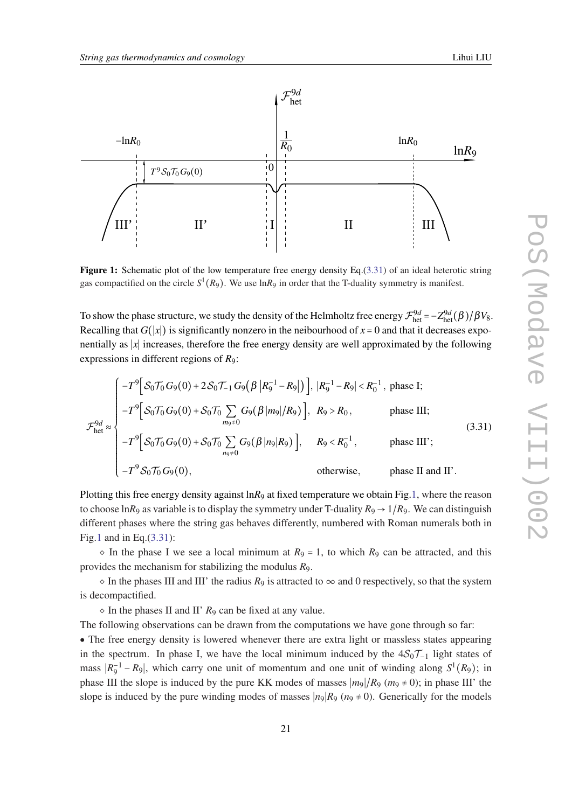<span id="page-20-0"></span>

Figure 1: Schematic plot of the low temperature free energy density Eq.(3.31) of an ideal heterotic string gas compactified on the circle  $S^1(R_9)$ . We use  $\ln R_9$  in order that the T-duality symmetry is manifest.

To show the phase structure, we study the density of the Helmholtz free energy  $\mathcal{F}^{9d}_{het} = -Z^{9d}_{het}(\beta)/\beta V_8$ . Recalling that  $G(|x|)$  is significantly nonzero in the neibourhood of  $x = 0$  and that it decreases exponentially as ∣*x*∣ increases, therefore the free energy density are well approximated by the following expressions in different regions of *R*9:

$$
\mathcal{F}_{\text{het}}^{9d} \approx \begin{cases}\n-T^9 \Big[ S_0 \mathcal{T}_0 G_9(0) + 2 S_0 \mathcal{T}_{-1} G_9 \Big( \beta \Big| R_9^{-1} - R_9 \Big| \Big) \Big], \, |R_9^{-1} - R_9| < R_0^{-1}, \text{ phase I;} \\
-T^9 \Big[ S_0 \mathcal{T}_0 G_9(0) + S_0 \mathcal{T}_0 \sum_{m_9 \neq 0} G_9 \Big( \beta \Big| m_9 \Big| / R_9 \Big) \Big], \, R_9 > R_0, \text{ phase III;} \\
-T^9 \Big[ S_0 \mathcal{T}_0 G_9(0) + S_0 \mathcal{T}_0 \sum_{n_9 \neq 0} G_9 \Big( \beta \Big| n_9 \Big| R_9 \Big) \Big], \, R_9 < R_0^{-1}, \text{ phase III'}; \\
-T^9 S_0 \mathcal{T}_0 G_9(0), \text{ otherwise, phase II and II'}.\n\end{cases}\n\tag{3.31}
$$

Plotting this free energy density against ln*R*<sup>9</sup> at fixed temperature we obtain Fig.1, where the reason to choose ln*R*<sub>9</sub> as variable is to display the symmetry under T-duality  $R_9 \rightarrow 1/R_9$ . We can distinguish different phases where the string gas behaves differently, numbered with Roman numerals both in Fig.1 and in Eq.(3.31):

 $\circ$  In the phase I we see a local minimum at  $R_9 = 1$ , to which  $R_9$  can be attracted, and this provides the mechanism for stabilizing the modulus *R*9.

 $\circ$  In the phases III and III' the radius  $R_9$  is attracted to  $\infty$  and 0 respectively, so that the system is decompactified.

 $\circ$  In the phases II and II'  $R_9$  can be fixed at any value.

The following observations can be drawn from the computations we have gone through so far:

• The free energy density is lowered whenever there are extra light or massless states appearing in the spectrum. In phase I, we have the local minimum induced by the  $4S_0T_{-1}$  light states of mass  $|R_9^{-1} - R_9|$ , which carry one unit of momentum and one unit of winding along  $S^1(R_9)$ ; in phase III the slope is induced by the pure KK modes of masses  $|m_9|/R_9$  ( $m_9 \neq 0$ ); in phase III' the slope is induced by the pure winding modes of masses  $|n_9|R_9(n_9 \neq 0)$ . Generically for the models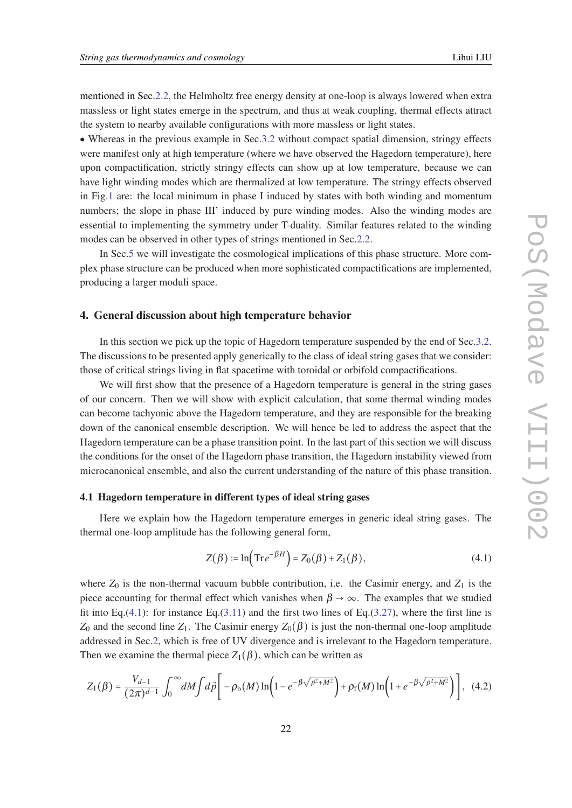<span id="page-21-0"></span>mentioned in Sec.[2.2](#page-7-0), the Helmholtz free energy density at one-loop is always lowered when extra massless or light states emerge in the spectrum, and thus at weak coupling, thermal effects attract the system to nearby available configurations with more massless or light states.

• Whereas in the previous example in Sec[.3.2](#page-14-0) without compact spatial dimension, stringy effects were manifest only at high temperature (where we have observed the Hagedorn temperature), here upon compactification, strictly stringy effects can show up at low temperature, because we can have light winding modes which are thermalized at low temperature. The stringy effects observed in Fig.[1](#page-20-0) are: the local minimum in phase I induced by states with both winding and momentum numbers; the slope in phase III' induced by pure winding modes. Also the winding modes are essential to implementing the symmetry under T-duality. Similar features related to the winding modes can be observed in other types of strings mentioned in Sec.[2.2](#page-7-0).

In Sec[.5](#page-27-0) we will investigate the cosmological implications of this phase structure. More complex phase structure can be produced when more sophisticated compactifications are implemented, producing a larger moduli space.

## 4. General discussion about high temperature behavior

In this section we pick up the topic of Hagedorn temperature suspended by the end of Sec.[3.2](#page-14-0). The discussions to be presented apply generically to the class of ideal string gases that we consider: those of critical strings living in flat spacetime with toroidal or orbifold compactifications.

We will first show that the presence of a Hagedorn temperature is general in the string gases of our concern. Then we will show with explicit calculation, that some thermal winding modes can become tachyonic above the Hagedorn temperature, and they are responsible for the breaking down of the canonical ensemble description. We will hence be led to address the aspect that the Hagedorn temperature can be a phase transition point. In the last part of this section we will discuss the conditions for the onset of the Hagedorn phase transition, the Hagedorn instability viewed from microcanonical ensemble, and also the current understanding of the nature of this phase transition.

#### 4.1 Hagedorn temperature in different types of ideal string gases

Here we explain how the Hagedorn temperature emerges in generic ideal string gases. The thermal one-loop amplitude has the following general form,

$$
Z(\beta) := \ln\left(\text{Tr}\,e^{-\beta H}\right) = Z_0(\beta) + Z_1(\beta),\tag{4.1}
$$

where  $Z_0$  is the non-thermal vacuum bubble contribution, i.e. the Casimir energy, and  $Z_1$  is the piece accounting for thermal effect which vanishes when  $\beta \to \infty$ . The examples that we studied fit into Eq.(4.1): for instance Eq.([3.11\)](#page-15-0) and the first two lines of Eq.[\(3.27](#page-18-0)), where the first line is *Z*<sub>0</sub> and the second line *Z*<sub>1</sub>. The Casimir energy *Z*<sub>0</sub>(β) is just the non-thermal one-loop amplitude addressed in Sec[.2,](#page-4-0) which is free of UV divergence and is irrelevant to the Hagedorn temperature. Then we examine the thermal piece  $Z_1(\beta)$ , which can be written as

$$
Z_1(\beta) = \frac{V_{d-1}}{(2\pi)^{d-1}} \int_0^\infty dM \int d\vec{p} \left[ -\rho_\text{b}(M) \ln \left( 1 - e^{-\beta \sqrt{\vec{p}^2 + M^2}} \right) + \rho_\text{f}(M) \ln \left( 1 + e^{-\beta \sqrt{\vec{p}^2 + M^2}} \right) \right], \tag{4.2}
$$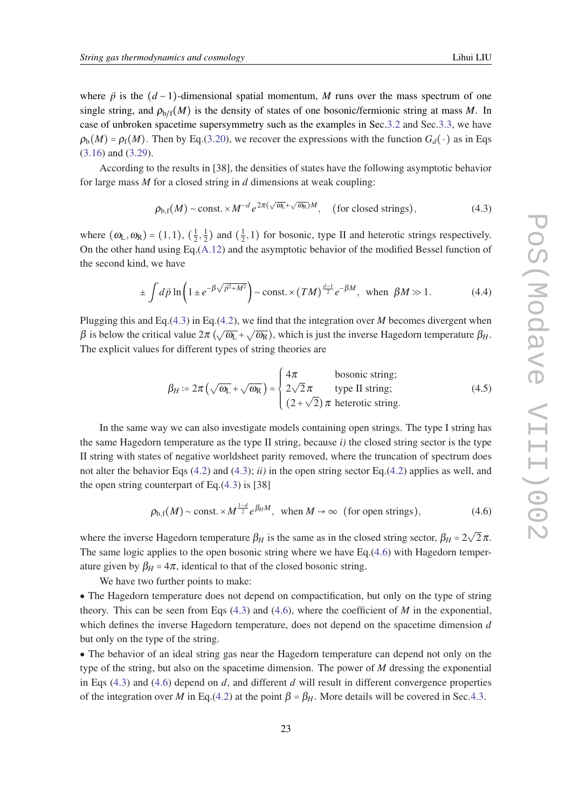<span id="page-22-0"></span>where  $\vec{p}$  is the  $(d-1)$ -dimensional spatial momentum, *M* runs over the mass spectrum of one single string, and  $\rho_{h/f}(M)$  is the density of states of one bosonic/fermionic string at mass M. In case of unbroken spacetime supersymmetry such as the examples in Sec.[3.2](#page-14-0) and Sec.[3.3](#page-18-0), we have  $\rho_b(M) = \rho_f(M)$ . Then by Eq.([3.20\)](#page-16-0), we recover the expressions with the function  $G_d(\cdot)$  as in Eqs. ([3.16](#page-16-0)) and ([3.29\)](#page-19-0).

According to the results in [38], the densities of states have the following asymptotic behavior for large mass *M* for a closed string in *d* dimensions at weak coupling:

$$
\rho_{b,f}(M) \sim \text{const.} \times M^{-d} \, e^{2\pi(\sqrt{\omega_L} + \sqrt{\omega_R})M}, \quad \text{(for closed strings)}, \tag{4.3}
$$

where  $(\omega_{\rm L}, \omega_{\rm R}) = (1, 1), (\frac{1}{2})$  $\frac{1}{2}, \frac{1}{2}$  $\frac{1}{2}$ ) and  $\left(\frac{1}{2}\right)$  $(\frac{1}{2},1)$  for bosonic, type II and heterotic strings respectively. On the other hand using Eq.[\(A.12\)](#page-37-0) and the asymptotic behavior of the modified Bessel function of the second kind, we have

$$
\pm \int d\vec{p} \ln \left( 1 \pm e^{-\beta \sqrt{\vec{p}^2 + M^2}} \right) \sim \text{const.} \times (TM)^{\frac{d-1}{2}} e^{-\beta M}, \text{ when } \beta M \gg 1. \tag{4.4}
$$

Plugging this and Eq.(4.3) in Eq.[\(4.2](#page-21-0)), we find that the integration over *M* becomes divergent when  $β$  is below the critical value  $2π$  ( $\sqrt{ω_L} + \sqrt{ω_R}$ ), which is just the inverse Hagedorn temperature  $β_H$ . The explicit values for different types of string theories are

$$
\beta_H := 2\pi \left( \sqrt{\omega_L} + \sqrt{\omega_R} \right) = \begin{cases} 4\pi & \text{bosonic string;} \\ 2\sqrt{2}\pi & \text{type II string;} \\ (2+\sqrt{2})\pi & \text{heterotic string.} \end{cases}
$$
(4.5)

In the same way we can also investigate models containing open strings. The type I string has the same Hagedorn temperature as the type II string, because  $i$ ) the closed string sector is the type II string with states of negative worldsheet parity removed, where the truncation of spectrum does not alter the behavior Eqs ([4.2\)](#page-21-0) and (4.3); *ii)* in the open string sector Eq.[\(4.2\)](#page-21-0) applies as well, and the open string counterpart of Eq. $(4.3)$  is [38]

$$
\rho_{b,f}(M) \sim \text{const.} \times M^{\frac{1-d}{2}} e^{\beta_H M}, \text{ when } M \to \infty \text{ (for open strings)}, \tag{4.6}
$$

where the inverse Hagedorn temperature  $\beta_H$  is the same as in the closed string sector,  $\beta_H$  = 2 √  $2\pi$ . The same logic applies to the open bosonic string where we have Eq.(4.6) with Hagedorn temperature given by  $β_H = 4π$ , identical to that of the closed bosonic string.

We have two further points to make:

• The Hagedorn temperature does not depend on compactification, but only on the type of string theory. This can be seen from Eqs (4.3) and (4.6), where the coefficient of *M* in the exponential, which defines the inverse Hagedorn temperature, does not depend on the spacetime dimension *d* but only on the type of the string.

• The behavior of an ideal string gas near the Hagedorn temperature can depend not only on the type of the string, but also on the spacetime dimension. The power of *M* dressing the exponential in Eqs  $(4.3)$  and  $(4.6)$  depend on *d*, and different *d* will result in different convergence properties of the integration over *M* in Eq.([4.2](#page-21-0)) at the point  $\beta = \beta_H$ . More details will be covered in Sec.[4.3.](#page-24-0)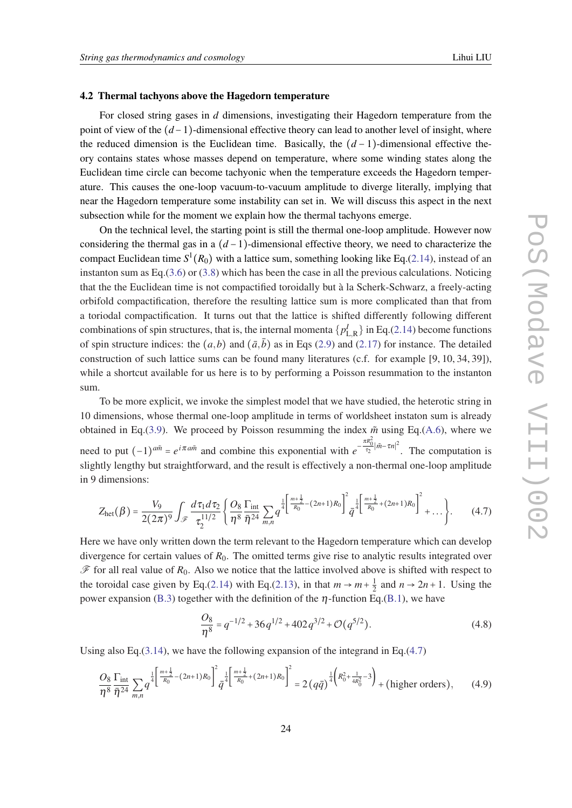#### <span id="page-23-0"></span>4.2 Thermal tachyons above the Hagedorn temperature

For closed string gases in *d* dimensions, investigating their Hagedorn temperature from the point of view of the (*d* −1)-dimensional effective theory can lead to another level of insight, where the reduced dimension is the Euclidean time. Basically, the  $(d-1)$ -dimensional effective theory contains states whose masses depend on temperature, where some winding states along the Euclidean time circle can become tachyonic when the temperature exceeds the Hagedorn temperature. This causes the one-loop vacuum-to-vacuum amplitude to diverge literally, implying that near the Hagedorn temperature some instability can set in. We will discuss this aspect in the next subsection while for the moment we explain how the thermal tachyons emerge.

On the technical level, the starting point is still the thermal one-loop amplitude. However now considering the thermal gas in a (*d* −1)-dimensional effective theory, we need to characterize the compact Euclidean time  $S^1(R_0)$  with a lattice sum, something looking like Eq.[\(2.14](#page-10-0)), instead of an instanton sum as Eq.[\(3.6\)](#page-13-0) or ([3.8\)](#page-14-0) which has been the case in all the previous calculations. Noticing that the the Euclidean time is not compactified toroidally but à la Scherk-Schwarz, a freely-acting orbifold compactification, therefore the resulting lattice sum is more complicated than that from a toriodal compactification. It turns out that the lattice is shifted differently following different combinations of spin structures, that is, the internal momenta  $\{p_{\rm L,R}^I\}$  in Eq.[\(2.14](#page-10-0)) become functions of spin structure indices: the  $(a,b)$  and  $(\bar{a},\bar{b})$  as in Eqs [\(2.9](#page-8-0)) and ([2.17](#page-11-0)) for instance. The detailed construction of such lattice sums can be found many literatures (c.f. for example [9, 10, 34, 39]), while a shortcut available for us here is to by performing a Poisson resummation to the instanton sum.

To be more explicit, we invoke the simplest model that we have studied, the heterotic string in 10 dimensions, whose thermal one-loop amplitude in terms of worldsheet instaton sum is already obtained in Eq.([3.9\)](#page-14-0). We proceed by Poisson resumming the index  $\tilde{m}$  using Eq.([A.6\)](#page-36-0), where we *need* to put  $(-1)^{a\tilde{m}} = e^{i\pi a\tilde{m}}$  and combine this exponential with  $e^{-\frac{\pi R_0^2}{\tau_2}|\tilde{m}-\tau n|^2}$ . The computation is slightly lengthy but straightforward, and the result is effectively a non-thermal one-loop amplitude in 9 dimensions:

$$
Z_{\text{het}}(\beta) = \frac{V_9}{2(2\pi)^9} \int_{\mathscr{F}} \frac{d\tau_1 d\tau_2}{\tau_2^{11/2}} \left\{ \frac{O_8}{\eta^8} \frac{\Gamma_{\text{int}}}{\bar{\eta}^{24}} \sum_{m,n} q^{\frac{1}{4} \left[ \frac{m+\frac{1}{2}}{R_0} - (2n+1)R_0 \right]^2} \bar{q}^{\frac{1}{4} \left[ \frac{m+\frac{1}{2}}{R_0} + (2n+1)R_0 \right]^2} + \dots \right\}.
$$
 (4.7)

Here we have only written down the term relevant to the Hagedorn temperature which can develop divergence for certain values of *R*0. The omitted terms give rise to analytic results integrated over  $\mathscr F$  for all real value of  $R_0$ . Also we notice that the lattice involved above is shifted with respect to the toroidal case given by Eq.[\(2.14\)](#page-10-0) with Eq.([2.13\)](#page-10-0), in that  $m \to m + \frac{1}{2}$  $\frac{1}{2}$  and  $n \rightarrow 2n + 1$ . Using the power expansion [\(B.3\)](#page-39-0) together with the definition of the  $\eta$ -function Eq.[\(B.1\)](#page-38-0), we have

$$
\frac{O_8}{\eta^8} = q^{-1/2} + 36q^{1/2} + 402q^{3/2} + \mathcal{O}(q^{5/2}).
$$
\n(4.8)

Using also Eq.([3.14\)](#page-15-0), we have the following expansion of the integrand in Eq.(4.7)

$$
\frac{O_8}{\eta^8} \frac{\Gamma_{\text{int}}}{\bar{\eta}^{24}} \sum_{m,n} q^{\frac{1}{4} \left[ \frac{m + \frac{1}{2}}{R_0} - (2n + 1)R_0 \right]^2} \bar{q}^{\frac{1}{4} \left[ \frac{m + \frac{1}{2}}{R_0} + (2n + 1)R_0 \right]^2} = 2 \left( q \bar{q} \right)^{\frac{1}{4} \left( R_0^2 + \frac{1}{4R_0^2} - 3 \right)} + \text{(higher orders)},\tag{4.9}
$$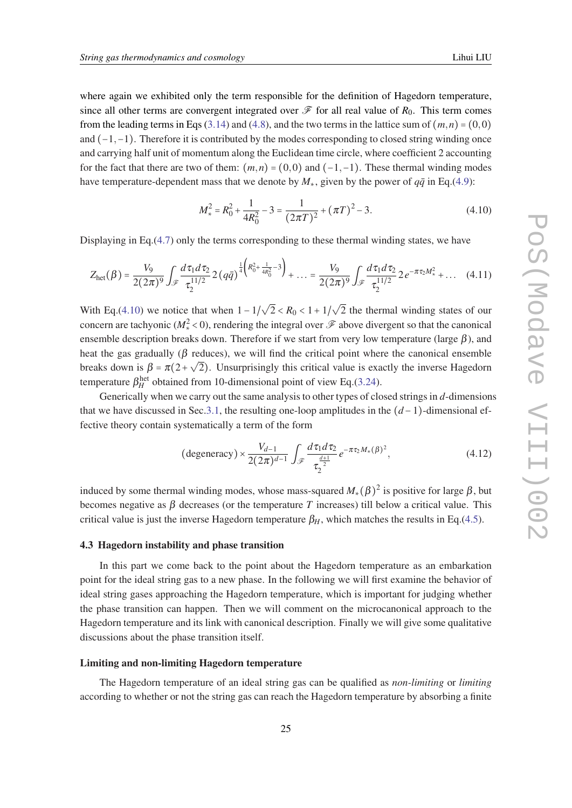<span id="page-24-0"></span>where again we exhibited only the term responsible for the definition of Hagedorn temperature, since all other terms are convergent integrated over  $\mathscr F$  for all real value of  $R_0$ . This term comes from the leading terms in Eqs [\(3.14](#page-15-0)) and ([4.8](#page-23-0)), and the two terms in the lattice sum of  $(m, n) = (0, 0)$ and  $(-1,-1)$ . Therefore it is contributed by the modes corresponding to closed string winding once and carrying half unit of momentum along the Euclidean time circle, where coefficient 2 accounting for the fact that there are two of them:  $(m, n) = (0, 0)$  and  $(-1, -1)$ . These thermal winding modes have temperature-dependent mass that we denote by  $M_*$ , given by the power of  $q\bar{q}$  in Eq.([4.9](#page-23-0)):

$$
M_{*}^{2} = R_{0}^{2} + \frac{1}{4R_{0}^{2}} - 3 = \frac{1}{(2\pi T)^{2}} + (\pi T)^{2} - 3.
$$
 (4.10)

Displaying in Eq.([4.7](#page-23-0)) only the terms corresponding to these thermal winding states, we have

$$
Z_{\text{het}}(\beta) = \frac{V_9}{2(2\pi)^9} \int_{\mathscr{F}} \frac{d\tau_1 d\tau_2}{\tau_2^{11/2}} 2\left(q\bar{q}\right)^{\frac{1}{4}\left(R_0^2 + \frac{1}{4R_0^2} - 3\right)} + \dots = \frac{V_9}{2(2\pi)^9} \int_{\mathscr{F}} \frac{d\tau_1 d\tau_2}{\tau_2^{11/2}} 2e^{-\pi \tau_2 M_{*}^2} + \dots \quad (4.11)
$$

With Eq.(4.10) we notice that when  $1-1/$ √  $2 < R_0 < 1 + 1/$ √ 2 the thermal winding states of our concern are tachyonic ( $M_*^2$  < 0), rendering the integral over  $\mathscr F$  above divergent so that the canonical ensemble description breaks down. Therefore if we start from very low temperature (large  $\beta$ ), and heat the gas gradually ( $\beta$  reduces), we will find the critical point where the canonical ensemble breaks down is  $\beta = \pi(2 + \sqrt{2})$ . Unsurprisingly this critical value is exactly the inverse Hagedorn temperature  $\beta_H^{\text{het}}$  obtained from 10-dimensional point of view Eq.[\(3.24\)](#page-17-0).

Generically when we carry out the same analysis to other types of closed strings in *d*-dimensions that we have discussed in Sec.[3.1](#page-12-0), the resulting one-loop amplitudes in the (*d* −1)-dimensional effective theory contain systematically a term of the form

(degeneracy) 
$$
\times \frac{V_{d-1}}{2(2\pi)^{d-1}} \int_{\mathscr{F}} \frac{d\tau_1 d\tau_2}{\tau_2^{\frac{d+1}{2}}} e^{-\pi \tau_2 M_*(\beta)^2},
$$
 (4.12)

induced by some thermal winding modes, whose mass-squared  $M_*(\beta)^2$  is positive for large  $\beta$ , but becomes negative as  $\beta$  decreases (or the temperature *T* increases) till below a critical value. This critical value is just the inverse Hagedorn temperature  $\beta_H$ , which matches the results in Eq.[\(4.5\)](#page-22-0).

#### 4.3 Hagedorn instability and phase transition

In this part we come back to the point about the Hagedorn temperature as an embarkation point for the ideal string gas to a new phase. In the following we will first examine the behavior of ideal string gases approaching the Hagedorn temperature, which is important for judging whether the phase transition can happen. Then we will comment on the microcanonical approach to the Hagedorn temperature and its link with canonical description. Finally we will give some qualitative discussions about the phase transition itself.

## Limiting and non-limiting Hagedorn temperature

The Hagedorn temperature of an ideal string gas can be qualified as *non-limiting* or *limiting* according to whether or not the string gas can reach the Hagedorn temperature by absorbing a finite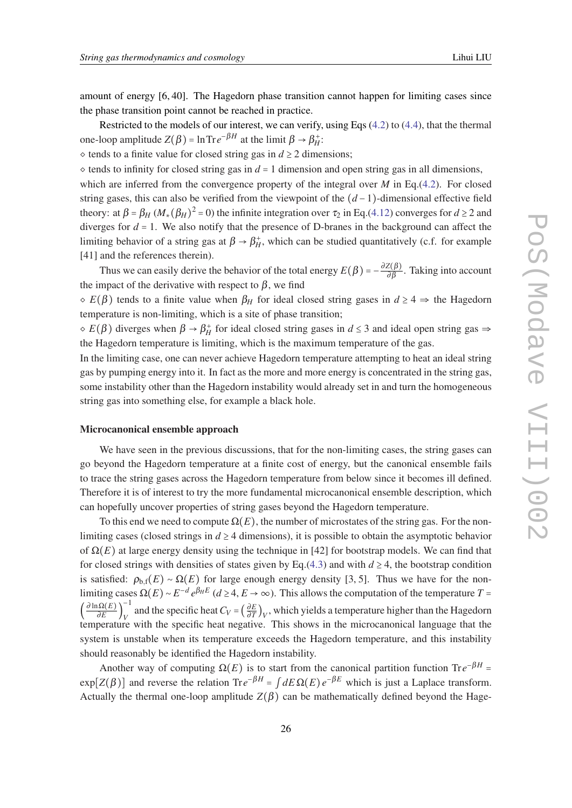amount of energy [6, 40]. The Hagedorn phase transition cannot happen for limiting cases since the phase transition point cannot be reached in practice.

Restricted to the models of our interest, we can verify, using Eqs ([4.2](#page-21-0)) to ([4.4](#page-22-0)), that the thermal one-loop amplitude  $Z(\beta) = \ln \text{Tr} e^{-\beta H}$  at the limit  $\beta \to \beta_H^+$ :

 $\diamond$  tends to a finite value for closed string gas in  $d \geq 2$  dimensions;

 $\circ$  tends to infinity for closed string gas in  $d = 1$  dimension and open string gas in all dimensions,

which are inferred from the convergence property of the integral over *M* in Eq.([4.2\)](#page-21-0). For closed string gases, this can also be verified from the viewpoint of the  $(d-1)$ -dimensional effective field theory: at  $\beta = \beta_H (M_*(\beta_H)^2 = 0)$  the infinite integration over  $\tau_2$  in Eq.([4.12\)](#page-24-0) converges for  $d \ge 2$  and diverges for  $d = 1$ . We also notify that the presence of D-branes in the background can affect the limiting behavior of a string gas at  $\beta \to \beta_H^+$ , which can be studied quantitatively (c.f. for example [41] and the references therein).

Thus we can easily derive the behavior of the total energy  $E(\beta) = -\frac{\partial Z(\beta)}{\partial \beta}$ . Taking into account the impact of the derivative with respect to  $\beta$ , we find

 $\delta E(\beta)$  tends to a finite value when  $\beta_H$  for ideal closed string gases in  $d \geq 4 \Rightarrow$  the Hagedorn temperature is non-limiting, which is a site of phase transition;

 $\phi \in E(\beta)$  diverges when  $\beta \to \beta_H^+$  for ideal closed string gases in  $d \leq 3$  and ideal open string gas  $\Rightarrow$ the Hagedorn temperature is limiting, which is the maximum temperature of the gas.

In the limiting case, one can never achieve Hagedorn temperature attempting to heat an ideal string gas by pumping energy into it. In fact as the more and more energy is concentrated in the string gas, some instability other than the Hagedorn instability would already set in and turn the homogeneous string gas into something else, for example a black hole.

#### Microcanonical ensemble approach

We have seen in the previous discussions, that for the non-limiting cases, the string gases can go beyond the Hagedorn temperature at a finite cost of energy, but the canonical ensemble fails to trace the string gases across the Hagedorn temperature from below since it becomes ill defined. Therefore it is of interest to try the more fundamental microcanonical ensemble description, which can hopefully uncover properties of string gases beyond the Hagedorn temperature.

To this end we need to compute  $\Omega(E)$ , the number of microstates of the string gas. For the nonlimiting cases (closed strings in  $d \geq 4$  dimensions), it is possible to obtain the asymptotic behavior of  $\Omega(E)$  at large energy density using the technique in [42] for bootstrap models. We can find that for closed strings with densities of states given by Eq.([4.3](#page-22-0)) and with  $d \ge 4$ , the bootstrap condition is satisfied:  $\rho_{b,f}(E) \sim \Omega(E)$  for large enough energy density [3, 5]. Thus we have for the nonlimiting cases  $\Omega(E) \sim E^{-d} e^{\beta_H E}$  ( $d \ge 4, E \to \infty$ ). This allows the computation of the temperature  $T =$  $\left(\frac{\partial \ln \Omega(E)}{\partial E}\right)_V^{-1}$  $V = \left(\frac{\partial E}{\partial T}\right)$  $\frac{\partial E}{\partial T}$ <sub>*V</sub>*, which yields a temperature higher than the Hagedorn</sub> temperature with the specific heat negative. This shows in the microcanonical language that the system is unstable when its temperature exceeds the Hagedorn temperature, and this instability should reasonably be identified the Hagedorn instability.

Another way of computing  $\Omega(E)$  is to start from the canonical partition function Tr $e^{-\beta H}$  =  $\exp[Z(\beta)]$  and reverse the relation  $\text{Tr}e^{-\beta H} = \int dE \Omega(E) e^{-\beta E}$  which is just a Laplace transform. Actually the thermal one-loop amplitude  $Z(\beta)$  can be mathematically defined beyond the Hage-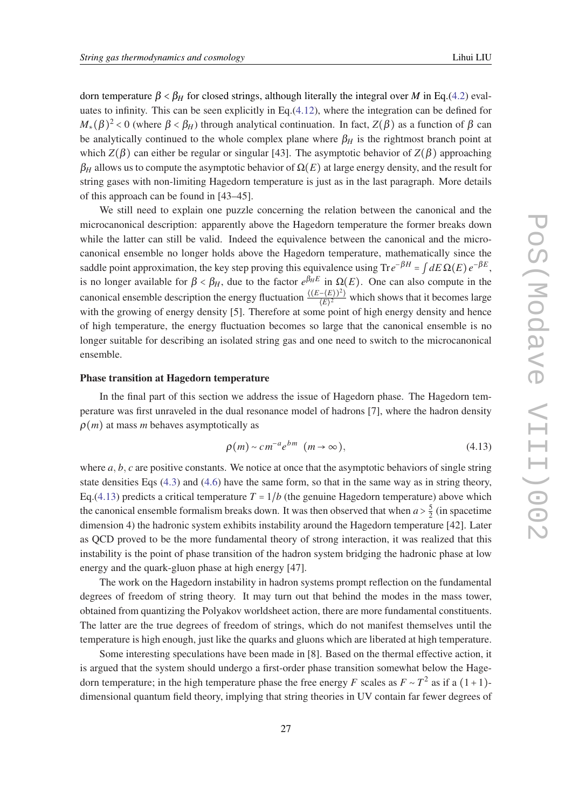dorn temperature  $β < β$ *H* for closed strings, although literally the integral over *M* in Eq.[\(4.2](#page-21-0)) evaluates to infinity. This can be seen explicitly in Eq.[\(4.12](#page-24-0)), where the integration can be defined for *M*<sub>∗</sub>( $\beta$ )<sup>2</sup> < 0 (where  $\beta$  <  $\beta$ <sub>*H*</sub>) through analytical continuation. In fact, *Z*( $\beta$ ) as a function of  $\beta$  can be analytically continued to the whole complex plane where  $\beta_H$  is the rightmost branch point at which  $Z(\beta)$  can either be regular or singular [43]. The asymptotic behavior of  $Z(\beta)$  approaching  $\beta_H$  allows us to compute the asymptotic behavior of  $\Omega(E)$  at large energy density, and the result for string gases with non-limiting Hagedorn temperature is just as in the last paragraph. More details of this approach can be found in [43–45].

We still need to explain one puzzle concerning the relation between the canonical and the microcanonical description: apparently above the Hagedorn temperature the former breaks down while the latter can still be valid. Indeed the equivalence between the canonical and the microcanonical ensemble no longer holds above the Hagedorn temperature, mathematically since the saddle point approximation, the key step proving this equivalence using  $\text{Tr}e^{-\beta H} = \int dE \,\Omega(E) e^{-\beta E}$ , is no longer available for  $\beta < \beta_H$ , due to the factor  $e^{\beta_H E}$  in  $\Omega(E)$ . One can also compute in the canonical ensemble description the energy fluctuation  $\frac{\langle (E-(E))^2 \rangle}{\langle E \rangle^2}$  which shows that it becomes large with the growing of energy density [5]. Therefore at some point of high energy density and hence of high temperature, the energy fluctuation becomes so large that the canonical ensemble is no longer suitable for describing an isolated string gas and one need to switch to the microcanonical ensemble.

#### Phase transition at Hagedorn temperature

In the final part of this section we address the issue of Hagedorn phase. The Hagedorn temperature was first unraveled in the dual resonance model of hadrons [7], where the hadron density  $\rho(m)$  at mass *m* behaves asymptotically as

$$
\rho(m) \sim cm^{-a} e^{bm} \quad (m \to \infty), \tag{4.13}
$$

where *a*, *b*, *c* are positive constants. We notice at once that the asymptotic behaviors of single string state densities Eqs [\(4.3\)](#page-22-0) and ([4.6\)](#page-22-0) have the same form, so that in the same way as in string theory, Eq.(4.13) predicts a critical temperature  $T = 1/b$  (the genuine Hagedorn temperature) above which the canonical ensemble formalism breaks down. It was then observed that when  $a > \frac{5}{2}$  $\frac{5}{2}$  (in spacetime dimension 4) the hadronic system exhibits instability around the Hagedorn temperature [42]. Later as QCD proved to be the more fundamental theory of strong interaction, it was realized that this instability is the point of phase transition of the hadron system bridging the hadronic phase at low energy and the quark-gluon phase at high energy [47].

The work on the Hagedorn instability in hadron systems prompt reflection on the fundamental degrees of freedom of string theory. It may turn out that behind the modes in the mass tower, obtained from quantizing the Polyakov worldsheet action, there are more fundamental constituents. The latter are the true degrees of freedom of strings, which do not manifest themselves until the temperature is high enough, just like the quarks and gluons which are liberated at high temperature.

Some interesting speculations have been made in [8]. Based on the thermal effective action, it is argued that the system should undergo a first-order phase transition somewhat below the Hagedorn temperature; in the high temperature phase the free energy *F* scales as  $F \sim T^2$  as if a  $(1+1)$ dimensional quantum field theory, implying that string theories in UV contain far fewer degrees of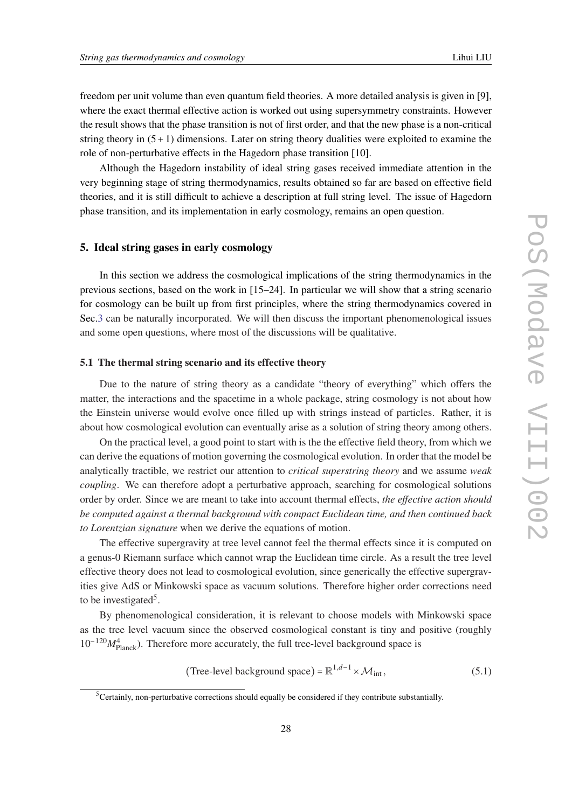<span id="page-27-0"></span>freedom per unit volume than even quantum field theories. A more detailed analysis is given in [9], where the exact thermal effective action is worked out using supersymmetry constraints. However the result shows that the phase transition is not of first order, and that the new phase is a non-critical string theory in  $(5+1)$  dimensions. Later on string theory dualities were exploited to examine the role of non-perturbative effects in the Hagedorn phase transition [10].

Although the Hagedorn instability of ideal string gases received immediate attention in the very beginning stage of string thermodynamics, results obtained so far are based on effective field theories, and it is still difficult to achieve a description at full string level. The issue of Hagedorn phase transition, and its implementation in early cosmology, remains an open question.

# 5. Ideal string gases in early cosmology

In this section we address the cosmological implications of the string thermodynamics in the previous sections, based on the work in [15–24]. In particular we will show that a string scenario for cosmology can be built up from first principles, where the string thermodynamics covered in Sec.[3](#page-11-0) can be naturally incorporated. We will then discuss the important phenomenological issues and some open questions, where most of the discussions will be qualitative.

## 5.1 The thermal string scenario and its effective theory

Due to the nature of string theory as a candidate "theory of everything" which offers the matter, the interactions and the spacetime in a whole package, string cosmology is not about how the Einstein universe would evolve once filled up with strings instead of particles. Rather, it is about how cosmological evolution can eventually arise as a solution of string theory among others.

On the practical level, a good point to start with is the the effective field theory, from which we can derive the equations of motion governing the cosmological evolution. In order that the model be analytically tractible, we restrict our attention to *critical superstring theory* and we assume *weak coupling*. We can therefore adopt a perturbative approach, searching for cosmological solutions order by order. Since we are meant to take into account thermal effects, *the effective action should be computed against a thermal background with compact Euclidean time, and then continued back to Lorentzian signature* when we derive the equations of motion.

The effective supergravity at tree level cannot feel the thermal effects since it is computed on a genus-0 Riemann surface which cannot wrap the Euclidean time circle. As a result the tree level effective theory does not lead to cosmological evolution, since generically the effective supergravities give AdS or Minkowski space as vacuum solutions. Therefore higher order corrections need to be investigated<sup>5</sup>.

By phenomenological consideration, it is relevant to choose models with Minkowski space as the tree level vacuum since the observed cosmological constant is tiny and positive (roughly 10−120*M*<sup>4</sup> Planck). Therefore more accurately, the full tree-level background space is

(Tree-level background space) = 
$$
\mathbb{R}^{1,d-1} \times \mathcal{M}_{int}
$$
, (5.1)

<sup>5</sup>Certainly, non-perturbative corrections should equally be considered if they contribute substantially.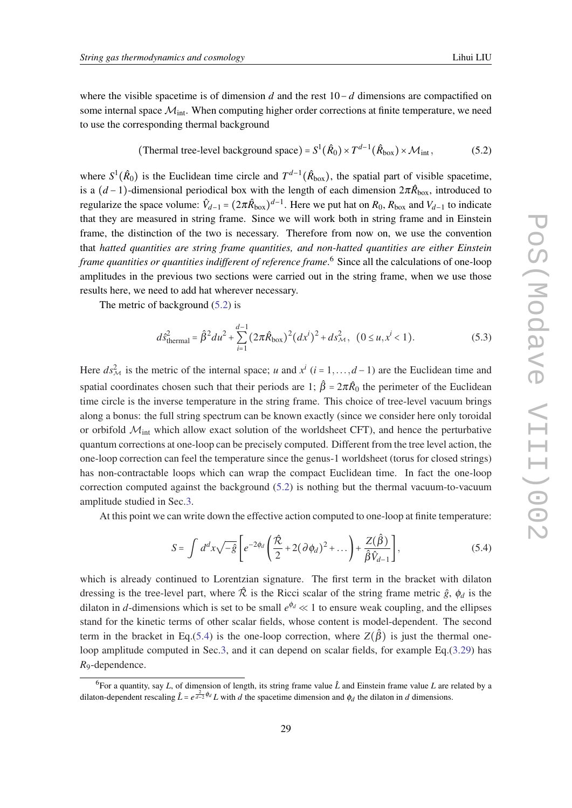(Thermal tree-level background space) = 
$$
S^1(\hat{R}_0) \times T^{d-1}(\hat{R}_{box}) \times \mathcal{M}_{int}
$$
, (5.2)

<span id="page-28-0"></span>where  $S^1(\hat{R}_0)$  is the Euclidean time circle and  $T^{d-1}(\hat{R}_{\text{box}})$ , the spatial part of visible spacetime, is a  $(d-1)$ -dimensional periodical box with the length of each dimension  $2\pi \hat{R}_{\text{box}}$ , introduced to regularize the space volume:  $\hat{V}_{d-1} = (2\pi \hat{R}_{box})^{d-1}$ . Here we put hat on  $R_0$ ,  $R_{box}$  and  $V_{d-1}$  to indicate that they are measured in string frame. Since we will work both in string frame and in Einstein frame, the distinction of the two is necessary. Therefore from now on, we use the convention that *hatted quantities are string frame quantities, and non-hatted quantities are either Einstein frame quantities or quantities indifferent of reference frame*. <sup>6</sup> Since all the calculations of one-loop amplitudes in the previous two sections were carried out in the string frame, when we use those results here, we need to add hat wherever necessary.

The metric of background (5.2) is

$$
d\hat{s}_{\text{thermal}}^2 = \hat{\beta}^2 du^2 + \sum_{i=1}^{d-1} (2\pi \hat{R}_{\text{box}})^2 (dx^i)^2 + ds_{\mathcal{M}}^2, \quad (0 \le u, x^i < 1). \tag{5.3}
$$

Here  $ds_M^2$  is the metric of the internal space; *u* and  $x^i$  (*i* = 1,...,*d* − 1) are the Euclidean time and spatial coordinates chosen such that their periods are 1;  $\hat{\beta} = 2\pi \hat{R}_0$  the perimeter of the Euclidean time circle is the inverse temperature in the string frame. This choice of tree-level vacuum brings along a bonus: the full string spectrum can be known exactly (since we consider here only toroidal or orbifold  $M<sub>int</sub>$  which allow exact solution of the worldsheet CFT), and hence the perturbative quantum corrections at one-loop can be precisely computed. Different from the tree level action, the one-loop correction can feel the temperature since the genus-1 worldsheet (torus for closed strings) has non-contractable loops which can wrap the compact Euclidean time. In fact the one-loop correction computed against the background (5.2) is nothing but the thermal vacuum-to-vacuum amplitude studied in Sec.[3](#page-11-0).

At this point we can write down the effective action computed to one-loop at finite temperature:

$$
S = \int d^d x \sqrt{-\hat{g}} \left[ e^{-2\phi_d} \left( \frac{\hat{\mathcal{R}}}{2} + 2(\partial \phi_d)^2 + \dots \right) + \frac{Z(\hat{\beta})}{\hat{\beta} \hat{V}_{d-1}} \right],
$$
(5.4)

which is already continued to Lorentzian signature. The first term in the bracket with dilaton dressing is the tree-level part, where  $\hat{\mathcal{R}}$  is the Ricci scalar of the string frame metric  $\hat{g}$ ,  $\phi_d$  is the dilaton in *d*-dimensions which is set to be small  $e^{\phi_d} \ll 1$  to ensure weak coupling, and the ellipses stand for the kinetic terms of other scalar fields, whose content is model-dependent. The second term in the bracket in Eq.(5.4) is the one-loop correction, where  $Z(\hat{\beta})$  is just the thermal one-loop amplitude computed in Sec.[3](#page-11-0), and it can depend on scalar fields, for example Eq.[\(3.29](#page-19-0)) has *R*9-dependence.

<sup>6</sup> For a quantity, say *L*, of dimension of length, its string frame value *L*ˆ and Einstein frame value *L* are related by a dilaton-dependent rescaling  $\hat{L} = e^{\frac{2}{d-2}\phi_d} L$  with *d* the spacetime dimension and  $\phi_d$  the dilaton in *d* dimensions.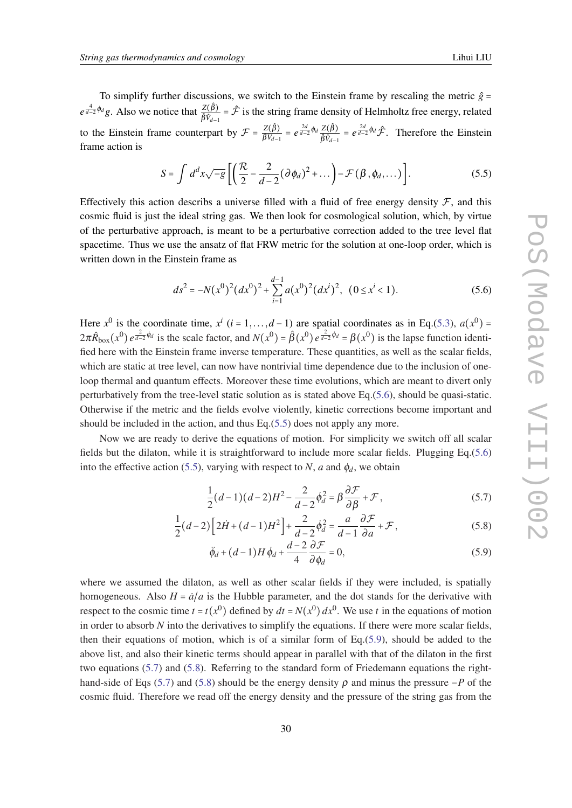<span id="page-29-0"></span>To simplify further discussions, we switch to the Einstein frame by rescaling the metric  $\hat{g}$  =  $e^{\frac{4}{d-2}\phi_d}g$ . Also we notice that  $\frac{Z(\hat{\beta})}{\hat{\beta}\hat{y}}$  $\frac{Z(\beta)}{\hat{\beta}\hat{v}_{d-1}} = \hat{\mathcal{F}}$  is the string frame density of Helmholtz free energy, related *d*−1 to the Einstein frame counterpart by  $\mathcal{F} = \frac{Z(\hat{\beta})}{\beta V_{d-1}} = e^{\frac{2d}{d-2}\phi_d} \frac{Z(\hat{\beta})}{\hat{\beta} \hat{V}_{d-1}}$  $rac{Z(\hat{\beta})}{\hat{\beta}\hat{v}_{d-1}} = e^{\frac{2d}{d-2}\phi_d}\hat{\mathcal{F}}$ . Therefore the Einstein frame action is

$$
S = \int d^d x \sqrt{-g} \left[ \left( \frac{\mathcal{R}}{2} - \frac{2}{d-2} (\partial \phi_d)^2 + \dots \right) - \mathcal{F}(\beta, \phi_d, \dots) \right]. \tag{5.5}
$$

Effectively this action describs a universe filled with a fluid of free energy density  $\mathcal F$ , and this cosmic fluid is just the ideal string gas. We then look for cosmological solution, which, by virtue of the perturbative approach, is meant to be a perturbative correction added to the tree level flat spacetime. Thus we use the ansatz of flat FRW metric for the solution at one-loop order, which is written down in the Einstein frame as

$$
ds^{2} = -N(x^{0})^{2} (dx^{0})^{2} + \sum_{i=1}^{d-1} a(x^{0})^{2} (dx^{i})^{2}, (0 \le x^{i} < 1).
$$
 (5.6)

Here  $x^0$  is the coordinate time,  $x^i$  ( $i = 1, ..., d - 1$ ) are spatial coordinates as in Eq.([5.3\)](#page-28-0),  $a(x^0) =$  $2\pi \hat{R}_{\text{box}}(x^0) e^{\frac{2}{d-2}\phi_d}$  is the scale factor, and  $N(x^0) = \hat{\beta}(x^0) e^{\frac{2}{d-2}\phi_d} = \beta(x^0)$  is the lapse function identified here with the Einstein frame inverse temperature. These quantities, as well as the scalar fields, which are static at tree level, can now have nontrivial time dependence due to the inclusion of oneloop thermal and quantum effects. Moreover these time evolutions, which are meant to divert only perturbatively from the tree-level static solution as is stated above Eq.(5.6), should be quasi-static. Otherwise if the metric and the fields evolve violently, kinetic corrections become important and should be included in the action, and thus Eq.(5.5) does not apply any more.

Now we are ready to derive the equations of motion. For simplicity we switch off all scalar fields but the dilaton, while it is straightforward to include more scalar fields. Plugging Eq.(5.6) into the effective action (5.5), varying with respect to *N*, *a* and  $\phi_d$ , we obtain

$$
\frac{1}{2}(d-1)(d-2)H^2 - \frac{2}{d-2}\dot{\phi}_d^2 = \beta \frac{\partial \mathcal{F}}{\partial \beta} + \mathcal{F},\tag{5.7}
$$

$$
\frac{1}{2}(d-2)\left[2\dot{H}+(d-1)H^2\right]+\frac{2}{d-2}\dot{\phi}_d^2=\frac{a}{d-1}\frac{\partial \mathcal{F}}{\partial a}+\mathcal{F},\qquad(5.8)
$$

$$
\ddot{\phi}_d + (d-1)H\dot{\phi}_d + \frac{d-2}{4}\frac{\partial \mathcal{F}}{\partial \phi_d} = 0,
$$
\n(5.9)

where we assumed the dilaton, as well as other scalar fields if they were included, is spatially homogeneous. Also  $H = \dot{a}/a$  is the Hubble parameter, and the dot stands for the derivative with respect to the cosmic time  $t = t(x^0)$  defined by  $dt = N(x^0) dx^0$ . We use *t* in the equations of motion in order to absorb *N* into the derivatives to simplify the equations. If there were more scalar fields, then their equations of motion, which is of a similar form of  $Eq.(5.9)$ , should be added to the above list, and also their kinetic terms should appear in parallel with that of the dilaton in the first two equations (5.7) and (5.8). Referring to the standard form of Friedemann equations the righthand-side of Eqs (5.7) and (5.8) should be the energy density  $\rho$  and minus the pressure  $-P$  of the cosmic fluid. Therefore we read off the energy density and the pressure of the string gas from the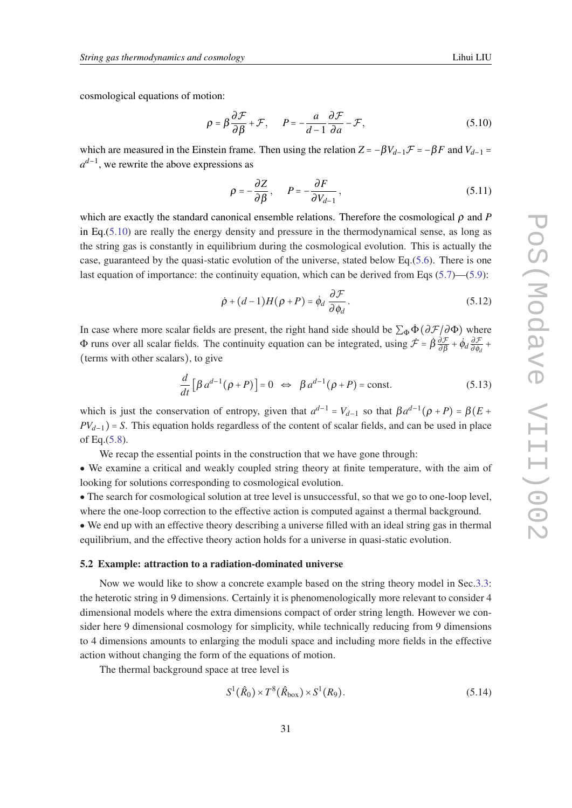<span id="page-30-0"></span>cosmological equations of motion:

$$
\rho = \beta \frac{\partial \mathcal{F}}{\partial \beta} + \mathcal{F}, \qquad P = -\frac{a}{d-1} \frac{\partial \mathcal{F}}{\partial a} - \mathcal{F}, \tag{5.10}
$$

which are measured in the Einstein frame. Then using the relation  $Z = -\beta V_{d-1}F = -\beta F$  and  $V_{d-1} =$ *a d*−1 , we rewrite the above expressions as

$$
\rho = -\frac{\partial Z}{\partial \beta}, \qquad P = -\frac{\partial F}{\partial V_{d-1}}, \tag{5.11}
$$

which are exactly the standard canonical ensemble relations. Therefore the cosmological ρ and *P* in Eq.(5.10) are really the energy density and pressure in the thermodynamical sense, as long as the string gas is constantly in equilibrium during the cosmological evolution. This is actually the case, guaranteed by the quasi-static evolution of the universe, stated below Eq.[\(5.6\)](#page-29-0). There is one last equation of importance: the continuity equation, which can be derived from Eqs ([5.7](#page-29-0))—([5.9](#page-29-0)):

$$
\dot{\rho} + (d-1)H(\rho + P) = \dot{\phi}_d \frac{\partial \mathcal{F}}{\partial \phi_d}.
$$
\n(5.12)

In case where more scalar fields are present, the right hand side should be  $\sum_{\Phi} \dot{\Phi} (\partial \mathcal{F}/\partial \Phi)$  where  $\Phi$  runs over all scalar fields. The continuity equation can be integrated, using  $\dot{\mathcal{F}} = \dot{\beta} \frac{\partial \mathcal{F}}{\partial \beta} + \dot{\phi}_d \frac{\partial \mathcal{F}}{\partial \phi_d} + \dot{\phi}_d \frac{\partial \mathcal{F}}{\partial \phi_d}$ (terms with other scalars), to give

$$
\frac{d}{dt}\left[\beta a^{d-1}(\rho+P)\right] = 0 \iff \beta a^{d-1}(\rho+P) = \text{const.}
$$
\n(5.13)

which is just the conservation of entropy, given that  $a^{d-1} = V_{d-1}$  so that  $\beta a^{d-1}(\rho + P) = \beta(E + P)$  $PV$ <sup> $d-1$ </sup>) = *S*. This equation holds regardless of the content of scalar fields, and can be used in place of Eq.([5.8](#page-29-0)).

We recap the essential points in the construction that we have gone through:

• We examine a critical and weakly coupled string theory at finite temperature, with the aim of looking for solutions corresponding to cosmological evolution.

• The search for cosmological solution at tree level is unsuccessful, so that we go to one-loop level, where the one-loop correction to the effective action is computed against a thermal background.

• We end up with an effective theory describing a universe filled with an ideal string gas in thermal equilibrium, and the effective theory action holds for a universe in quasi-static evolution.

#### 5.2 Example: attraction to a radiation-dominated universe

Now we would like to show a concrete example based on the string theory model in Sec[.3.3:](#page-18-0) the heterotic string in 9 dimensions. Certainly it is phenomenologically more relevant to consider 4 dimensional models where the extra dimensions compact of order string length. However we consider here 9 dimensional cosmology for simplicity, while technically reducing from 9 dimensions to 4 dimensions amounts to enlarging the moduli space and including more fields in the effective action without changing the form of the equations of motion.

The thermal background space at tree level is

$$
S^{1}(\hat{R}_{0}) \times T^{8}(\hat{R}_{\text{box}}) \times S^{1}(R_{9}). \tag{5.14}
$$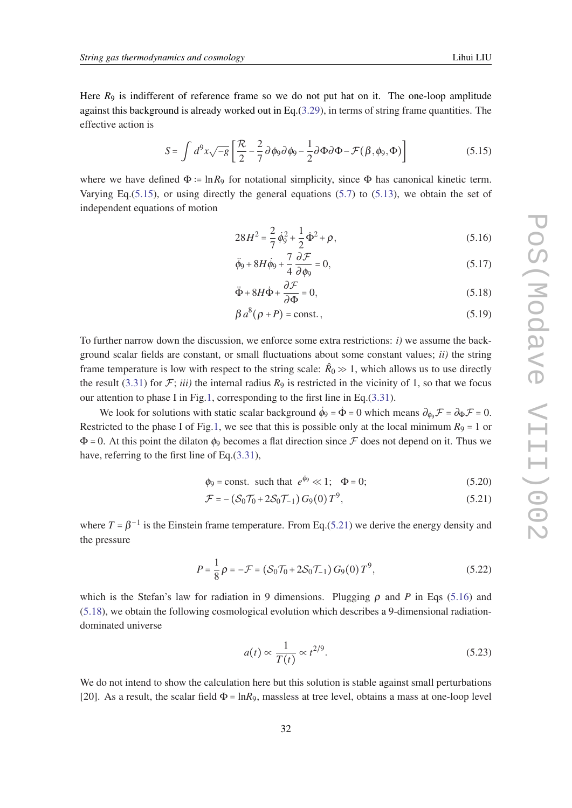<span id="page-31-0"></span>Here  $R_9$  is indifferent of reference frame so we do not put hat on it. The one-loop amplitude against this background is already worked out in Eq.[\(3.29](#page-19-0)), in terms of string frame quantities. The effective action is

$$
S = \int d^9x \sqrt{-g} \left[ \frac{\mathcal{R}}{2} - \frac{2}{7} \partial \phi_9 \partial \phi_9 - \frac{1}{2} \partial \Phi \partial \Phi - \mathcal{F}(\beta, \phi_9, \Phi) \right]
$$
(5.15)

where we have defined  $\Phi := \ln R_9$  for notational simplicity, since  $\Phi$  has canonical kinetic term. Varying Eq.  $(5.15)$ , or using directly the general equations  $(5.7)$  $(5.7)$  $(5.7)$  to  $(5.13)$  $(5.13)$ , we obtain the set of independent equations of motion

$$
28H^2 = \frac{2}{7}\dot{\phi}_9^2 + \frac{1}{2}\dot{\Phi}^2 + \rho,\tag{5.16}
$$

$$
\ddot{\phi}_9 + 8H\dot{\phi}_9 + \frac{7}{4}\frac{\partial \mathcal{F}}{\partial \phi_9} = 0, \tag{5.17}
$$

$$
\ddot{\Phi} + 8H\dot{\Phi} + \frac{\partial \mathcal{F}}{\partial \Phi} = 0, \tag{5.18}
$$

$$
\beta a^8(\rho + P) = \text{const.}\,,\tag{5.19}
$$

To further narrow down the discussion, we enforce some extra restrictions: *i)* we assume the background scalar fields are constant, or small fluctuations about some constant values; *ii)* the string frame temperature is low with respect to the string scale:  $\hat{R}_0 \gg 1$ , which allows us to use directly the result ([3.31\)](#page-20-0) for  $\mathcal{F}$ ; *iii*) the internal radius  $R_9$  is restricted in the vicinity of 1, so that we focus our attention to phase I in Fig[.1,](#page-20-0) corresponding to the first line in Eq.([3.31](#page-20-0)).

We look for solutions with static scalar background  $\dot{\phi}_9 = \dot{\Phi} = 0$  which means  $\partial_{\phi_9} \mathcal{F} = \partial_{\Phi} \mathcal{F} = 0$ . Restricted to the phase I of Fig[.1,](#page-20-0) we see that this is possible only at the local minimum  $R_9 = 1$  or  $\Phi$  = 0. At this point the dilaton  $\phi_9$  becomes a flat direction since  $\mathcal F$  does not depend on it. Thus we have, referring to the first line of Eq.[\(3.31](#page-20-0)),

$$
\phi_9 = \text{const.} \text{ such that } e^{\phi_9} \ll 1; \quad \Phi = 0; \tag{5.20}
$$

$$
\mathcal{F} = -\left(S_0 \mathcal{T}_0 + 2S_0 \mathcal{T}_{-1}\right) G_9(0) T^9, \tag{5.21}
$$

where  $T = \beta^{-1}$  is the Einstein frame temperature. From Eq.(5.21) we derive the energy density and the pressure

$$
P = \frac{1}{8}\rho = -\mathcal{F} = (\mathcal{S}_0 \mathcal{T}_0 + 2\mathcal{S}_0 \mathcal{T}_{-1}) G_9(0) T^9, \qquad (5.22)
$$

which is the Stefan's law for radiation in 9 dimensions. Plugging  $\rho$  and P in Eqs (5.16) and (5.18), we obtain the following cosmological evolution which describes a 9-dimensional radiationdominated universe

$$
a(t) \propto \frac{1}{T(t)} \propto t^{2/9}.
$$
\n(5.23)

We do not intend to show the calculation here but this solution is stable against small perturbations [20]. As a result, the scalar field  $\Phi = \ln R_9$ , massless at tree level, obtains a mass at one-loop level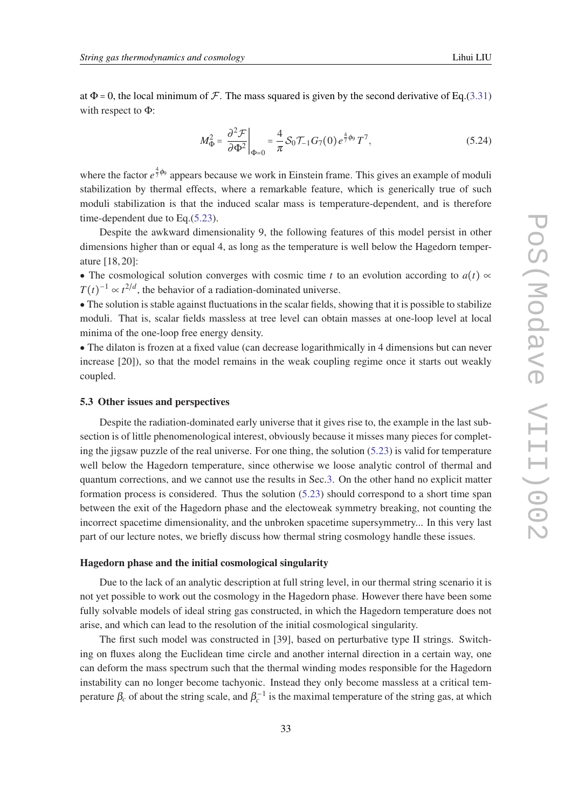<span id="page-32-0"></span>at  $\Phi$  = 0, the local minimum of  $\mathcal F$ . The mass squared is given by the second derivative of Eq.[\(3.31](#page-20-0)) with respect to Φ:

$$
M_{\Phi}^2 = \frac{\partial^2 \mathcal{F}}{\partial \Phi^2} \bigg|_{\Phi=0} = \frac{4}{\pi} \mathcal{S}_0 \mathcal{T}_{-1} G_7(0) e^{\frac{4}{7} \phi_9} T^7,
$$
 (5.24)

where the factor  $e^{\frac{4}{7}\phi_9}$  appears because we work in Einstein frame. This gives an example of moduli stabilization by thermal effects, where a remarkable feature, which is generically true of such moduli stabilization is that the induced scalar mass is temperature-dependent, and is therefore time-dependent due to Eq.[\(5.23](#page-31-0)).

Despite the awkward dimensionality 9, the following features of this model persist in other dimensions higher than or equal 4, as long as the temperature is well below the Hagedorn temperature [18, 20]:

• The cosmological solution converges with cosmic time *t* to an evolution according to  $a(t) \propto$  $T(t)^{-1} \propto t^{2/d}$ , the behavior of a radiation-dominated universe.

• The solution is stable against fluctuations in the scalar fields, showing that it is possible to stabilize moduli. That is, scalar fields massless at tree level can obtain masses at one-loop level at local minima of the one-loop free energy density.

• The dilaton is frozen at a fixed value (can decrease logarithmically in 4 dimensions but can never increase [20]), so that the model remains in the weak coupling regime once it starts out weakly coupled.

#### 5.3 Other issues and perspectives

Despite the radiation-dominated early universe that it gives rise to, the example in the last subsection is of little phenomenological interest, obviously because it misses many pieces for completing the jigsaw puzzle of the real universe. For one thing, the solution ([5.23\)](#page-31-0) is valid for temperature well below the Hagedorn temperature, since otherwise we loose analytic control of thermal and quantum corrections, and we cannot use the results in Sec[.3.](#page-11-0) On the other hand no explicit matter formation process is considered. Thus the solution ([5.23\)](#page-31-0) should correspond to a short time span between the exit of the Hagedorn phase and the electoweak symmetry breaking, not counting the incorrect spacetime dimensionality, and the unbroken spacetime supersymmetry... In this very last part of our lecture notes, we briefly discuss how thermal string cosmology handle these issues.

#### Hagedorn phase and the initial cosmological singularity

Due to the lack of an analytic description at full string level, in our thermal string scenario it is not yet possible to work out the cosmology in the Hagedorn phase. However there have been some fully solvable models of ideal string gas constructed, in which the Hagedorn temperature does not arise, and which can lead to the resolution of the initial cosmological singularity.

The first such model was constructed in [39], based on perturbative type II strings. Switching on fluxes along the Euclidean time circle and another internal direction in a certain way, one can deform the mass spectrum such that the thermal winding modes responsible for the Hagedorn instability can no longer become tachyonic. Instead they only become massless at a critical temperature  $\beta_c$  of about the string scale, and  $\beta_c^{-1}$  is the maximal temperature of the string gas, at which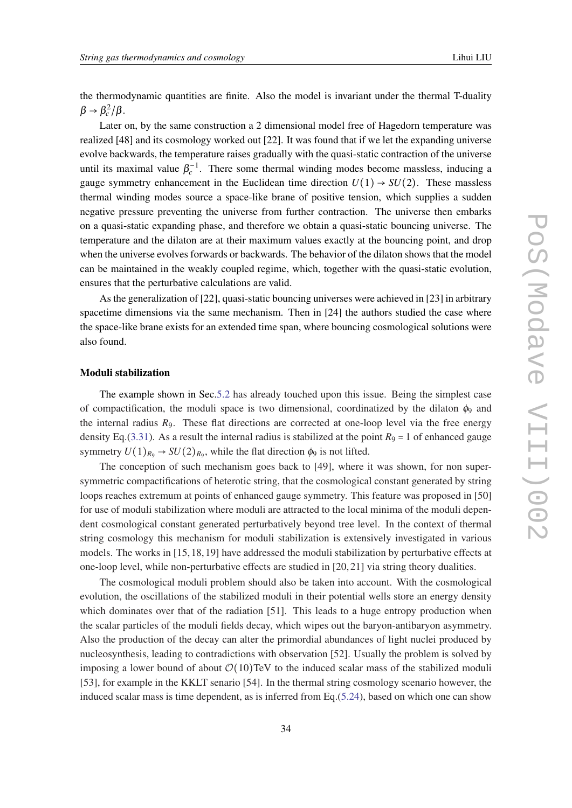the thermodynamic quantities are finite. Also the model is invariant under the thermal T-duality  $\beta \rightarrow \beta_c^2/\beta$ .

Later on, by the same construction a 2 dimensional model free of Hagedorn temperature was realized [48] and its cosmology worked out [22]. It was found that if we let the expanding universe evolve backwards, the temperature raises gradually with the quasi-static contraction of the universe until its maximal value  $\beta_c^{-1}$ . There some thermal winding modes become massless, inducing a gauge symmetry enhancement in the Euclidean time direction  $U(1) \rightarrow SU(2)$ . These massless thermal winding modes source a space-like brane of positive tension, which supplies a sudden negative pressure preventing the universe from further contraction. The universe then embarks on a quasi-static expanding phase, and therefore we obtain a quasi-static bouncing universe. The temperature and the dilaton are at their maximum values exactly at the bouncing point, and drop when the universe evolves forwards or backwards. The behavior of the dilaton shows that the model can be maintained in the weakly coupled regime, which, together with the quasi-static evolution, ensures that the perturbative calculations are valid.

As the generalization of [22], quasi-static bouncing universes were achieved in [23] in arbitrary spacetime dimensions via the same mechanism. Then in [24] the authors studied the case where the space-like brane exists for an extended time span, where bouncing cosmological solutions were also found.

## Moduli stabilization

The example shown in Sec.[5.2](#page-30-0) has already touched upon this issue. Being the simplest case of compactification, the moduli space is two dimensional, coordinatized by the dilaton  $\phi_9$  and the internal radius *R*9. These flat directions are corrected at one-loop level via the free energy density Eq.([3.31](#page-20-0)). As a result the internal radius is stabilized at the point  $R_9 = 1$  of enhanced gauge symmetry  $U(1)_{R_9} \rightarrow SU(2)_{R_9}$ , while the flat direction  $\phi_9$  is not lifted.

The conception of such mechanism goes back to [49], where it was shown, for non supersymmetric compactifications of heterotic string, that the cosmological constant generated by string loops reaches extremum at points of enhanced gauge symmetry. This feature was proposed in [50] for use of moduli stabilization where moduli are attracted to the local minima of the moduli dependent cosmological constant generated perturbatively beyond tree level. In the context of thermal string cosmology this mechanism for moduli stabilization is extensively investigated in various models. The works in [15, 18, 19] have addressed the moduli stabilization by perturbative effects at one-loop level, while non-perturbative effects are studied in [20, 21] via string theory dualities.

The cosmological moduli problem should also be taken into account. With the cosmological evolution, the oscillations of the stabilized moduli in their potential wells store an energy density which dominates over that of the radiation [51]. This leads to a huge entropy production when the scalar particles of the moduli fields decay, which wipes out the baryon-antibaryon asymmetry. Also the production of the decay can alter the primordial abundances of light nuclei produced by nucleosynthesis, leading to contradictions with observation [52]. Usually the problem is solved by imposing a lower bound of about  $\mathcal{O}(10)$ TeV to the induced scalar mass of the stabilized moduli [53], for example in the KKLT senario [54]. In the thermal string cosmology scenario however, the induced scalar mass is time dependent, as is inferred from Eq.[\(5.24](#page-32-0)), based on which one can show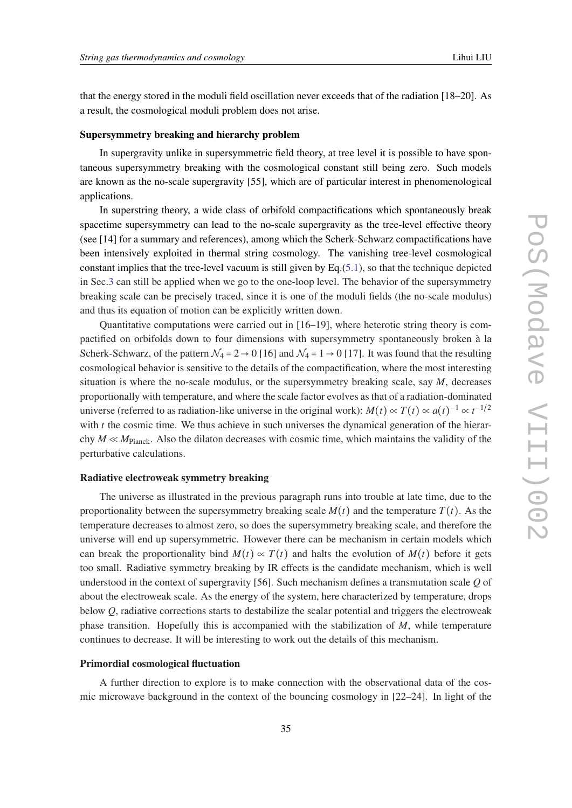that the energy stored in the moduli field oscillation never exceeds that of the radiation [18–20]. As a result, the cosmological moduli problem does not arise.

## Supersymmetry breaking and hierarchy problem

In supergravity unlike in supersymmetric field theory, at tree level it is possible to have spontaneous supersymmetry breaking with the cosmological constant still being zero. Such models are known as the no-scale supergravity [55], which are of particular interest in phenomenological applications.

In superstring theory, a wide class of orbifold compactifications which spontaneously break spacetime supersymmetry can lead to the no-scale supergravity as the tree-level effective theory (see [14] for a summary and references), among which the Scherk-Schwarz compactifications have been intensively exploited in thermal string cosmology. The vanishing tree-level cosmological constant implies that the tree-level vacuum is still given by Eq.([5.1\)](#page-27-0), so that the technique depicted in Sec.[3](#page-11-0) can still be applied when we go to the one-loop level. The behavior of the supersymmetry breaking scale can be precisely traced, since it is one of the moduli fields (the no-scale modulus) and thus its equation of motion can be explicitly written down.

Quantitative computations were carried out in [16–19], where heterotic string theory is compactified on orbifolds down to four dimensions with supersymmetry spontaneously broken à la Scherk-Schwarz, of the pattern  $\mathcal{N}_4 = 2 \rightarrow 0$  [16] and  $\mathcal{N}_4 = 1 \rightarrow 0$  [17]. It was found that the resulting cosmological behavior is sensitive to the details of the compactification, where the most interesting situation is where the no-scale modulus, or the supersymmetry breaking scale, say *M*, decreases proportionally with temperature, and where the scale factor evolves as that of a radiation-dominated universe (referred to as radiation-like universe in the original work):  $M(t) \propto T(t) \propto a(t)^{-1} \propto t^{-1/2}$ with *t* the cosmic time. We thus achieve in such universes the dynamical generation of the hierarchy *M* ≪ *M*Planck. Also the dilaton decreases with cosmic time, which maintains the validity of the perturbative calculations.

# Radiative electroweak symmetry breaking

The universe as illustrated in the previous paragraph runs into trouble at late time, due to the proportionality between the supersymmetry breaking scale  $M(t)$  and the temperature  $T(t)$ . As the temperature decreases to almost zero, so does the supersymmetry breaking scale, and therefore the universe will end up supersymmetric. However there can be mechanism in certain models which can break the proportionality bind  $M(t) \propto T(t)$  and halts the evolution of  $M(t)$  before it gets too small. Radiative symmetry breaking by IR effects is the candidate mechanism, which is well understood in the context of supergravity [56]. Such mechanism defines a transmutation scale *Q* of about the electroweak scale. As the energy of the system, here characterized by temperature, drops below *Q*, radiative corrections starts to destabilize the scalar potential and triggers the electroweak phase transition. Hopefully this is accompanied with the stabilization of *M*, while temperature continues to decrease. It will be interesting to work out the details of this mechanism.

## Primordial cosmological fluctuation

A further direction to explore is to make connection with the observational data of the cosmic microwave background in the context of the bouncing cosmology in [22–24]. In light of the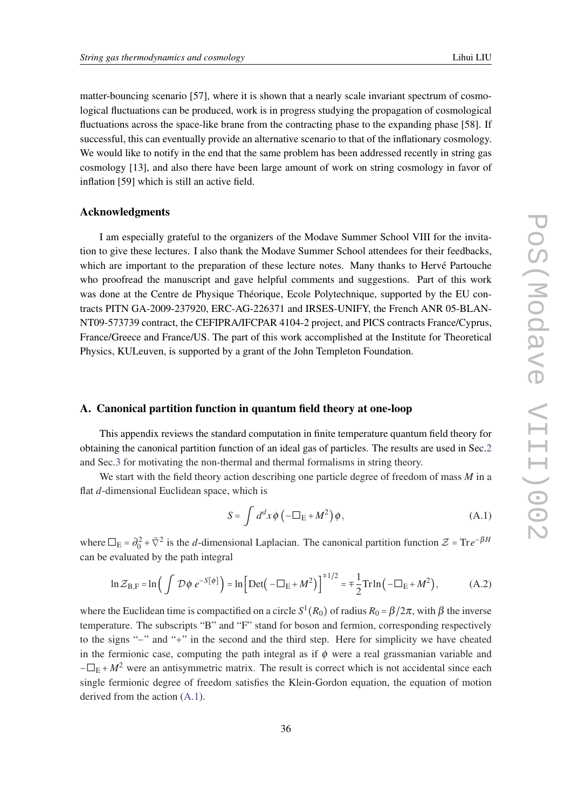<span id="page-35-0"></span>matter-bouncing scenario [57], where it is shown that a nearly scale invariant spectrum of cosmological fluctuations can be produced, work is in progress studying the propagation of cosmological fluctuations across the space-like brane from the contracting phase to the expanding phase [58]. If successful, this can eventually provide an alternative scenario to that of the inflationary cosmology. We would like to notify in the end that the same problem has been addressed recently in string gas cosmology [13], and also there have been large amount of work on string cosmology in favor of inflation [59] which is still an active field.

#### Acknowledgments

I am especially grateful to the organizers of the Modave Summer School VIII for the invitation to give these lectures. I also thank the Modave Summer School attendees for their feedbacks, which are important to the preparation of these lecture notes. Many thanks to Hervé Partouche who proofread the manuscript and gave helpful comments and suggestions. Part of this work was done at the Centre de Physique Théorique, Ecole Polytechnique, supported by the EU contracts PITN GA-2009-237920, ERC-AG-226371 and IRSES-UNIFY, the French ANR 05-BLAN-NT09-573739 contract, the CEFIPRA/IFCPAR 4104-2 project, and PICS contracts France/Cyprus, France/Greece and France/US. The part of this work accomplished at the Institute for Theoretical Physics, KULeuven, is supported by a grant of the John Templeton Foundation.

# A. Canonical partition function in quantum field theory at one-loop

This appendix reviews the standard computation in finite temperature quantum field theory for obtaining the canonical partition function of an ideal gas of particles. The results are used in Sec[.2](#page-4-0) and Sec[.3](#page-11-0) for motivating the non-thermal and thermal formalisms in string theory.

We start with the field theory action describing one particle degree of freedom of mass *M* in a flat *d*-dimensional Euclidean space, which is

$$
S = \int d^d x \phi \left( -\Box_E + M^2 \right) \phi, \tag{A.1}
$$

where  $\Box_E = \partial_0^2 + \vec{\nabla}^2$  is the *d*-dimensional Laplacian. The canonical partition function  $\mathcal{Z} = \text{Tr}e^{-\beta H}$ can be evaluated by the path integral

$$
\ln \mathcal{Z}_{\mathrm{B,F}} = \ln \left( \int \mathcal{D}\phi \ e^{-S[\phi]} \right) = \ln \left[ \mathrm{Det} \left( -\Box_{\mathrm{E}} + M^2 \right) \right]^{1/2} = \pm \frac{1}{2} \mathrm{Tr} \ln \left( -\Box_{\mathrm{E}} + M^2 \right),\tag{A.2}
$$

where the Euclidean time is compactified on a circle  $S^1(R_0)$  of radius  $R_0 = \beta/2\pi$ , with  $\beta$  the inverse temperature. The subscripts "B" and "F" stand for boson and fermion, corresponding respectively to the signs "−" and "+" in the second and the third step. Here for simplicity we have cheated in the fermionic case, computing the path integral as if  $\phi$  were a real grassmanian variable and  $-\Box_E + M^2$  were an antisymmetric matrix. The result is correct which is not accidental since each single fermionic degree of freedom satisfies the Klein-Gordon equation, the equation of motion derived from the action (A.1).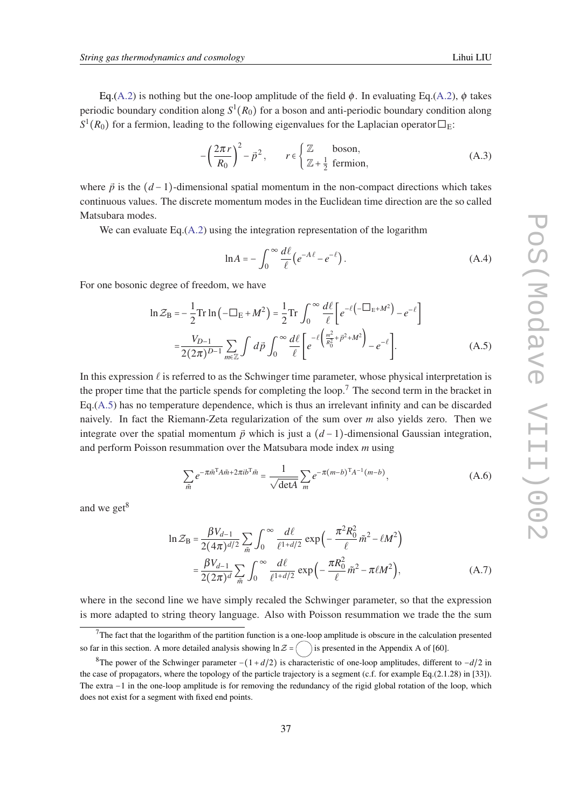<span id="page-36-0"></span>Eq.[\(A.2](#page-35-0)) is nothing but the one-loop amplitude of the field  $\phi$ . In evaluating Eq.[\(A.2\)](#page-35-0),  $\phi$  takes periodic boundary condition along *S* 1 (*R*0) for a boson and anti-periodic boundary condition along  $S^1(R_0)$  for a fermion, leading to the following eigenvalues for the Laplacian operator  $\square_E$ :

$$
-\left(\frac{2\pi r}{R_0}\right)^2 - \vec{p}^2, \qquad r \in \left\{\frac{\mathbb{Z}}{\mathbb{Z} + \frac{1}{2} \text{ fermion,}}\right\}
$$
 (A.3)

where  $\vec{p}$  is the  $(d-1)$ -dimensional spatial momentum in the non-compact directions which takes continuous values. The discrete momentum modes in the Euclidean time direction are the so called Matsubara modes.

We can evaluate Eq.([A.2\)](#page-35-0) using the integration representation of the logarithm

$$
\ln A = -\int_0^\infty \frac{d\ell}{\ell} \left( e^{-A\ell} - e^{-\ell} \right). \tag{A.4}
$$

For one bosonic degree of freedom, we have

$$
\ln \mathcal{Z}_{\rm B} = -\frac{1}{2} \text{Tr} \ln \left( -\Box_{\rm E} + M^2 \right) = \frac{1}{2} \text{Tr} \int_0^\infty \frac{d\ell}{\ell} \left[ e^{-\ell \left( -\Box_{\rm E} + M^2 \right)} - e^{-\ell} \right]
$$

$$
= \frac{V_{D-1}}{2(2\pi)^{D-1}} \sum_{m \in \mathbb{Z}} \int d\vec{p} \int_0^\infty \frac{d\ell}{\ell} \left[ e^{-\ell \left( \frac{m^2}{R_0^2} + \vec{p}^2 + M^2 \right)} - e^{-\ell} \right]. \tag{A.5}
$$

In this expression  $\ell$  is referred to as the Schwinger time parameter, whose physical interpretation is the proper time that the particle spends for completing the loop.<sup>7</sup> The second term in the bracket in Eq.(A.5) has no temperature dependence, which is thus an irrelevant infinity and can be discarded naively. In fact the Riemann-Zeta regularization of the sum over *m* also yields zero. Then we integrate over the spatial momentum  $\vec{p}$  which is just a  $(d-1)$ -dimensional Gaussian integration, and perform Poisson resummation over the Matsubara mode index *m* using

$$
\sum_{\tilde{m}} e^{-\pi \tilde{m}^T A \tilde{m} + 2\pi i b^T \tilde{m}} = \frac{1}{\sqrt{\det A}} \sum_{m} e^{-\pi (m - b)^T A^{-1} (m - b)},
$$
(A.6)

and we get $8$ 

$$
\ln \mathcal{Z}_{\rm B} = \frac{\beta V_{d-1}}{2(4\pi)^{d/2}} \sum_{\tilde{m}} \int_0^\infty \frac{d\ell}{\ell^{1+d/2}} \exp\left(-\frac{\pi^2 R_0^2}{\ell} \tilde{m}^2 - \ell M^2\right)
$$

$$
= \frac{\beta V_{d-1}}{2(2\pi)^d} \sum_{\tilde{m}} \int_0^\infty \frac{d\ell}{\ell^{1+d/2}} \exp\left(-\frac{\pi R_0^2}{\ell} \tilde{m}^2 - \pi \ell M^2\right), \tag{A.7}
$$

where in the second line we have simply recaled the Schwinger parameter, so that the expression is more adapted to string theory language. Also with Poisson resummation we trade the the sum

 $7$ The fact that the logarithm of the partition function is a one-loop amplitude is obscure in the calculation presented so far in this section. A more detailed analysis showing  $\ln Z = \binom{ }{ }$  is presented in the Appendix A of [60].

<sup>8</sup>The power of the Schwinger parameter −(1+*d*/2) is characteristic of one-loop amplitudes, different to −*d*/2 in the case of propagators, where the topology of the particle trajectory is a segment (c.f. for example Eq.(2.1.28) in [33]). The extra −1 in the one-loop amplitude is for removing the redundancy of the rigid global rotation of the loop, which does not exist for a segment with fixed end points.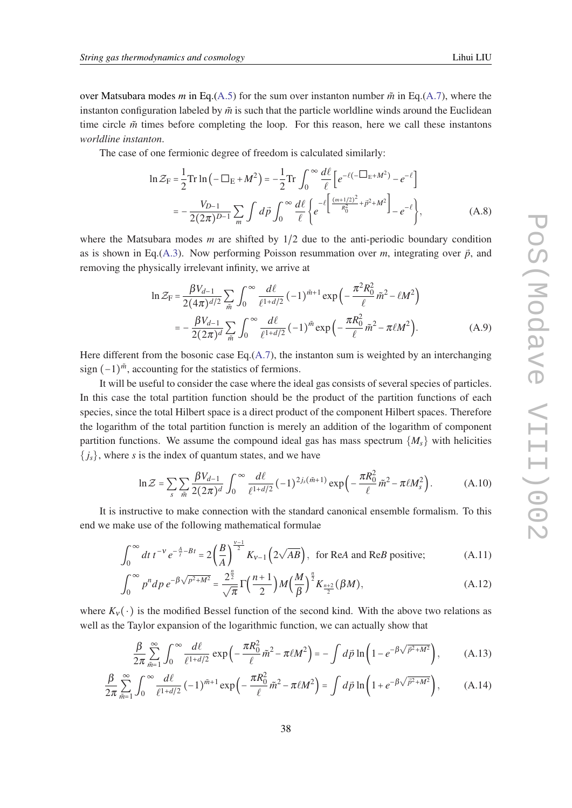<span id="page-37-0"></span>over Matsubara modes *m* in Eq.[\(A.5](#page-36-0)) for the sum over instanton number  $\tilde{m}$  in Eq.([A.7\)](#page-36-0), where the instanton configuration labeled by  $\tilde{m}$  is such that the particle worldline winds around the Euclidean time circle  $\tilde{m}$  times before completing the loop. For this reason, here we call these instantons *worldline instanton*.

The case of one fermionic degree of freedom is calculated similarly:

$$
\ln \mathcal{Z}_{F} = \frac{1}{2} \text{Tr} \ln \left( -\Box_{E} + M^{2} \right) = -\frac{1}{2} \text{Tr} \int_{0}^{\infty} \frac{d\ell}{\ell} \left[ e^{-\ell \left( -\Box_{E} + M^{2} \right)} - e^{-\ell} \right]
$$

$$
= -\frac{V_{D-1}}{2(2\pi)^{D-1}} \sum_{m} \int d\vec{p} \int_{0}^{\infty} \frac{d\ell}{\ell} \left\{ e^{-\ell \left[ \frac{(m+1/2)^{2}}{R_{0}^{2}} + \vec{p}^{2} + M^{2} \right]} - e^{-\ell} \right\}, \tag{A.8}
$$

where the Matsubara modes *m* are shifted by 1/2 due to the anti-periodic boundary condition as is shown in Eq.[\(A.3](#page-36-0)). Now performing Poisson resummation over  $m$ , integrating over  $\vec{p}$ , and removing the physically irrelevant infinity, we arrive at

$$
\ln \mathcal{Z}_{\rm F} = \frac{\beta V_{d-1}}{2(4\pi)^{d/2}} \sum_{\tilde{m}} \int_0^\infty \frac{d\ell}{\ell^{1+d/2}} \left(-1\right)^{\tilde{m}+1} \exp\left(-\frac{\pi^2 R_0^2}{\ell} \tilde{m}^2 - \ell M^2\right)
$$

$$
= -\frac{\beta V_{d-1}}{2(2\pi)^d} \sum_{\tilde{m}} \int_0^\infty \frac{d\ell}{\ell^{1+d/2}} \left(-1\right)^{\tilde{m}} \exp\left(-\frac{\pi R_0^2}{\ell} \tilde{m}^2 - \pi \ell M^2\right). \tag{A.9}
$$

Here different from the bosonic case Eq. $(A.7)$  $(A.7)$ , the instanton sum is weighted by an interchanging sign  $(-1)^{\tilde{m}}$ , accounting for the statistics of fermions.

It will be useful to consider the case where the ideal gas consists of several species of particles. In this case the total partition function should be the product of the partition functions of each species, since the total Hilbert space is a direct product of the component Hilbert spaces. Therefore the logarithm of the total partition function is merely an addition of the logarithm of component partition functions. We assume the compound ideal gas has mass spectrum  $\{M_s\}$  with helicities  ${j_s}$ , where *s* is the index of quantum states, and we have

$$
\ln \mathcal{Z} = \sum_{s} \sum_{\tilde{m}} \frac{\beta V_{d-1}}{2(2\pi)^{d}} \int_0^{\infty} \frac{d\ell}{\ell^{1+d/2}} (-1)^{2j_s(\tilde{m}+1)} \exp\left(-\frac{\pi R_0^2}{\ell} \tilde{m}^2 - \pi \ell M_s^2\right). \tag{A.10}
$$

It is instructive to make connection with the standard canonical ensemble formalism. To this end we make use of the following mathematical formulae

$$
\int_0^\infty dt \, t^{-\nu} e^{-\frac{A}{t} - Bt} = 2\left(\frac{B}{A}\right)^{\frac{\nu - 1}{2}} K_{\nu - 1}\left(2\sqrt{AB}\right), \text{ for Re}A \text{ and Re}B \text{ positive};\tag{A.11}
$$

$$
\int_0^\infty p^n dp \, e^{-\beta \sqrt{p^2 + M^2}} = \frac{2^{\frac{n}{2}}}{\sqrt{\pi}} \Gamma\left(\frac{n+1}{2}\right) M\left(\frac{M}{\beta}\right)^{\frac{n}{2}} K_{\frac{n+2}{2}}(\beta M),\tag{A.12}
$$

where  $K_v(\cdot)$  is the modified Bessel function of the second kind. With the above two relations as well as the Taylor expansion of the logarithmic function, we can actually show that

$$
\frac{\beta}{2\pi} \sum_{\tilde{m}=1}^{\infty} \int_0^{\infty} \frac{d\ell}{\ell^{1+d/2}} \exp\left(-\frac{\pi R_0^2}{\ell} \tilde{m}^2 - \pi \ell M^2\right) = -\int d\vec{p} \ln\left(1 - e^{-\beta \sqrt{\vec{p}^2 + M^2}}\right),\tag{A.13}
$$

$$
\frac{\beta}{2\pi} \sum_{\tilde{m}=1}^{\infty} \int_0^{\infty} \frac{d\ell}{\ell^{1+d/2}} \left(-1\right)^{\tilde{m}+1} \exp\left(-\frac{\pi R_0^2}{\ell} \tilde{m}^2 - \pi \ell M^2\right) = \int d\vec{p} \ln\left(1 + e^{-\beta \sqrt{\vec{p}^2 + M^2}}\right),\tag{A.14}
$$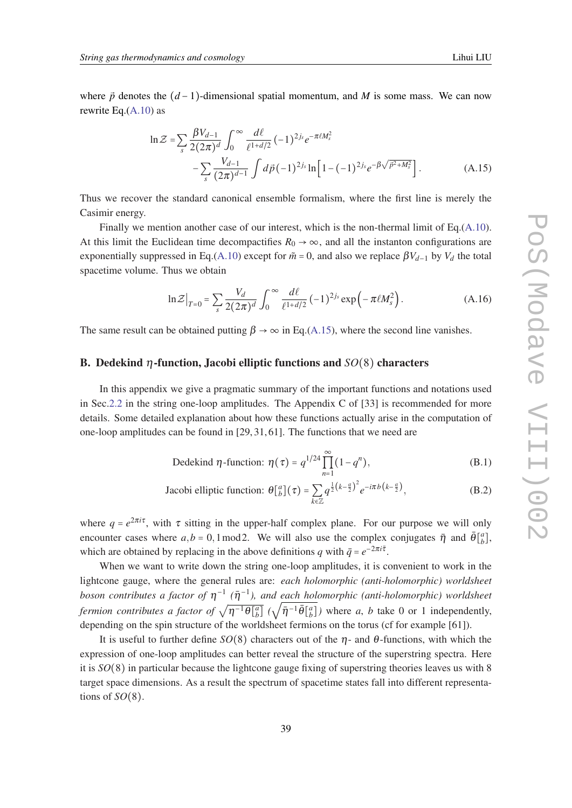<span id="page-38-0"></span>where  $\vec{p}$  denotes the  $(d-1)$ -dimensional spatial momentum, and *M* is some mass. We can now rewrite Eq. $(A.10)$  as

$$
\ln \mathcal{Z} = \sum_{s} \frac{\beta V_{d-1}}{2(2\pi)^{d}} \int_{0}^{\infty} \frac{d\ell}{\ell^{1+d/2}} (-1)^{2j_{s}} e^{-\pi \ell M_{s}^{2}} - \sum_{s} \frac{V_{d-1}}{(2\pi)^{d-1}} \int d\vec{p} (-1)^{2j_{s}} \ln\left[1 - (-1)^{2j_{s}} e^{-\beta \sqrt{\vec{p}^{2} + M_{s}^{2}}}\right].
$$
 (A.15)

Thus we recover the standard canonical ensemble formalism, where the first line is merely the Casimir energy.

Finally we mention another case of our interest, which is the non-thermal limit of Eq.[\(A.10\)](#page-37-0). At this limit the Euclidean time decompactifies  $R_0 \rightarrow \infty$ , and all the instanton configurations are exponentially suppressed in Eq.[\(A.10\)](#page-37-0) except for  $\tilde{m} = 0$ , and also we replace  $\beta V_{d-1}$  by  $V_d$  the total spacetime volume. Thus we obtain

$$
\ln \mathcal{Z}\big|_{T=0} = \sum_{s} \frac{V_d}{2(2\pi)^d} \int_0^\infty \frac{d\ell}{\ell^{1+d/2}} (-1)^{2j_s} \exp\left(-\pi \ell M_s^2\right). \tag{A.16}
$$

The same result can be obtained putting  $\beta \rightarrow \infty$  in Eq.(A.15), where the second line vanishes.

#### B. Dedekind η-function, Jacobi elliptic functions and *SO*(8) characters

In this appendix we give a pragmatic summary of the important functions and notations used in Sec.[2.2](#page-7-0) in the string one-loop amplitudes. The Appendix C of [33] is recommended for more details. Some detailed explanation about how these functions actually arise in the computation of one-loop amplitudes can be found in [29, 31, 61]. The functions that we need are

Dedekind 
$$
\eta
$$
-function:  $\eta(\tau) = q^{1/24} \prod_{n=1}^{\infty} (1 - q^n)$ , (B.1)

Jacobi elliptic function: 
$$
\theta[\begin{bmatrix} a \\ b \end{bmatrix}(\tau) = \sum_{k \in \mathbb{Z}} q^{\frac{1}{2}(k-\frac{a}{2})^2} e^{-i\pi b (k-\frac{a}{2})},
$$
 (B.2)

where  $q = e^{2\pi i \tau}$ , with  $\tau$  sitting in the upper-half complex plane. For our purpose we will only encounter cases where  $a, b = 0, 1 \text{ mod } 2$ . We will also use the complex conjugates  $\bar{\eta}$  and  $\bar{\theta} \begin{bmatrix} a \\ b \end{bmatrix}$ , which are obtained by replacing in the above definitions *q* with  $\bar{q} = e^{-2\pi i \bar{\tau}}$ .

When we want to write down the string one-loop amplitudes, it is convenient to work in the lightcone gauge, where the general rules are: *each holomorphic (anti-holomorphic) worldsheet boson contributes a factor of*  $η^{-1}$  ( $η^{-1}$ ), and each holomorphic (anti-holomorphic) worldsheet *fermion contributes a factor of*  $\sqrt{\eta^{-1}\theta\begin{bmatrix}a\\b\end{bmatrix}}$  ( $\sqrt{\bar{\eta}^{-1}\bar{\theta}\begin{bmatrix}a\\b\end{bmatrix}}$ ) where *a*, *b* take 0 or 1 independently, depending on the spin structure of the worldsheet fermions on the torus (cf for example [61]).

It is useful to further define *SO*(8) characters out of the η- and θ-functions, with which the expression of one-loop amplitudes can better reveal the structure of the superstring spectra. Here it is *SO*(8) in particular because the lightcone gauge fixing of superstring theories leaves us with 8 target space dimensions. As a result the spectrum of spacetime states fall into different representations of *SO*(8).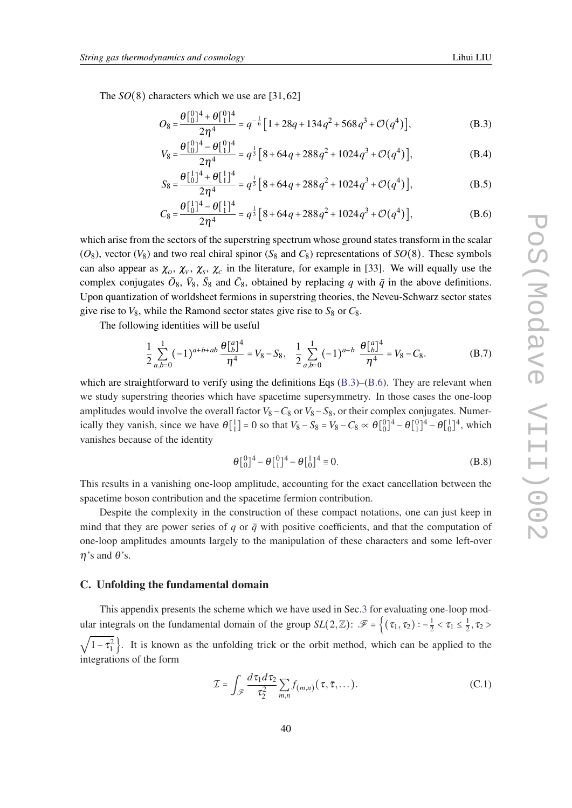<span id="page-39-0"></span>The *SO*(8) characters which we use are [31,62]

$$
O_8 = \frac{\theta \begin{bmatrix} 0 \\ 0 \end{bmatrix}^4 + \theta \begin{bmatrix} 0 \\ 1 \end{bmatrix}^4}{2\eta^4} = q^{-\frac{1}{6}} \Big[ 1 + 28q + 134q^2 + 568q^3 + \mathcal{O}(q^4) \Big],
$$
 (B.3)

$$
V_8 = \frac{\theta \begin{bmatrix} 0 \\ 0 \end{bmatrix}^4 - \theta \begin{bmatrix} 0 \\ 1 \end{bmatrix}^4}{2\eta^4} = q^{\frac{1}{3}} \Big[ 8 + 64q + 288q^2 + 1024q^3 + \mathcal{O}(q^4) \Big],
$$
 (B.4)

$$
S_8 = \frac{\theta \left[\frac{1}{0}\right]^4 + \theta \left[\frac{1}{1}\right]^4}{2\eta^4} = q^{\frac{1}{3}} \left[8 + 64q + 288q^2 + 1024q^3 + \mathcal{O}(q^4)\right],\tag{B.5}
$$

$$
C_8 = \frac{\theta \left[\frac{1}{0}\right]^4 - \theta \left[\frac{1}{1}\right]^4}{2\eta^4} = q^{\frac{1}{3}} \left[8 + 64q + 288q^2 + 1024q^3 + \mathcal{O}(q^4)\right],
$$
 (B.6)

which arise from the sectors of the superstring spectrum whose ground states transform in the scalar  $(O_8)$ , vector  $(V_8)$  and two real chiral spinor  $(S_8 \text{ and } C_8)$  representations of  $SO(8)$ . These symbols can also appear as  $\chi_o$ ,  $\chi_v$ ,  $\chi_s$ ,  $\chi_c$  in the literature, for example in [33]. We will equally use the complex conjugates  $\bar{O}_8$ ,  $\bar{V}_8$ ,  $\bar{S}_8$  and  $\bar{C}_8$ , obtained by replacing *q* with  $\bar{q}$  in the above definitions. Upon quantization of worldsheet fermions in superstring theories, the Neveu-Schwarz sector states give rise to  $V_8$ , while the Ramond sector states give rise to  $S_8$  or  $C_8$ .

The following identities will be useful

$$
\frac{1}{2} \sum_{a,b=0}^{1} (-1)^{a+b+ab} \frac{\theta \begin{bmatrix} a \\ b \end{bmatrix}^4}{\eta^4} = V_8 - S_8, \quad \frac{1}{2} \sum_{a,b=0}^{1} (-1)^{a+b} \frac{\theta \begin{bmatrix} a \\ b \end{bmatrix}^4}{\eta^4} = V_8 - C_8.
$$
 (B.7)

which are straightforward to verify using the definitions Eqs  $(B.3)$ – $(B.6)$ . They are relevant when we study superstring theories which have spacetime supersymmetry. In those cases the one-loop amplitudes would involve the overall factor *V*8−*C*<sup>8</sup> or *V*8−*S*8, or their complex conjugates. Numerically they vanish, since we have  $\theta[\begin{bmatrix} 1 \\ 1 \end{bmatrix} = 0$  so that  $V_8 - S_8 = V_8 - C_8 \propto \theta[\begin{bmatrix} 0 \\ 0 \end{bmatrix}^4 - \theta[\begin{bmatrix} 0 \\ 1 \end{bmatrix}^4 - \theta[\begin{bmatrix} 1 \\ 0 \end{bmatrix}^4]$ , which vanishes because of the identity

$$
\theta \begin{bmatrix} 0 \\ 0 \end{bmatrix}^4 - \theta \begin{bmatrix} 0 \\ 1 \end{bmatrix}^4 - \theta \begin{bmatrix} 1 \\ 0 \end{bmatrix}^4 \equiv 0.
$$
 (B.8)

This results in a vanishing one-loop amplitude, accounting for the exact cancellation between the spacetime boson contribution and the spacetime fermion contribution.

Despite the complexity in the construction of these compact notations, one can just keep in mind that they are power series of  $q$  or  $\bar{q}$  with positive coefficients, and that the computation of one-loop amplitudes amounts largely to the manipulation of these characters and some left-over  $\eta$ 's and  $\theta$ 's.

# C. Unfolding the fundamental domain

This appendix presents the scheme which we have used in Sec.[3](#page-11-0) for evaluating one-loop modular integrals on the fundamental domain of the group  $SL(2,\mathbb{Z})$ :  $\mathscr{F} = \left\{ (\tau_1, \tau_2) : -\frac{1}{2} < \tau_1 \leq \frac{1}{2} \right\}$  $\frac{1}{2}$ ,  $\tau_2$  > √  $1-\tau_1^2$ . It is known as the unfolding trick or the orbit method, which can be applied to the integrations of the form

$$
\mathcal{I} = \int_{\mathscr{F}} \frac{d\,\tau_1 d\,\tau_2}{\tau_2^2} \sum_{m,n} f_{(m,n)}(\tau, \bar{\tau}, \dots). \tag{C.1}
$$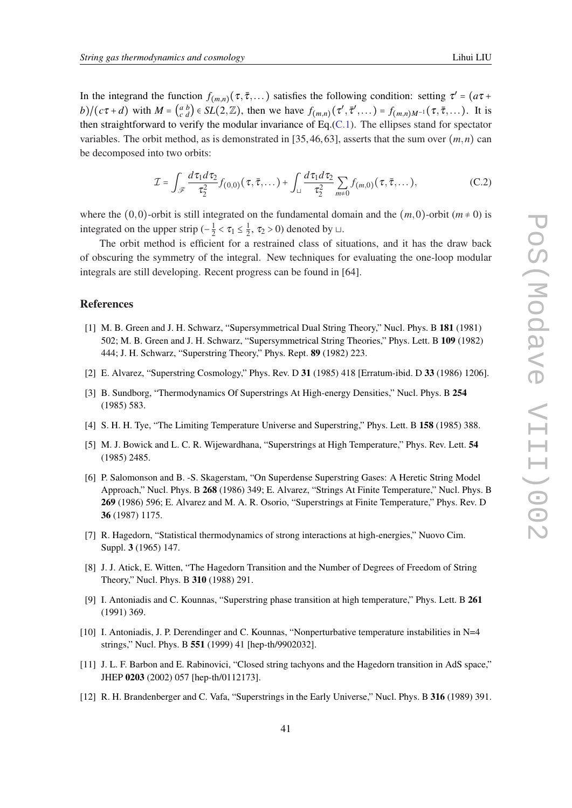In the integrand the function  $f_{(m,n)}(\tau, \bar{\tau}, \dots)$  satisfies the following condition: setting  $\tau' = (a\tau +$  $b$ )/( $c\tau + d$ ) with  $M = \begin{pmatrix} a & b \\ c & d \end{pmatrix} \in SL(2, \mathbb{Z})$ , then we have  $f_{(m,n)}(\tau', \overline{\tau}', \dots) = f_{(m,n)M^{-1}}(\tau, \overline{\tau}, \dots)$ . It is then straightforward to verify the modular invariance of Eq. $(C.1)$ . The ellipses stand for spectator variables. The orbit method, as is demonstrated in [35, 46, 63], asserts that the sum over  $(m, n)$  can be decomposed into two orbits:

$$
\mathcal{I} = \int_{\mathscr{F}} \frac{d\tau_1 d\tau_2}{\tau_2^2} f_{(0,0)}(\tau,\bar{\tau},\dots) + \int_{\square} \frac{d\tau_1 d\tau_2}{\tau_2^2} \sum_{m\neq 0} f_{(m,0)}(\tau,\bar{\tau},\dots),
$$
 (C.2)

where the (0,0)-orbit is still integrated on the fundamental domain and the  $(m,0)$ -orbit  $(m \neq 0)$  is integrated on the upper strip  $\left(-\frac{1}{2}\right)$  $\frac{1}{2} < \tau_1 \leq \frac{1}{2}$  $\frac{1}{2}$ ,  $\tau_2 > 0$ ) denoted by  $\sqcup$ .

The orbit method is efficient for a restrained class of situations, and it has the draw back of obscuring the symmetry of the integral. New techniques for evaluating the one-loop modular integrals are still developing. Recent progress can be found in [64].

#### References

- [1] M. B. Green and J. H. Schwarz, "Supersymmetrical Dual String Theory," Nucl. Phys. B 181 (1981) 502; M. B. Green and J. H. Schwarz, "Supersymmetrical String Theories," Phys. Lett. B 109 (1982) 444; J. H. Schwarz, "Superstring Theory," Phys. Rept. 89 (1982) 223.
- [2] E. Alvarez, "Superstring Cosmology," Phys. Rev. D 31 (1985) 418 [Erratum-ibid. D 33 (1986) 1206].
- [3] B. Sundborg, "Thermodynamics Of Superstrings At High-energy Densities," Nucl. Phys. B 254 (1985) 583.
- [4] S. H. H. Tye, "The Limiting Temperature Universe and Superstring," Phys. Lett. B 158 (1985) 388.
- [5] M. J. Bowick and L. C. R. Wijewardhana, "Superstrings at High Temperature," Phys. Rev. Lett. 54 (1985) 2485.
- [6] P. Salomonson and B. -S. Skagerstam, "On Superdense Superstring Gases: A Heretic String Model Approach," Nucl. Phys. B 268 (1986) 349; E. Alvarez, "Strings At Finite Temperature," Nucl. Phys. B 269 (1986) 596; E. Alvarez and M. A. R. Osorio, "Superstrings at Finite Temperature," Phys. Rev. D 36 (1987) 1175.
- [7] R. Hagedorn, "Statistical thermodynamics of strong interactions at high-energies," Nuovo Cim. Suppl. 3 (1965) 147.
- [8] J. J. Atick, E. Witten, "The Hagedorn Transition and the Number of Degrees of Freedom of String Theory," Nucl. Phys. B 310 (1988) 291.
- [9] I. Antoniadis and C. Kounnas, "Superstring phase transition at high temperature," Phys. Lett. B 261 (1991) 369.
- [10] I. Antoniadis, J. P. Derendinger and C. Kounnas, "Nonperturbative temperature instabilities in N=4 strings," Nucl. Phys. B 551 (1999) 41 [hep-th/9902032].
- [11] J. L. F. Barbon and E. Rabinovici, "Closed string tachyons and the Hagedorn transition in AdS space," JHEP 0203 (2002) 057 [hep-th/0112173].
- [12] R. H. Brandenberger and C. Vafa, "Superstrings in the Early Universe," Nucl. Phys. B 316 (1989) 391.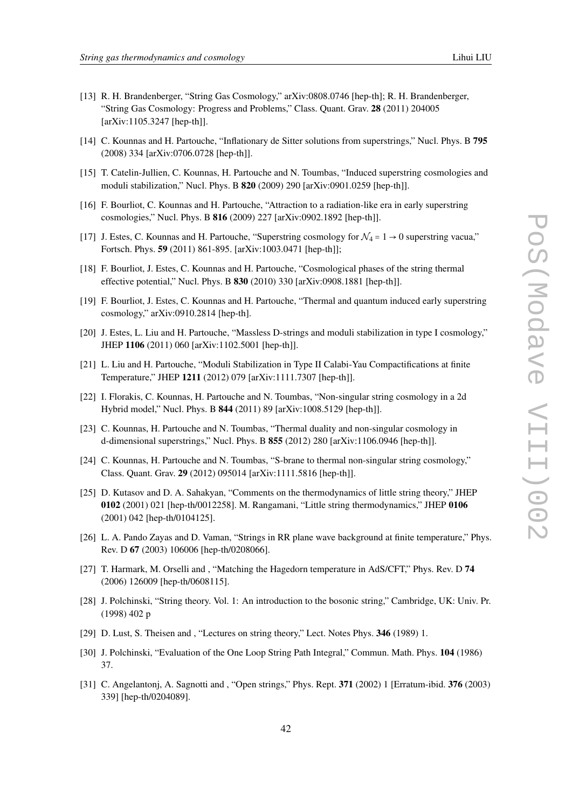- [13] R. H. Brandenberger, "String Gas Cosmology," arXiv:0808.0746 [hep-th]; R. H. Brandenberger, "String Gas Cosmology: Progress and Problems," Class. Quant. Grav. 28 (2011) 204005 [arXiv:1105.3247 [hep-th]].
- [14] C. Kounnas and H. Partouche, "Inflationary de Sitter solutions from superstrings," Nucl. Phys. B 795 (2008) 334 [arXiv:0706.0728 [hep-th]].
- [15] T. Catelin-Jullien, C. Kounnas, H. Partouche and N. Toumbas, "Induced superstring cosmologies and moduli stabilization," Nucl. Phys. B 820 (2009) 290 [arXiv:0901.0259 [hep-th]].
- [16] F. Bourliot, C. Kounnas and H. Partouche, "Attraction to a radiation-like era in early superstring cosmologies," Nucl. Phys. B 816 (2009) 227 [arXiv:0902.1892 [hep-th]].
- [17] J. Estes, C. Kounnas and H. Partouche, "Superstring cosmology for  $\mathcal{N}_4 = 1 \rightarrow 0$  superstring vacua," Fortsch. Phys. 59 (2011) 861-895. [arXiv:1003.0471 [hep-th]];
- [18] F. Bourliot, J. Estes, C. Kounnas and H. Partouche, "Cosmological phases of the string thermal effective potential," Nucl. Phys. B 830 (2010) 330 [arXiv:0908.1881 [hep-th]].
- [19] F. Bourliot, J. Estes, C. Kounnas and H. Partouche, "Thermal and quantum induced early superstring cosmology," arXiv:0910.2814 [hep-th].
- [20] J. Estes, L. Liu and H. Partouche, "Massless D-strings and moduli stabilization in type I cosmology," JHEP 1106 (2011) 060 [arXiv:1102.5001 [hep-th]].
- [21] L. Liu and H. Partouche, "Moduli Stabilization in Type II Calabi-Yau Compactifications at finite Temperature," JHEP 1211 (2012) 079 [arXiv:1111.7307 [hep-th]].
- [22] I. Florakis, C. Kounnas, H. Partouche and N. Toumbas, "Non-singular string cosmology in a 2d Hybrid model," Nucl. Phys. B 844 (2011) 89 [arXiv:1008.5129 [hep-th]].
- [23] C. Kounnas, H. Partouche and N. Toumbas, "Thermal duality and non-singular cosmology in d-dimensional superstrings," Nucl. Phys. B 855 (2012) 280 [arXiv:1106.0946 [hep-th]].
- [24] C. Kounnas, H. Partouche and N. Toumbas, "S-brane to thermal non-singular string cosmology," Class. Quant. Grav. 29 (2012) 095014 [arXiv:1111.5816 [hep-th]].
- [25] D. Kutasov and D. A. Sahakyan, "Comments on the thermodynamics of little string theory," JHEP 0102 (2001) 021 [hep-th/0012258]. M. Rangamani, "Little string thermodynamics," JHEP 0106 (2001) 042 [hep-th/0104125].
- [26] L. A. Pando Zayas and D. Vaman, "Strings in RR plane wave background at finite temperature," Phys. Rev. D 67 (2003) 106006 [hep-th/0208066].
- [27] T. Harmark, M. Orselli and , "Matching the Hagedorn temperature in AdS/CFT," Phys. Rev. D 74 (2006) 126009 [hep-th/0608115].
- [28] J. Polchinski, "String theory. Vol. 1: An introduction to the bosonic string," Cambridge, UK: Univ. Pr. (1998) 402 p
- [29] D. Lust, S. Theisen and , "Lectures on string theory," Lect. Notes Phys. 346 (1989) 1.
- [30] J. Polchinski, "Evaluation of the One Loop String Path Integral," Commun. Math. Phys. 104 (1986) 37.
- [31] C. Angelantonj, A. Sagnotti and , "Open strings," Phys. Rept. 371 (2002) 1 [Erratum-ibid. 376 (2003) 339] [hep-th/0204089].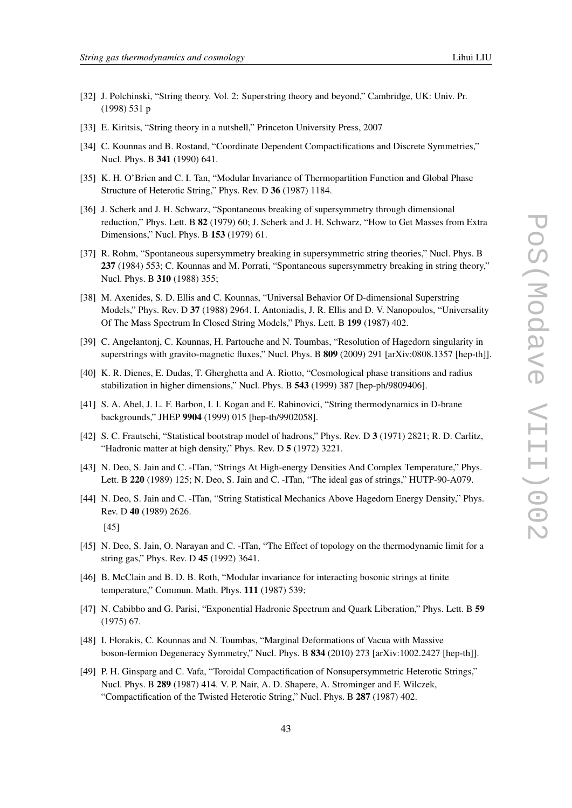- 
- [32] J. Polchinski, "String theory. Vol. 2: Superstring theory and beyond," Cambridge, UK: Univ. Pr. (1998) 531 p
- [33] E. Kiritsis, "String theory in a nutshell," Princeton University Press, 2007
- [34] C. Kounnas and B. Rostand, "Coordinate Dependent Compactifications and Discrete Symmetries," Nucl. Phys. B 341 (1990) 641.
- [35] K. H. O'Brien and C. I. Tan, "Modular Invariance of Thermopartition Function and Global Phase Structure of Heterotic String," Phys. Rev. D 36 (1987) 1184.
- [36] J. Scherk and J. H. Schwarz, "Spontaneous breaking of supersymmetry through dimensional reduction," Phys. Lett. B 82 (1979) 60; J. Scherk and J. H. Schwarz, "How to Get Masses from Extra Dimensions," Nucl. Phys. B 153 (1979) 61.
- [37] R. Rohm, "Spontaneous supersymmetry breaking in supersymmetric string theories," Nucl. Phys. B 237 (1984) 553; C. Kounnas and M. Porrati, "Spontaneous supersymmetry breaking in string theory," Nucl. Phys. B 310 (1988) 355;
- [38] M. Axenides, S. D. Ellis and C. Kounnas, "Universal Behavior Of D-dimensional Superstring Models," Phys. Rev. D 37 (1988) 2964. I. Antoniadis, J. R. Ellis and D. V. Nanopoulos, "Universality Of The Mass Spectrum In Closed String Models," Phys. Lett. B 199 (1987) 402.
- [39] C. Angelantonj, C. Kounnas, H. Partouche and N. Toumbas, "Resolution of Hagedorn singularity in superstrings with gravito-magnetic fluxes," Nucl. Phys. B 809 (2009) 291 [arXiv:0808.1357 [hep-th]].
- [40] K. R. Dienes, E. Dudas, T. Gherghetta and A. Riotto, "Cosmological phase transitions and radius stabilization in higher dimensions," Nucl. Phys. B 543 (1999) 387 [hep-ph/9809406].
- [41] S. A. Abel, J. L. F. Barbon, I. I. Kogan and E. Rabinovici, "String thermodynamics in D-brane backgrounds," JHEP 9904 (1999) 015 [hep-th/9902058].
- [42] S. C. Frautschi, "Statistical bootstrap model of hadrons," Phys. Rev. D 3 (1971) 2821; R. D. Carlitz, "Hadronic matter at high density," Phys. Rev. D 5 (1972) 3221.
- [43] N. Deo, S. Jain and C. -ITan, "Strings At High-energy Densities And Complex Temperature," Phys. Lett. B 220 (1989) 125; N. Deo, S. Jain and C. -ITan, "The ideal gas of strings," HUTP-90-A079.
- [44] N. Deo, S. Jain and C. -ITan, "String Statistical Mechanics Above Hagedorn Energy Density," Phys. Rev. D 40 (1989) 2626. [45]
- [45] N. Deo, S. Jain, O. Narayan and C. -ITan, "The Effect of topology on the thermodynamic limit for a string gas," Phys. Rev. D 45 (1992) 3641.
- [46] B. McClain and B. D. B. Roth, "Modular invariance for interacting bosonic strings at finite temperature," Commun. Math. Phys. 111 (1987) 539;
- [47] N. Cabibbo and G. Parisi, "Exponential Hadronic Spectrum and Quark Liberation," Phys. Lett. B 59 (1975) 67.
- [48] I. Florakis, C. Kounnas and N. Toumbas, "Marginal Deformations of Vacua with Massive boson-fermion Degeneracy Symmetry," Nucl. Phys. B 834 (2010) 273 [arXiv:1002.2427 [hep-th]].
- [49] P. H. Ginsparg and C. Vafa, "Toroidal Compactification of Nonsupersymmetric Heterotic Strings," Nucl. Phys. B 289 (1987) 414. V. P. Nair, A. D. Shapere, A. Strominger and F. Wilczek, "Compactification of the Twisted Heterotic String," Nucl. Phys. B 287 (1987) 402.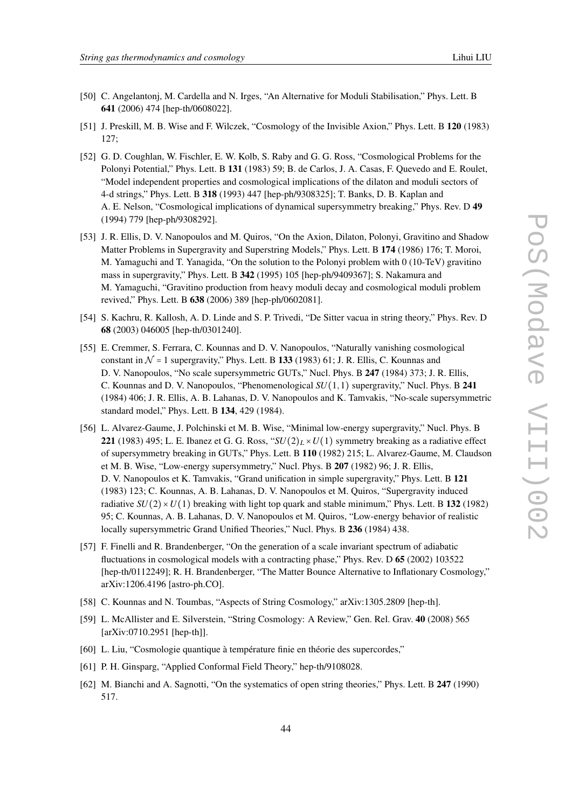- [50] C. Angelantonj, M. Cardella and N. Irges, "An Alternative for Moduli Stabilisation," Phys. Lett. B 641 (2006) 474 [hep-th/0608022].
- [51] J. Preskill, M. B. Wise and F. Wilczek, "Cosmology of the Invisible Axion," Phys. Lett. B 120 (1983) 127;
- [52] G. D. Coughlan, W. Fischler, E. W. Kolb, S. Raby and G. G. Ross, "Cosmological Problems for the Polonyi Potential," Phys. Lett. B 131 (1983) 59; B. de Carlos, J. A. Casas, F. Quevedo and E. Roulet, "Model independent properties and cosmological implications of the dilaton and moduli sectors of 4-d strings," Phys. Lett. B 318 (1993) 447 [hep-ph/9308325]; T. Banks, D. B. Kaplan and A. E. Nelson, "Cosmological implications of dynamical supersymmetry breaking," Phys. Rev. D 49 (1994) 779 [hep-ph/9308292].
- [53] J. R. Ellis, D. V. Nanopoulos and M. Quiros, "On the Axion, Dilaton, Polonyi, Gravitino and Shadow Matter Problems in Supergravity and Superstring Models," Phys. Lett. B 174 (1986) 176; T. Moroi, M. Yamaguchi and T. Yanagida, "On the solution to the Polonyi problem with 0 (10-TeV) gravitino mass in supergravity," Phys. Lett. B 342 (1995) 105 [hep-ph/9409367]; S. Nakamura and M. Yamaguchi, "Gravitino production from heavy moduli decay and cosmological moduli problem revived," Phys. Lett. B 638 (2006) 389 [hep-ph/0602081].
- [54] S. Kachru, R. Kallosh, A. D. Linde and S. P. Trivedi, "De Sitter vacua in string theory," Phys. Rev. D 68 (2003) 046005 [hep-th/0301240].
- [55] E. Cremmer, S. Ferrara, C. Kounnas and D. V. Nanopoulos, "Naturally vanishing cosmological constant in  $\mathcal{N} = 1$  supergravity," Phys. Lett. B 133 (1983) 61; J. R. Ellis, C. Kounnas and D. V. Nanopoulos, "No scale supersymmetric GUTs," Nucl. Phys. B 247 (1984) 373; J. R. Ellis, C. Kounnas and D. V. Nanopoulos, "Phenomenological *SU*(1,1) supergravity," Nucl. Phys. B 241 (1984) 406; J. R. Ellis, A. B. Lahanas, D. V. Nanopoulos and K. Tamvakis, "No-scale supersymmetric standard model," Phys. Lett. B 134, 429 (1984).
- [56] L. Alvarez-Gaume, J. Polchinski et M. B. Wise, "Minimal low-energy supergravity," Nucl. Phys. B 221 (1983) 495; L. E. Ibanez et G. G. Ross, " $SU(2)_L \times U(1)$  symmetry breaking as a radiative effect of supersymmetry breaking in GUTs," Phys. Lett. B 110 (1982) 215; L. Alvarez-Gaume, M. Claudson et M. B. Wise, "Low-energy supersymmetry," Nucl. Phys. B 207 (1982) 96; J. R. Ellis, D. V. Nanopoulos et K. Tamvakis, "Grand unification in simple supergravity," Phys. Lett. B 121 (1983) 123; C. Kounnas, A. B. Lahanas, D. V. Nanopoulos et M. Quiros, "Supergravity induced radiative  $SU(2) \times U(1)$  breaking with light top quark and stable minimum," Phys. Lett. B 132 (1982) 95; C. Kounnas, A. B. Lahanas, D. V. Nanopoulos et M. Quiros, "Low-energy behavior of realistic locally supersymmetric Grand Unified Theories," Nucl. Phys. B 236 (1984) 438.
- [57] F. Finelli and R. Brandenberger, "On the generation of a scale invariant spectrum of adiabatic fluctuations in cosmological models with a contracting phase," Phys. Rev. D 65 (2002) 103522 [hep-th/0112249]; R. H. Brandenberger, "The Matter Bounce Alternative to Inflationary Cosmology," arXiv:1206.4196 [astro-ph.CO].
- [58] C. Kounnas and N. Toumbas, "Aspects of String Cosmology," arXiv:1305.2809 [hep-th].
- [59] L. McAllister and E. Silverstein, "String Cosmology: A Review," Gen. Rel. Grav. 40 (2008) 565 [arXiv:0710.2951 [hep-th]].
- [60] L. Liu, "Cosmologie quantique à température finie en théorie des supercordes,"
- [61] P. H. Ginsparg, "Applied Conformal Field Theory," hep-th/9108028.
- [62] M. Bianchi and A. Sagnotti, "On the systematics of open string theories," Phys. Lett. B 247 (1990) 517.